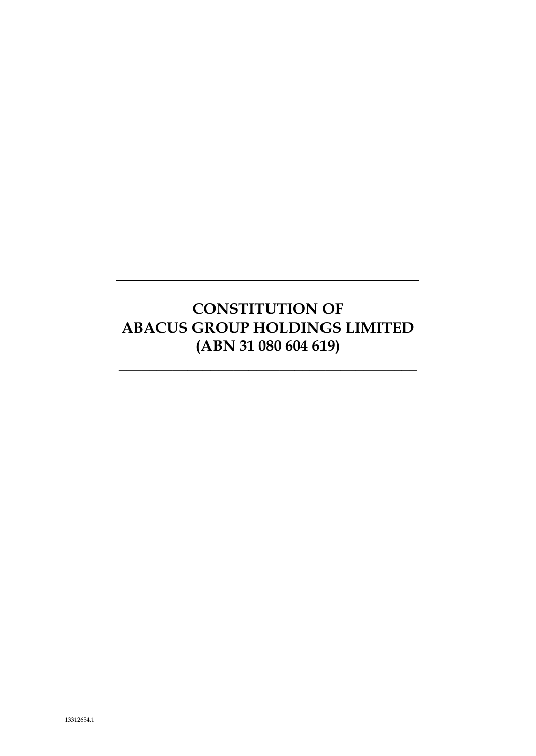# **CONSTITUTION OF ABACUS GROUP HOLDINGS LIMITED (ABN 31 080 604 619)**

*\_\_\_\_\_\_\_\_\_\_\_\_\_\_\_\_\_\_\_\_\_\_\_\_\_\_\_\_\_\_\_\_\_\_\_\_\_\_\_*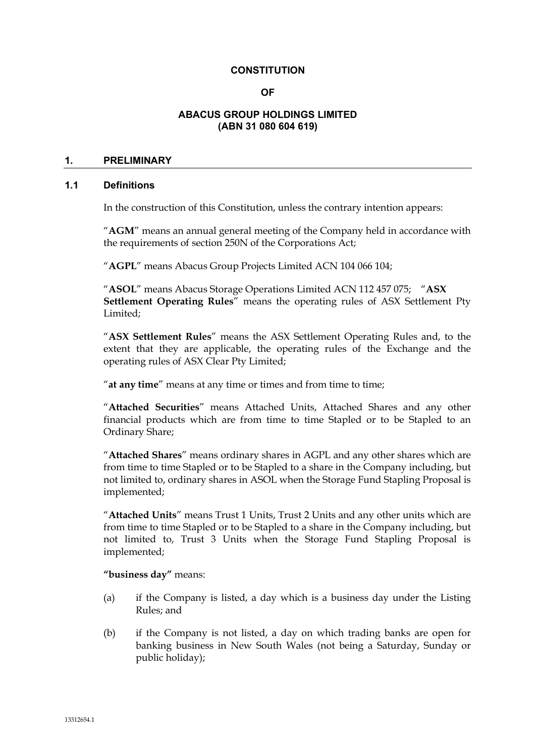### **CONSTITUTION**

### **OF**

# **ABACUS GROUP HOLDINGS LIMITED (ABN 31 080 604 619)**

# **1. PRELIMINARY**

# **1.1 Definitions**

In the construction of this Constitution, unless the contrary intention appears:

"**AGM**" means an annual general meeting of the Company held in accordance with the requirements of section 250N of the Corporations Act;

"**AGPL**" means Abacus Group Projects Limited ACN 104 066 104;

"**ASOL**" means Abacus Storage Operations Limited ACN 112 457 075; "**ASX Settlement Operating Rules**" means the operating rules of ASX Settlement Pty Limited;

"**ASX Settlement Rules**" means the ASX Settlement Operating Rules and, to the extent that they are applicable, the operating rules of the Exchange and the operating rules of ASX Clear Pty Limited;

"**at any time**" means at any time or times and from time to time;

"**Attached Securities**" means Attached Units, Attached Shares and any other financial products which are from time to time Stapled or to be Stapled to an Ordinary Share;

"**Attached Shares**" means ordinary shares in AGPL and any other shares which are from time to time Stapled or to be Stapled to a share in the Company including, but not limited to, ordinary shares in ASOL when the Storage Fund Stapling Proposal is implemented;

"**Attached Units**" means Trust 1 Units, Trust 2 Units and any other units which are from time to time Stapled or to be Stapled to a share in the Company including, but not limited to, Trust 3 Units when the Storage Fund Stapling Proposal is implemented;

**"business day"** means:

- (a) if the Company is listed, a day which is a business day under the Listing Rules; and
- (b) if the Company is not listed, a day on which trading banks are open for banking business in New South Wales (not being a Saturday, Sunday or public holiday);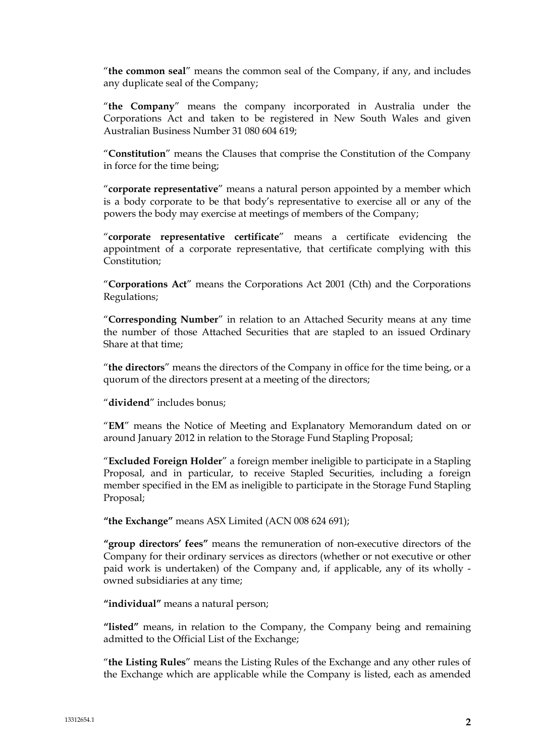"**the common seal**" means the common seal of the Company, if any, and includes any duplicate seal of the Company;

"**the Company**" means the company incorporated in Australia under the Corporations Act and taken to be registered in New South Wales and given Australian Business Number 31 080 604 619;

"**Constitution**" means the Clauses that comprise the Constitution of the Company in force for the time being;

"**corporate representative**" means a natural person appointed by a member which is a body corporate to be that body's representative to exercise all or any of the powers the body may exercise at meetings of members of the Company;

"**corporate representative certificate**" means a certificate evidencing the appointment of a corporate representative, that certificate complying with this Constitution;

"**Corporations Act**" means the Corporations Act 2001 (Cth) and the Corporations Regulations;

"**Corresponding Number**" in relation to an Attached Security means at any time the number of those Attached Securities that are stapled to an issued Ordinary Share at that time;

"**the directors**" means the directors of the Company in office for the time being, or a quorum of the directors present at a meeting of the directors;

"**dividend**" includes bonus;

"**EM**" means the Notice of Meeting and Explanatory Memorandum dated on or around January 2012 in relation to the Storage Fund Stapling Proposal;

"**Excluded Foreign Holder**" a foreign member ineligible to participate in a Stapling Proposal, and in particular, to receive Stapled Securities, including a foreign member specified in the EM as ineligible to participate in the Storage Fund Stapling Proposal;

**"the Exchange"** means ASX Limited (ACN 008 624 691);

**"group directors' fees"** means the remuneration of non-executive directors of the Company for their ordinary services as directors (whether or not executive or other paid work is undertaken) of the Company and, if applicable, any of its wholly owned subsidiaries at any time;

**"individual"** means a natural person;

**"listed"** means, in relation to the Company, the Company being and remaining admitted to the Official List of the Exchange;

"**the Listing Rules**" means the Listing Rules of the Exchange and any other rules of the Exchange which are applicable while the Company is listed, each as amended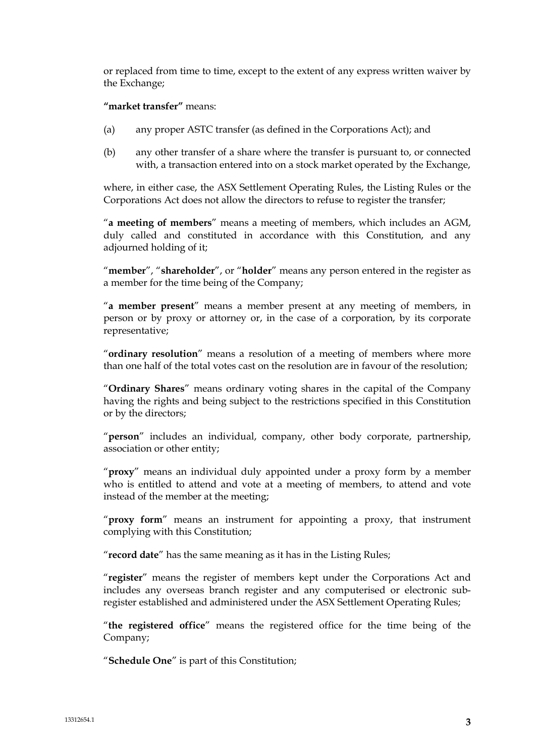or replaced from time to time, except to the extent of any express written waiver by the Exchange;

### **"market transfer"** means:

- (a) any proper ASTC transfer (as defined in the Corporations Act); and
- (b) any other transfer of a share where the transfer is pursuant to, or connected with, a transaction entered into on a stock market operated by the Exchange,

where, in either case, the ASX Settlement Operating Rules, the Listing Rules or the Corporations Act does not allow the directors to refuse to register the transfer;

"**a meeting of members**" means a meeting of members, which includes an AGM, duly called and constituted in accordance with this Constitution, and any adjourned holding of it;

"**member**", "**shareholder**", or "**holder**" means any person entered in the register as a member for the time being of the Company;

"**a member present**" means a member present at any meeting of members, in person or by proxy or attorney or, in the case of a corporation, by its corporate representative;

"**ordinary resolution**" means a resolution of a meeting of members where more than one half of the total votes cast on the resolution are in favour of the resolution;

"**Ordinary Shares**" means ordinary voting shares in the capital of the Company having the rights and being subject to the restrictions specified in this Constitution or by the directors;

"**person**" includes an individual, company, other body corporate, partnership, association or other entity;

"**proxy**" means an individual duly appointed under a proxy form by a member who is entitled to attend and vote at a meeting of members, to attend and vote instead of the member at the meeting;

"**proxy form**" means an instrument for appointing a proxy, that instrument complying with this Constitution;

"**record date**" has the same meaning as it has in the Listing Rules;

"**register**" means the register of members kept under the Corporations Act and includes any overseas branch register and any computerised or electronic subregister established and administered under the ASX Settlement Operating Rules;

"**the registered office**" means the registered office for the time being of the Company;

"**Schedule One**" is part of this Constitution;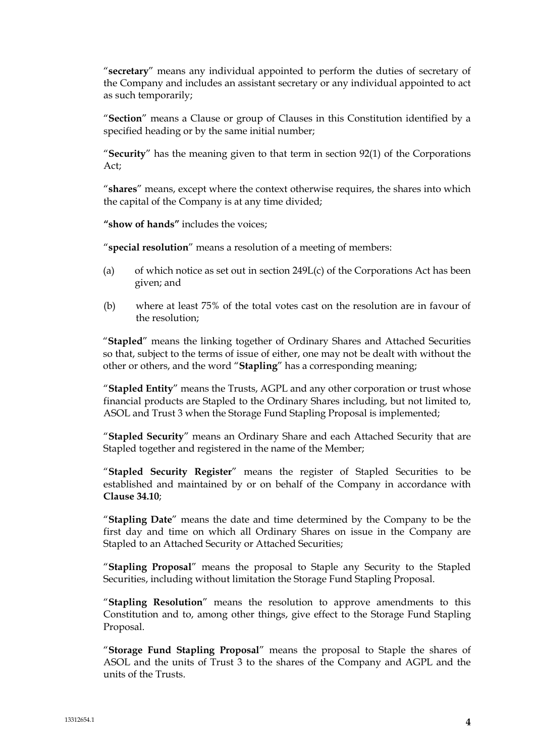"**secretary**" means any individual appointed to perform the duties of secretary of the Company and includes an assistant secretary or any individual appointed to act as such temporarily;

"**Section**" means a Clause or group of Clauses in this Constitution identified by a specified heading or by the same initial number;

"**Security**" has the meaning given to that term in section 92(1) of the Corporations Act;

"**shares**" means, except where the context otherwise requires, the shares into which the capital of the Company is at any time divided;

**"show of hands"** includes the voices;

"**special resolution**" means a resolution of a meeting of members:

- (a) of which notice as set out in section 249L(c) of the Corporations Act has been given; and
- (b) where at least 75% of the total votes cast on the resolution are in favour of the resolution;

"**Stapled**" means the linking together of Ordinary Shares and Attached Securities so that, subject to the terms of issue of either, one may not be dealt with without the other or others, and the word "**Stapling**" has a corresponding meaning;

"**Stapled Entity**" means the Trusts, AGPL and any other corporation or trust whose financial products are Stapled to the Ordinary Shares including, but not limited to, ASOL and Trust 3 when the Storage Fund Stapling Proposal is implemented;

"**Stapled Security**" means an Ordinary Share and each Attached Security that are Stapled together and registered in the name of the Member;

"**Stapled Security Register**" means the register of Stapled Securities to be established and maintained by or on behalf of the Company in accordance with **Clause 34.10**;

"**Stapling Date**" means the date and time determined by the Company to be the first day and time on which all Ordinary Shares on issue in the Company are Stapled to an Attached Security or Attached Securities;

"**Stapling Proposal**" means the proposal to Staple any Security to the Stapled Securities, including without limitation the Storage Fund Stapling Proposal.

"**Stapling Resolution**" means the resolution to approve amendments to this Constitution and to, among other things, give effect to the Storage Fund Stapling Proposal.

"**Storage Fund Stapling Proposal**" means the proposal to Staple the shares of ASOL and the units of Trust 3 to the shares of the Company and AGPL and the units of the Trusts.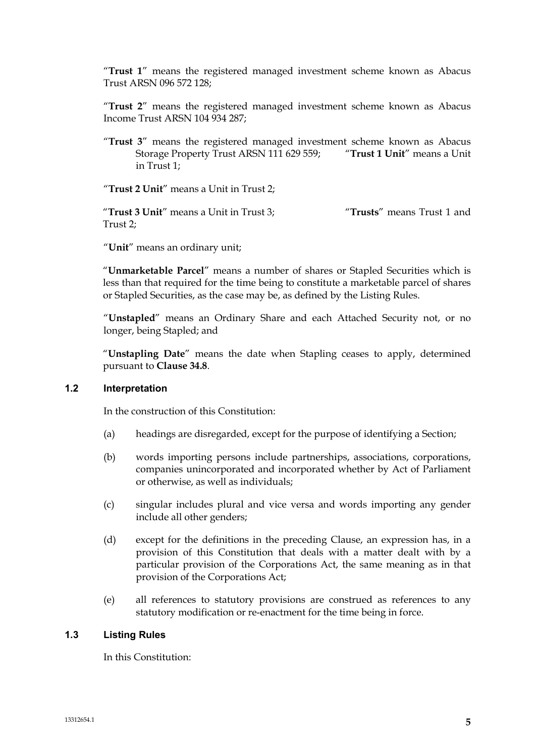"**Trust 1**" means the registered managed investment scheme known as Abacus Trust ARSN 096 572 128;

"**Trust 2**" means the registered managed investment scheme known as Abacus Income Trust ARSN 104 934 287;

"**Trust 3**" means the registered managed investment scheme known as Abacus<br>Storage Property Trust ARSN 111 629 559: "Trust 1 Unit" means a Unit Storage Property Trust ARSN 111 629 559; in Trust 1;

"**Trust 2 Unit**" means a Unit in Trust 2;

"**Trust 3 Unit**" means a Unit in Trust 3; "**Trusts**" means Trust 1 and Trust 2;

"**Unit**" means an ordinary unit;

"**Unmarketable Parcel**" means a number of shares or Stapled Securities which is less than that required for the time being to constitute a marketable parcel of shares or Stapled Securities, as the case may be, as defined by the Listing Rules.

"**Unstapled**" means an Ordinary Share and each Attached Security not, or no longer, being Stapled; and

"**Unstapling Date**" means the date when Stapling ceases to apply, determined pursuant to **Clause 34.8**.

# **1.2 Interpretation**

In the construction of this Constitution:

- (a) headings are disregarded, except for the purpose of identifying a Section;
- (b) words importing persons include partnerships, associations, corporations, companies unincorporated and incorporated whether by Act of Parliament or otherwise, as well as individuals;
- (c) singular includes plural and vice versa and words importing any gender include all other genders;
- (d) except for the definitions in the preceding Clause, an expression has, in a provision of this Constitution that deals with a matter dealt with by a particular provision of the Corporations Act, the same meaning as in that provision of the Corporations Act;
- (e) all references to statutory provisions are construed as references to any statutory modification or re-enactment for the time being in force.

# **1.3 Listing Rules**

In this Constitution: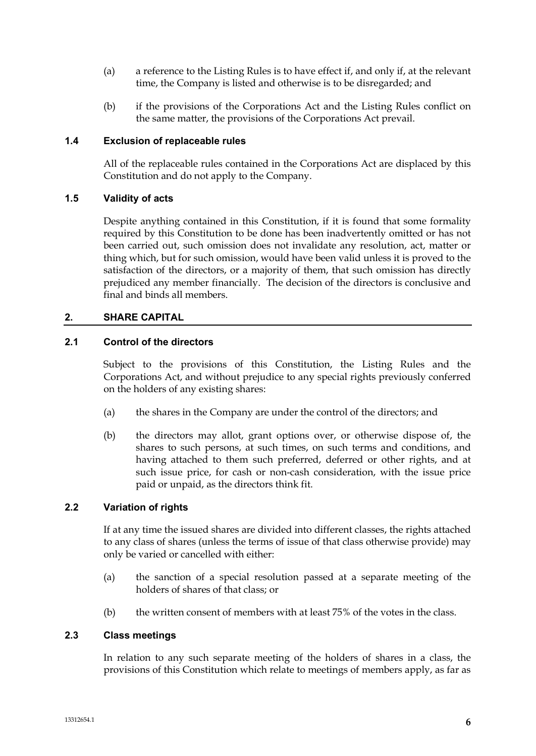- (a) a reference to the Listing Rules is to have effect if, and only if, at the relevant time, the Company is listed and otherwise is to be disregarded; and
- (b) if the provisions of the Corporations Act and the Listing Rules conflict on the same matter, the provisions of the Corporations Act prevail.

# **1.4 Exclusion of replaceable rules**

All of the replaceable rules contained in the Corporations Act are displaced by this Constitution and do not apply to the Company.

# **1.5 Validity of acts**

Despite anything contained in this Constitution, if it is found that some formality required by this Constitution to be done has been inadvertently omitted or has not been carried out, such omission does not invalidate any resolution, act, matter or thing which, but for such omission, would have been valid unless it is proved to the satisfaction of the directors, or a majority of them, that such omission has directly prejudiced any member financially. The decision of the directors is conclusive and final and binds all members.

# **2. SHARE CAPITAL**

# **2.1 Control of the directors**

Subject to the provisions of this Constitution, the Listing Rules and the Corporations Act, and without prejudice to any special rights previously conferred on the holders of any existing shares:

- (a) the shares in the Company are under the control of the directors; and
- (b) the directors may allot, grant options over, or otherwise dispose of, the shares to such persons, at such times, on such terms and conditions, and having attached to them such preferred, deferred or other rights, and at such issue price, for cash or non-cash consideration, with the issue price paid or unpaid, as the directors think fit.

# **2.2 Variation of rights**

If at any time the issued shares are divided into different classes, the rights attached to any class of shares (unless the terms of issue of that class otherwise provide) may only be varied or cancelled with either:

- (a) the sanction of a special resolution passed at a separate meeting of the holders of shares of that class; or
- (b) the written consent of members with at least 75% of the votes in the class.

# **2.3 Class meetings**

In relation to any such separate meeting of the holders of shares in a class, the provisions of this Constitution which relate to meetings of members apply, as far as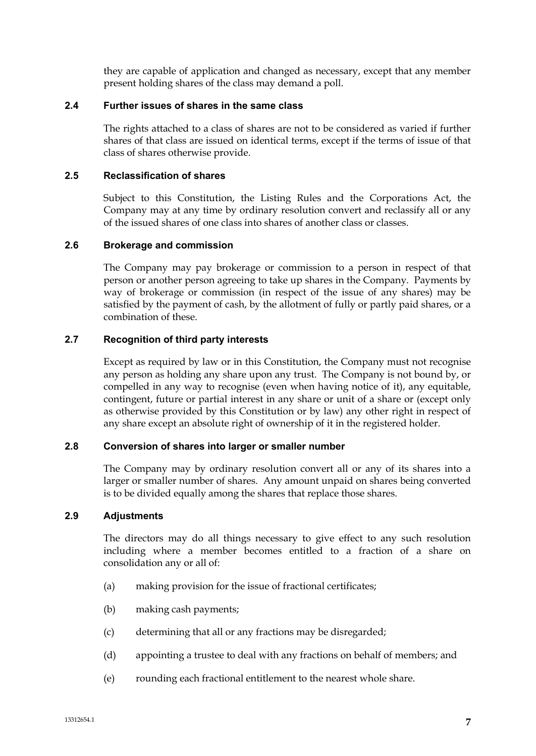they are capable of application and changed as necessary, except that any member present holding shares of the class may demand a poll.

# **2.4 Further issues of shares in the same class**

The rights attached to a class of shares are not to be considered as varied if further shares of that class are issued on identical terms, except if the terms of issue of that class of shares otherwise provide.

### **2.5 Reclassification of shares**

Subject to this Constitution, the Listing Rules and the Corporations Act, the Company may at any time by ordinary resolution convert and reclassify all or any of the issued shares of one class into shares of another class or classes.

### **2.6 Brokerage and commission**

The Company may pay brokerage or commission to a person in respect of that person or another person agreeing to take up shares in the Company. Payments by way of brokerage or commission (in respect of the issue of any shares) may be satisfied by the payment of cash, by the allotment of fully or partly paid shares, or a combination of these.

# **2.7 Recognition of third party interests**

Except as required by law or in this Constitution, the Company must not recognise any person as holding any share upon any trust. The Company is not bound by, or compelled in any way to recognise (even when having notice of it), any equitable, contingent, future or partial interest in any share or unit of a share or (except only as otherwise provided by this Constitution or by law) any other right in respect of any share except an absolute right of ownership of it in the registered holder.

#### **2.8 Conversion of shares into larger or smaller number**

The Company may by ordinary resolution convert all or any of its shares into a larger or smaller number of shares. Any amount unpaid on shares being converted is to be divided equally among the shares that replace those shares.

### **2.9 Adjustments**

The directors may do all things necessary to give effect to any such resolution including where a member becomes entitled to a fraction of a share on consolidation any or all of:

- (a) making provision for the issue of fractional certificates;
- (b) making cash payments;
- (c) determining that all or any fractions may be disregarded;
- (d) appointing a trustee to deal with any fractions on behalf of members; and
- (e) rounding each fractional entitlement to the nearest whole share.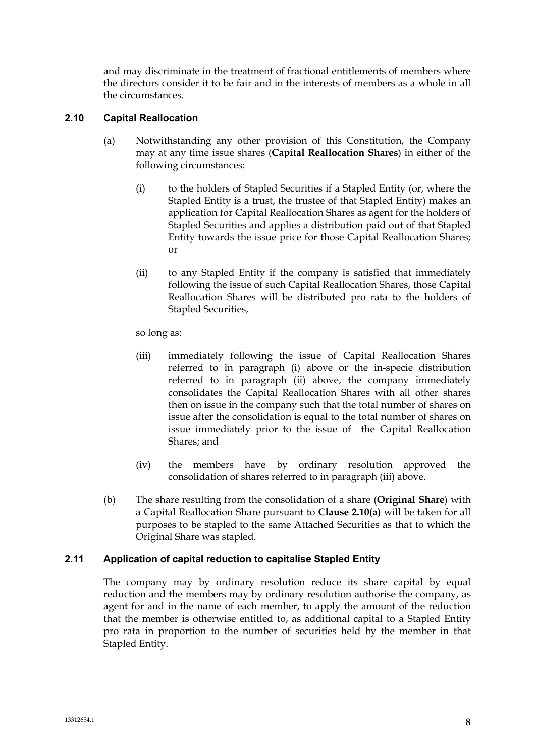and may discriminate in the treatment of fractional entitlements of members where the directors consider it to be fair and in the interests of members as a whole in all the circumstances.

# **2.10 Capital Reallocation**

- (a) Notwithstanding any other provision of this Constitution, the Company may at any time issue shares (**Capital Reallocation Shares**) in either of the following circumstances:
	- (i) to the holders of Stapled Securities if a Stapled Entity (or, where the Stapled Entity is a trust, the trustee of that Stapled Entity) makes an application for Capital Reallocation Shares as agent for the holders of Stapled Securities and applies a distribution paid out of that Stapled Entity towards the issue price for those Capital Reallocation Shares; or
	- (ii) to any Stapled Entity if the company is satisfied that immediately following the issue of such Capital Reallocation Shares, those Capital Reallocation Shares will be distributed pro rata to the holders of Stapled Securities,

so long as:

- (iii) immediately following the issue of Capital Reallocation Shares referred to in paragraph (i) above or the in-specie distribution referred to in paragraph (ii) above, the company immediately consolidates the Capital Reallocation Shares with all other shares then on issue in the company such that the total number of shares on issue after the consolidation is equal to the total number of shares on issue immediately prior to the issue of the Capital Reallocation Shares; and
- (iv) the members have by ordinary resolution approved the consolidation of shares referred to in paragraph (iii) above.
- (b) The share resulting from the consolidation of a share (**Original Share**) with a Capital Reallocation Share pursuant to **Clause 2.10(a)** will be taken for all purposes to be stapled to the same Attached Securities as that to which the Original Share was stapled.

# **2.11 Application of capital reduction to capitalise Stapled Entity**

The company may by ordinary resolution reduce its share capital by equal reduction and the members may by ordinary resolution authorise the company, as agent for and in the name of each member, to apply the amount of the reduction that the member is otherwise entitled to, as additional capital to a Stapled Entity pro rata in proportion to the number of securities held by the member in that Stapled Entity.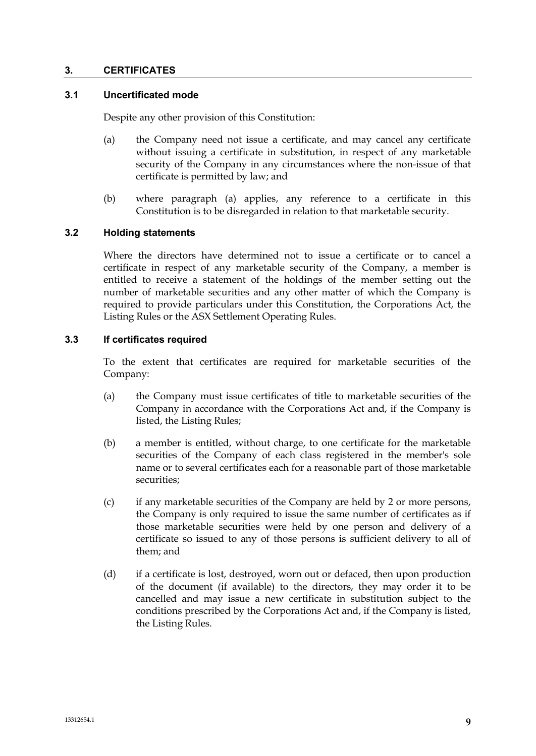### **3. CERTIFICATES**

# **3.1 Uncertificated mode**

Despite any other provision of this Constitution:

- (a) the Company need not issue a certificate, and may cancel any certificate without issuing a certificate in substitution, in respect of any marketable security of the Company in any circumstances where the non-issue of that certificate is permitted by law; and
- (b) where paragraph (a) applies, any reference to a certificate in this Constitution is to be disregarded in relation to that marketable security.

### **3.2 Holding statements**

Where the directors have determined not to issue a certificate or to cancel a certificate in respect of any marketable security of the Company, a member is entitled to receive a statement of the holdings of the member setting out the number of marketable securities and any other matter of which the Company is required to provide particulars under this Constitution, the Corporations Act, the Listing Rules or the ASX Settlement Operating Rules.

### **3.3 If certificates required**

To the extent that certificates are required for marketable securities of the Company:

- (a) the Company must issue certificates of title to marketable securities of the Company in accordance with the Corporations Act and, if the Company is listed, the Listing Rules;
- (b) a member is entitled, without charge, to one certificate for the marketable securities of the Company of each class registered in the member's sole name or to several certificates each for a reasonable part of those marketable securities;
- (c) if any marketable securities of the Company are held by 2 or more persons, the Company is only required to issue the same number of certificates as if those marketable securities were held by one person and delivery of a certificate so issued to any of those persons is sufficient delivery to all of them; and
- (d) if a certificate is lost, destroyed, worn out or defaced, then upon production of the document (if available) to the directors, they may order it to be cancelled and may issue a new certificate in substitution subject to the conditions prescribed by the Corporations Act and, if the Company is listed, the Listing Rules.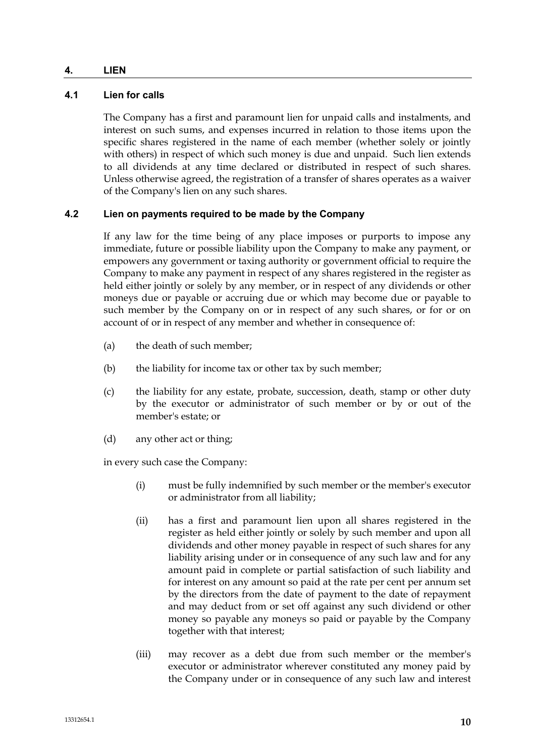### **4. LIEN**

# **4.1 Lien for calls**

The Company has a first and paramount lien for unpaid calls and instalments, and interest on such sums, and expenses incurred in relation to those items upon the specific shares registered in the name of each member (whether solely or jointly with others) in respect of which such money is due and unpaid. Such lien extends to all dividends at any time declared or distributed in respect of such shares. Unless otherwise agreed, the registration of a transfer of shares operates as a waiver of the Company's lien on any such shares.

# **4.2 Lien on payments required to be made by the Company**

If any law for the time being of any place imposes or purports to impose any immediate, future or possible liability upon the Company to make any payment, or empowers any government or taxing authority or government official to require the Company to make any payment in respect of any shares registered in the register as held either jointly or solely by any member, or in respect of any dividends or other moneys due or payable or accruing due or which may become due or payable to such member by the Company on or in respect of any such shares, or for or on account of or in respect of any member and whether in consequence of:

- (a) the death of such member;
- (b) the liability for income tax or other tax by such member;
- (c) the liability for any estate, probate, succession, death, stamp or other duty by the executor or administrator of such member or by or out of the member's estate; or
- (d) any other act or thing;

in every such case the Company:

- (i) must be fully indemnified by such member or the member's executor or administrator from all liability;
- (ii) has a first and paramount lien upon all shares registered in the register as held either jointly or solely by such member and upon all dividends and other money payable in respect of such shares for any liability arising under or in consequence of any such law and for any amount paid in complete or partial satisfaction of such liability and for interest on any amount so paid at the rate per cent per annum set by the directors from the date of payment to the date of repayment and may deduct from or set off against any such dividend or other money so payable any moneys so paid or payable by the Company together with that interest;
- (iii) may recover as a debt due from such member or the member's executor or administrator wherever constituted any money paid by the Company under or in consequence of any such law and interest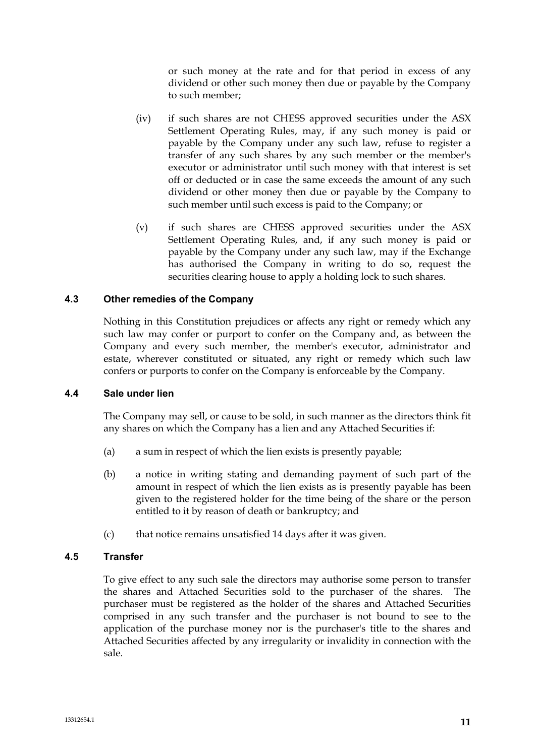or such money at the rate and for that period in excess of any dividend or other such money then due or payable by the Company to such member;

- (iv) if such shares are not CHESS approved securities under the ASX Settlement Operating Rules, may, if any such money is paid or payable by the Company under any such law, refuse to register a transfer of any such shares by any such member or the member's executor or administrator until such money with that interest is set off or deducted or in case the same exceeds the amount of any such dividend or other money then due or payable by the Company to such member until such excess is paid to the Company; or
- (v) if such shares are CHESS approved securities under the ASX Settlement Operating Rules, and, if any such money is paid or payable by the Company under any such law, may if the Exchange has authorised the Company in writing to do so, request the securities clearing house to apply a holding lock to such shares.

# **4.3 Other remedies of the Company**

Nothing in this Constitution prejudices or affects any right or remedy which any such law may confer or purport to confer on the Company and, as between the Company and every such member, the member's executor, administrator and estate, wherever constituted or situated, any right or remedy which such law confers or purports to confer on the Company is enforceable by the Company.

#### **4.4 Sale under lien**

The Company may sell, or cause to be sold, in such manner as the directors think fit any shares on which the Company has a lien and any Attached Securities if:

- (a) a sum in respect of which the lien exists is presently payable;
- (b) a notice in writing stating and demanding payment of such part of the amount in respect of which the lien exists as is presently payable has been given to the registered holder for the time being of the share or the person entitled to it by reason of death or bankruptcy; and
- (c) that notice remains unsatisfied 14 days after it was given.

#### **4.5 Transfer**

To give effect to any such sale the directors may authorise some person to transfer the shares and Attached Securities sold to the purchaser of the shares. The purchaser must be registered as the holder of the shares and Attached Securities comprised in any such transfer and the purchaser is not bound to see to the application of the purchase money nor is the purchaser's title to the shares and Attached Securities affected by any irregularity or invalidity in connection with the sale.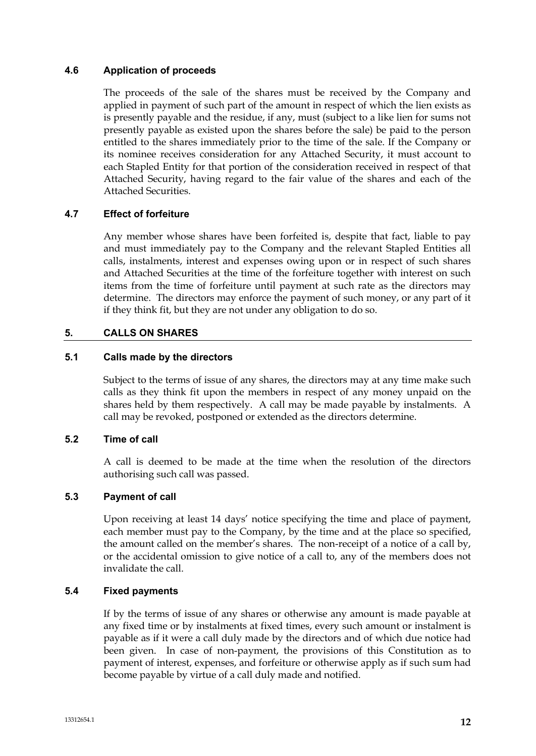# **4.6 Application of proceeds**

The proceeds of the sale of the shares must be received by the Company and applied in payment of such part of the amount in respect of which the lien exists as is presently payable and the residue, if any, must (subject to a like lien for sums not presently payable as existed upon the shares before the sale) be paid to the person entitled to the shares immediately prior to the time of the sale. If the Company or its nominee receives consideration for any Attached Security, it must account to each Stapled Entity for that portion of the consideration received in respect of that Attached Security, having regard to the fair value of the shares and each of the Attached Securities.

# **4.7 Effect of forfeiture**

Any member whose shares have been forfeited is, despite that fact, liable to pay and must immediately pay to the Company and the relevant Stapled Entities all calls, instalments, interest and expenses owing upon or in respect of such shares and Attached Securities at the time of the forfeiture together with interest on such items from the time of forfeiture until payment at such rate as the directors may determine. The directors may enforce the payment of such money, or any part of it if they think fit, but they are not under any obligation to do so.

# **5. CALLS ON SHARES**

### **5.1 Calls made by the directors**

Subject to the terms of issue of any shares, the directors may at any time make such calls as they think fit upon the members in respect of any money unpaid on the shares held by them respectively. A call may be made payable by instalments. A call may be revoked, postponed or extended as the directors determine.

# **5.2 Time of call**

A call is deemed to be made at the time when the resolution of the directors authorising such call was passed.

#### **5.3 Payment of call**

Upon receiving at least 14 days' notice specifying the time and place of payment, each member must pay to the Company, by the time and at the place so specified, the amount called on the member's shares. The non-receipt of a notice of a call by, or the accidental omission to give notice of a call to, any of the members does not invalidate the call.

#### **5.4 Fixed payments**

If by the terms of issue of any shares or otherwise any amount is made payable at any fixed time or by instalments at fixed times, every such amount or instalment is payable as if it were a call duly made by the directors and of which due notice had been given. In case of non-payment, the provisions of this Constitution as to payment of interest, expenses, and forfeiture or otherwise apply as if such sum had become payable by virtue of a call duly made and notified.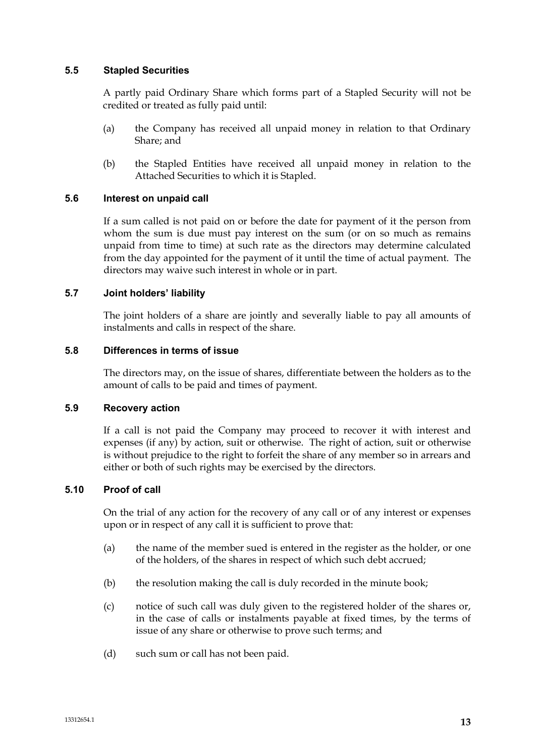### **5.5 Stapled Securities**

A partly paid Ordinary Share which forms part of a Stapled Security will not be credited or treated as fully paid until:

- (a) the Company has received all unpaid money in relation to that Ordinary Share; and
- (b) the Stapled Entities have received all unpaid money in relation to the Attached Securities to which it is Stapled.

### **5.6 Interest on unpaid call**

If a sum called is not paid on or before the date for payment of it the person from whom the sum is due must pay interest on the sum (or on so much as remains unpaid from time to time) at such rate as the directors may determine calculated from the day appointed for the payment of it until the time of actual payment. The directors may waive such interest in whole or in part.

### **5.7 Joint holders' liability**

The joint holders of a share are jointly and severally liable to pay all amounts of instalments and calls in respect of the share.

### **5.8 Differences in terms of issue**

The directors may, on the issue of shares, differentiate between the holders as to the amount of calls to be paid and times of payment.

### **5.9 Recovery action**

If a call is not paid the Company may proceed to recover it with interest and expenses (if any) by action, suit or otherwise. The right of action, suit or otherwise is without prejudice to the right to forfeit the share of any member so in arrears and either or both of such rights may be exercised by the directors.

# **5.10 Proof of call**

On the trial of any action for the recovery of any call or of any interest or expenses upon or in respect of any call it is sufficient to prove that:

- (a) the name of the member sued is entered in the register as the holder, or one of the holders, of the shares in respect of which such debt accrued;
- (b) the resolution making the call is duly recorded in the minute book;
- (c) notice of such call was duly given to the registered holder of the shares or, in the case of calls or instalments payable at fixed times, by the terms of issue of any share or otherwise to prove such terms; and
- (d) such sum or call has not been paid.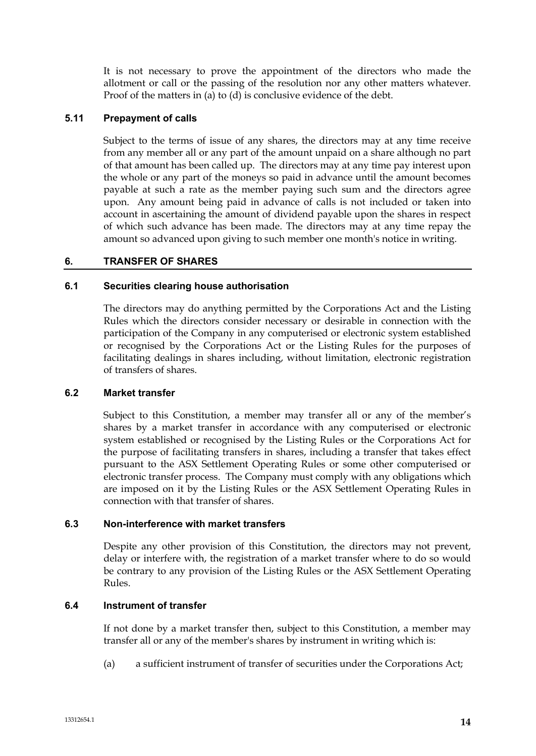It is not necessary to prove the appointment of the directors who made the allotment or call or the passing of the resolution nor any other matters whatever. Proof of the matters in (a) to (d) is conclusive evidence of the debt.

### **5.11 Prepayment of calls**

Subject to the terms of issue of any shares, the directors may at any time receive from any member all or any part of the amount unpaid on a share although no part of that amount has been called up. The directors may at any time pay interest upon the whole or any part of the moneys so paid in advance until the amount becomes payable at such a rate as the member paying such sum and the directors agree upon. Any amount being paid in advance of calls is not included or taken into account in ascertaining the amount of dividend payable upon the shares in respect of which such advance has been made. The directors may at any time repay the amount so advanced upon giving to such member one month's notice in writing.

### **6. TRANSFER OF SHARES**

#### **6.1 Securities clearing house authorisation**

The directors may do anything permitted by the Corporations Act and the Listing Rules which the directors consider necessary or desirable in connection with the participation of the Company in any computerised or electronic system established or recognised by the Corporations Act or the Listing Rules for the purposes of facilitating dealings in shares including, without limitation, electronic registration of transfers of shares.

#### **6.2 Market transfer**

Subject to this Constitution, a member may transfer all or any of the member's shares by a market transfer in accordance with any computerised or electronic system established or recognised by the Listing Rules or the Corporations Act for the purpose of facilitating transfers in shares, including a transfer that takes effect pursuant to the ASX Settlement Operating Rules or some other computerised or electronic transfer process. The Company must comply with any obligations which are imposed on it by the Listing Rules or the ASX Settlement Operating Rules in connection with that transfer of shares.

#### **6.3 Non-interference with market transfers**

Despite any other provision of this Constitution, the directors may not prevent, delay or interfere with, the registration of a market transfer where to do so would be contrary to any provision of the Listing Rules or the ASX Settlement Operating Rules.

# **6.4 Instrument of transfer**

If not done by a market transfer then, subject to this Constitution, a member may transfer all or any of the member's shares by instrument in writing which is:

(a) a sufficient instrument of transfer of securities under the Corporations Act;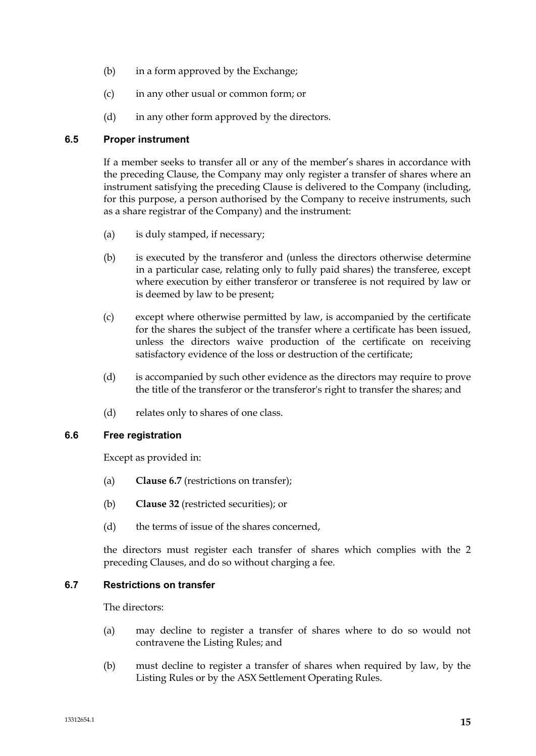- (b) in a form approved by the Exchange;
- (c) in any other usual or common form; or
- (d) in any other form approved by the directors.

# **6.5 Proper instrument**

If a member seeks to transfer all or any of the member's shares in accordance with the preceding Clause, the Company may only register a transfer of shares where an instrument satisfying the preceding Clause is delivered to the Company (including, for this purpose, a person authorised by the Company to receive instruments, such as a share registrar of the Company) and the instrument:

- (a) is duly stamped, if necessary;
- (b) is executed by the transferor and (unless the directors otherwise determine in a particular case, relating only to fully paid shares) the transferee, except where execution by either transferor or transferee is not required by law or is deemed by law to be present;
- (c) except where otherwise permitted by law, is accompanied by the certificate for the shares the subject of the transfer where a certificate has been issued, unless the directors waive production of the certificate on receiving satisfactory evidence of the loss or destruction of the certificate;
- (d) is accompanied by such other evidence as the directors may require to prove the title of the transferor or the transferor's right to transfer the shares; and
- (d) relates only to shares of one class.

# **6.6 Free registration**

Except as provided in:

- (a) **Clause 6.7** (restrictions on transfer);
- (b) **Clause 32** (restricted securities); or
- (d) the terms of issue of the shares concerned,

the directors must register each transfer of shares which complies with the 2 preceding Clauses, and do so without charging a fee.

# **6.7 Restrictions on transfer**

The directors:

- (a) may decline to register a transfer of shares where to do so would not contravene the Listing Rules; and
- (b) must decline to register a transfer of shares when required by law, by the Listing Rules or by the ASX Settlement Operating Rules.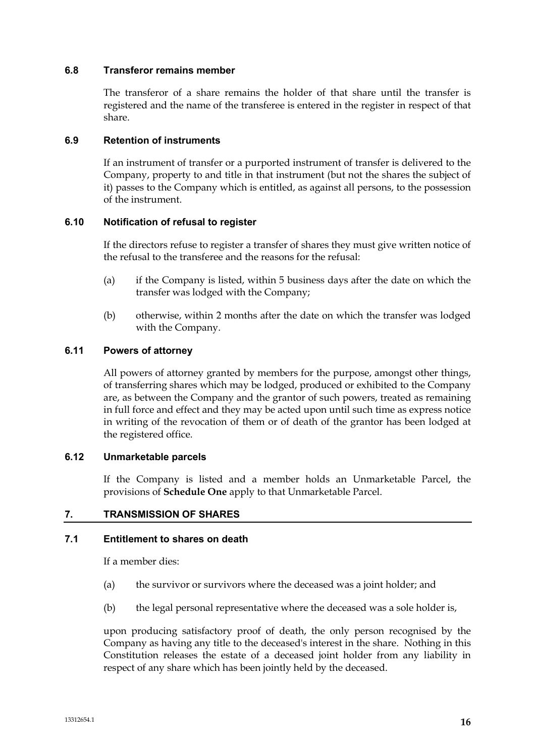### **6.8 Transferor remains member**

The transferor of a share remains the holder of that share until the transfer is registered and the name of the transferee is entered in the register in respect of that share.

### **6.9 Retention of instruments**

If an instrument of transfer or a purported instrument of transfer is delivered to the Company, property to and title in that instrument (but not the shares the subject of it) passes to the Company which is entitled, as against all persons, to the possession of the instrument.

### **6.10 Notification of refusal to register**

If the directors refuse to register a transfer of shares they must give written notice of the refusal to the transferee and the reasons for the refusal:

- (a) if the Company is listed, within 5 business days after the date on which the transfer was lodged with the Company;
- (b) otherwise, within 2 months after the date on which the transfer was lodged with the Company.

### **6.11 Powers of attorney**

All powers of attorney granted by members for the purpose, amongst other things, of transferring shares which may be lodged, produced or exhibited to the Company are, as between the Company and the grantor of such powers, treated as remaining in full force and effect and they may be acted upon until such time as express notice in writing of the revocation of them or of death of the grantor has been lodged at the registered office.

### **6.12 Unmarketable parcels**

If the Company is listed and a member holds an Unmarketable Parcel, the provisions of **Schedule One** apply to that Unmarketable Parcel.

# **7. TRANSMISSION OF SHARES**

### **7.1 Entitlement to shares on death**

If a member dies:

- (a) the survivor or survivors where the deceased was a joint holder; and
- (b) the legal personal representative where the deceased was a sole holder is,

upon producing satisfactory proof of death, the only person recognised by the Company as having any title to the deceased's interest in the share. Nothing in this Constitution releases the estate of a deceased joint holder from any liability in respect of any share which has been jointly held by the deceased.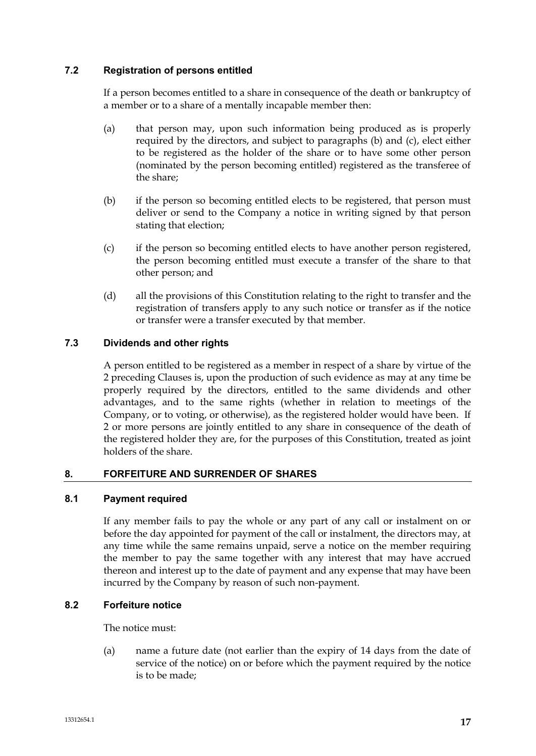# **7.2 Registration of persons entitled**

If a person becomes entitled to a share in consequence of the death or bankruptcy of a member or to a share of a mentally incapable member then:

- (a) that person may, upon such information being produced as is properly required by the directors, and subject to paragraphs (b) and (c), elect either to be registered as the holder of the share or to have some other person (nominated by the person becoming entitled) registered as the transferee of the share;
- (b) if the person so becoming entitled elects to be registered, that person must deliver or send to the Company a notice in writing signed by that person stating that election;
- (c) if the person so becoming entitled elects to have another person registered, the person becoming entitled must execute a transfer of the share to that other person; and
- (d) all the provisions of this Constitution relating to the right to transfer and the registration of transfers apply to any such notice or transfer as if the notice or transfer were a transfer executed by that member.

# **7.3 Dividends and other rights**

A person entitled to be registered as a member in respect of a share by virtue of the 2 preceding Clauses is, upon the production of such evidence as may at any time be properly required by the directors, entitled to the same dividends and other advantages, and to the same rights (whether in relation to meetings of the Company, or to voting, or otherwise), as the registered holder would have been. If 2 or more persons are jointly entitled to any share in consequence of the death of the registered holder they are, for the purposes of this Constitution, treated as joint holders of the share.

# **8. FORFEITURE AND SURRENDER OF SHARES**

# **8.1 Payment required**

If any member fails to pay the whole or any part of any call or instalment on or before the day appointed for payment of the call or instalment, the directors may, at any time while the same remains unpaid, serve a notice on the member requiring the member to pay the same together with any interest that may have accrued thereon and interest up to the date of payment and any expense that may have been incurred by the Company by reason of such non-payment.

# **8.2 Forfeiture notice**

The notice must:

(a) name a future date (not earlier than the expiry of 14 days from the date of service of the notice) on or before which the payment required by the notice is to be made;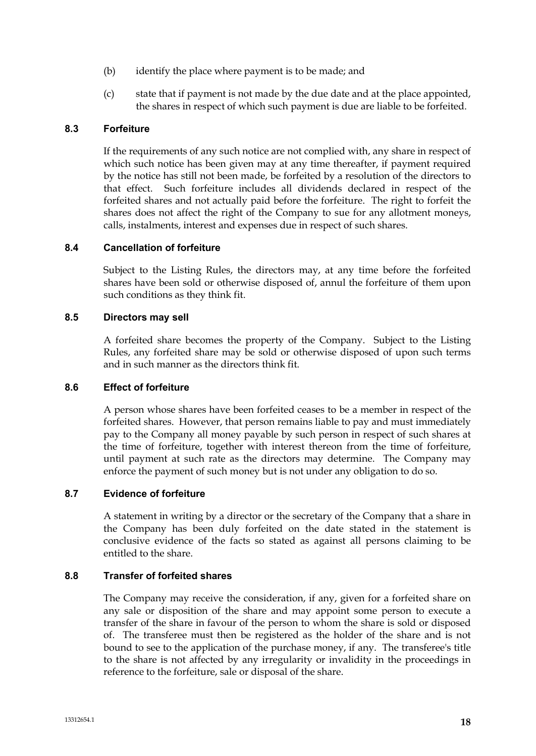- (b) identify the place where payment is to be made; and
- (c) state that if payment is not made by the due date and at the place appointed, the shares in respect of which such payment is due are liable to be forfeited.

# **8.3 Forfeiture**

If the requirements of any such notice are not complied with, any share in respect of which such notice has been given may at any time thereafter, if payment required by the notice has still not been made, be forfeited by a resolution of the directors to that effect. Such forfeiture includes all dividends declared in respect of the forfeited shares and not actually paid before the forfeiture. The right to forfeit the shares does not affect the right of the Company to sue for any allotment moneys, calls, instalments, interest and expenses due in respect of such shares.

# **8.4 Cancellation of forfeiture**

Subject to the Listing Rules, the directors may, at any time before the forfeited shares have been sold or otherwise disposed of, annul the forfeiture of them upon such conditions as they think fit.

### **8.5 Directors may sell**

A forfeited share becomes the property of the Company. Subject to the Listing Rules, any forfeited share may be sold or otherwise disposed of upon such terms and in such manner as the directors think fit.

# **8.6 Effect of forfeiture**

A person whose shares have been forfeited ceases to be a member in respect of the forfeited shares. However, that person remains liable to pay and must immediately pay to the Company all money payable by such person in respect of such shares at the time of forfeiture, together with interest thereon from the time of forfeiture, until payment at such rate as the directors may determine. The Company may enforce the payment of such money but is not under any obligation to do so.

# **8.7 Evidence of forfeiture**

A statement in writing by a director or the secretary of the Company that a share in the Company has been duly forfeited on the date stated in the statement is conclusive evidence of the facts so stated as against all persons claiming to be entitled to the share.

# **8.8 Transfer of forfeited shares**

The Company may receive the consideration, if any, given for a forfeited share on any sale or disposition of the share and may appoint some person to execute a transfer of the share in favour of the person to whom the share is sold or disposed of. The transferee must then be registered as the holder of the share and is not bound to see to the application of the purchase money, if any. The transferee's title to the share is not affected by any irregularity or invalidity in the proceedings in reference to the forfeiture, sale or disposal of the share.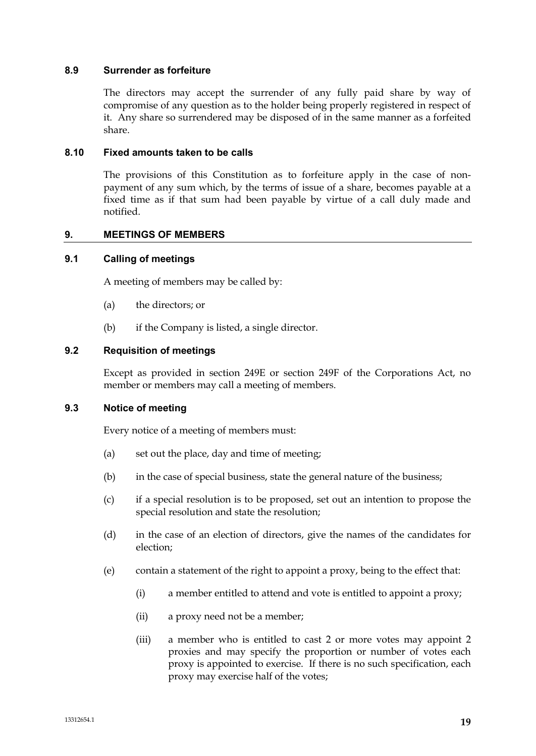### **8.9 Surrender as forfeiture**

The directors may accept the surrender of any fully paid share by way of compromise of any question as to the holder being properly registered in respect of it. Any share so surrendered may be disposed of in the same manner as a forfeited share.

### **8.10 Fixed amounts taken to be calls**

The provisions of this Constitution as to forfeiture apply in the case of nonpayment of any sum which, by the terms of issue of a share, becomes payable at a fixed time as if that sum had been payable by virtue of a call duly made and notified.

### **9. MEETINGS OF MEMBERS**

### **9.1 Calling of meetings**

A meeting of members may be called by:

- (a) the directors; or
- (b) if the Company is listed, a single director.

### **9.2 Requisition of meetings**

Except as provided in section 249E or section 249F of the Corporations Act, no member or members may call a meeting of members.

### **9.3 Notice of meeting**

Every notice of a meeting of members must:

- (a) set out the place, day and time of meeting;
- (b) in the case of special business, state the general nature of the business;
- (c) if a special resolution is to be proposed, set out an intention to propose the special resolution and state the resolution;
- (d) in the case of an election of directors, give the names of the candidates for election;
- (e) contain a statement of the right to appoint a proxy, being to the effect that:
	- (i) a member entitled to attend and vote is entitled to appoint a proxy;
	- (ii) a proxy need not be a member;
	- (iii) a member who is entitled to cast 2 or more votes may appoint 2 proxies and may specify the proportion or number of votes each proxy is appointed to exercise. If there is no such specification, each proxy may exercise half of the votes;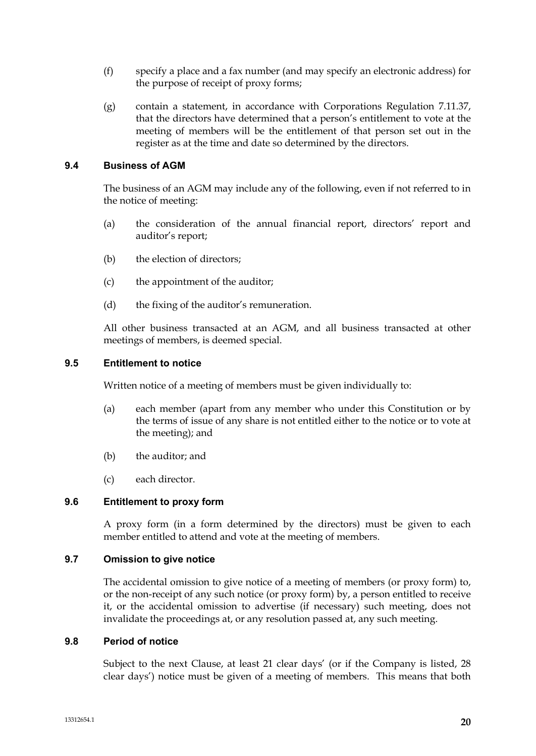- (f) specify a place and a fax number (and may specify an electronic address) for the purpose of receipt of proxy forms;
- (g) contain a statement, in accordance with Corporations Regulation 7.11.37, that the directors have determined that a person's entitlement to vote at the meeting of members will be the entitlement of that person set out in the register as at the time and date so determined by the directors.

# **9.4 Business of AGM**

The business of an AGM may include any of the following, even if not referred to in the notice of meeting:

- (a) the consideration of the annual financial report, directors' report and auditor's report;
- (b) the election of directors;
- (c) the appointment of the auditor;
- (d) the fixing of the auditor's remuneration.

All other business transacted at an AGM, and all business transacted at other meetings of members, is deemed special.

#### **9.5 Entitlement to notice**

Written notice of a meeting of members must be given individually to:

- (a) each member (apart from any member who under this Constitution or by the terms of issue of any share is not entitled either to the notice or to vote at the meeting); and
- (b) the auditor; and
- (c) each director.

### **9.6 Entitlement to proxy form**

A proxy form (in a form determined by the directors) must be given to each member entitled to attend and vote at the meeting of members.

### **9.7 Omission to give notice**

The accidental omission to give notice of a meeting of members (or proxy form) to, or the non-receipt of any such notice (or proxy form) by, a person entitled to receive it, or the accidental omission to advertise (if necessary) such meeting, does not invalidate the proceedings at, or any resolution passed at, any such meeting.

#### **9.8 Period of notice**

Subject to the next Clause, at least 21 clear days' (or if the Company is listed, 28 clear days') notice must be given of a meeting of members. This means that both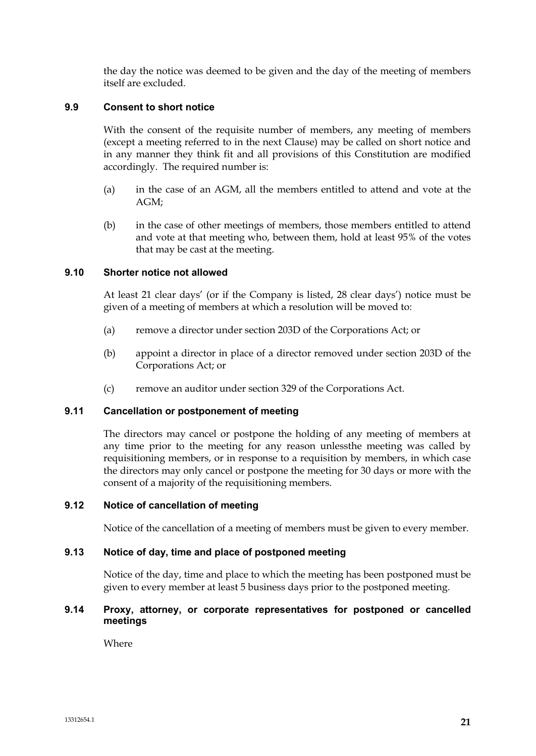the day the notice was deemed to be given and the day of the meeting of members itself are excluded.

# **9.9 Consent to short notice**

With the consent of the requisite number of members, any meeting of members (except a meeting referred to in the next Clause) may be called on short notice and in any manner they think fit and all provisions of this Constitution are modified accordingly. The required number is:

- (a) in the case of an AGM, all the members entitled to attend and vote at the AGM;
- (b) in the case of other meetings of members, those members entitled to attend and vote at that meeting who, between them, hold at least 95% of the votes that may be cast at the meeting.

# **9.10 Shorter notice not allowed**

At least 21 clear days' (or if the Company is listed, 28 clear days') notice must be given of a meeting of members at which a resolution will be moved to:

- (a) remove a director under section 203D of the Corporations Act; or
- (b) appoint a director in place of a director removed under section 203D of the Corporations Act; or
- (c) remove an auditor under section 329 of the Corporations Act.

### **9.11 Cancellation or postponement of meeting**

The directors may cancel or postpone the holding of any meeting of members at any time prior to the meeting for any reason unlessthe meeting was called by requisitioning members, or in response to a requisition by members, in which case the directors may only cancel or postpone the meeting for 30 days or more with the consent of a majority of the requisitioning members.

# **9.12 Notice of cancellation of meeting**

Notice of the cancellation of a meeting of members must be given to every member.

#### **9.13 Notice of day, time and place of postponed meeting**

Notice of the day, time and place to which the meeting has been postponed must be given to every member at least 5 business days prior to the postponed meeting.

### **9.14 Proxy, attorney, or corporate representatives for postponed or cancelled meetings**

Where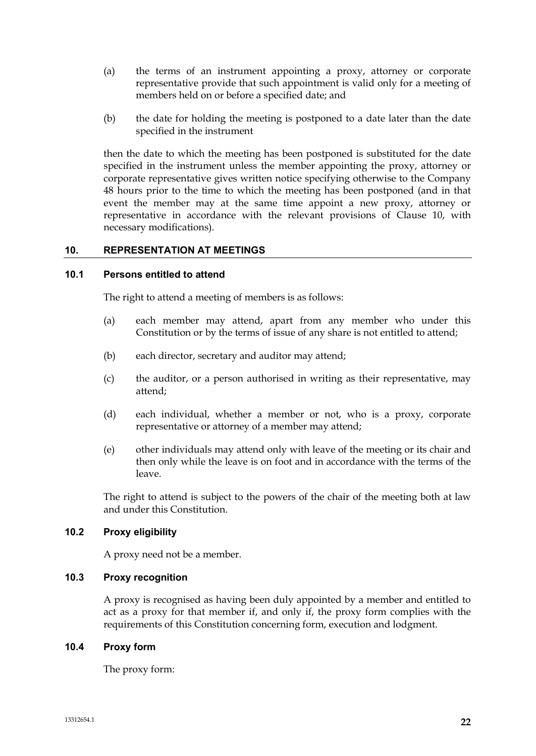- (a) the terms of an instrument appointing a proxy, attorney or corporate representative provide that such appointment is valid only for a meeting of members held on or before a specified date; and
- (b) the date for holding the meeting is postponed to a date later than the date specified in the instrument

then the date to which the meeting has been postponed is substituted for the date specified in the instrument unless the member appointing the proxy, attorney or corporate representative gives written notice specifying otherwise to the Company 48 hours prior to the time to which the meeting has been postponed (and in that event the member may at the same time appoint a new proxy, attorney or representative in accordance with the relevant provisions of Clause 10, with necessary modifications).

# **10. REPRESENTATION AT MEETINGS**

### **10.1 Persons entitled to attend**

The right to attend a meeting of members is as follows:

- (a) each member may attend, apart from any member who under this Constitution or by the terms of issue of any share is not entitled to attend;
- (b) each director, secretary and auditor may attend;
- (c) the auditor, or a person authorised in writing as their representative, may attend;
- (d) each individual, whether a member or not, who is a proxy, corporate representative or attorney of a member may attend;
- (e) other individuals may attend only with leave of the meeting or its chair and then only while the leave is on foot and in accordance with the terms of the leave.

The right to attend is subject to the powers of the chair of the meeting both at law and under this Constitution.

# **10.2 Proxy eligibility**

A proxy need not be a member.

# **10.3 Proxy recognition**

A proxy is recognised as having been duly appointed by a member and entitled to act as a proxy for that member if, and only if, the proxy form complies with the requirements of this Constitution concerning form, execution and lodgment.

### **10.4 Proxy form**

The proxy form: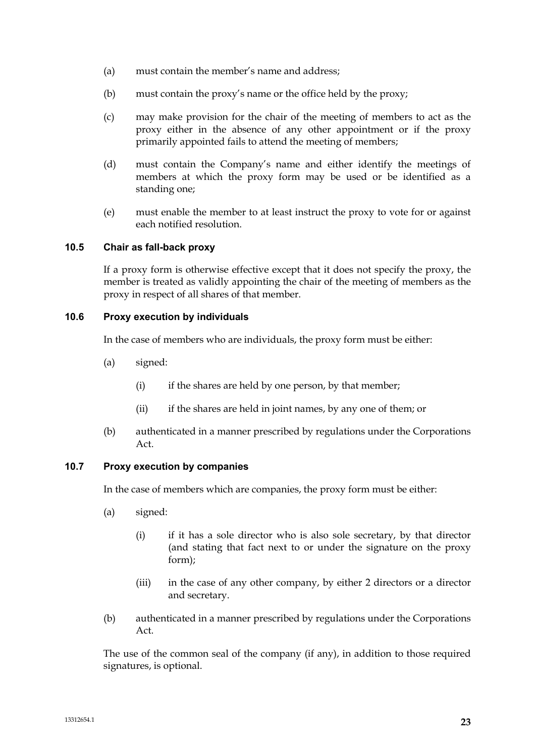- (a) must contain the member's name and address;
- (b) must contain the proxy's name or the office held by the proxy;
- (c) may make provision for the chair of the meeting of members to act as the proxy either in the absence of any other appointment or if the proxy primarily appointed fails to attend the meeting of members;
- (d) must contain the Company's name and either identify the meetings of members at which the proxy form may be used or be identified as a standing one;
- (e) must enable the member to at least instruct the proxy to vote for or against each notified resolution.

### **10.5 Chair as fall-back proxy**

If a proxy form is otherwise effective except that it does not specify the proxy, the member is treated as validly appointing the chair of the meeting of members as the proxy in respect of all shares of that member.

### **10.6 Proxy execution by individuals**

In the case of members who are individuals, the proxy form must be either:

- (a) signed:
	- (i) if the shares are held by one person, by that member;
	- (ii) if the shares are held in joint names, by any one of them; or
- (b) authenticated in a manner prescribed by regulations under the Corporations Act.

### **10.7 Proxy execution by companies**

In the case of members which are companies, the proxy form must be either:

- (a) signed:
	- (i) if it has a sole director who is also sole secretary, by that director (and stating that fact next to or under the signature on the proxy form);
	- (iii) in the case of any other company, by either 2 directors or a director and secretary.
- (b) authenticated in a manner prescribed by regulations under the Corporations Act.

The use of the common seal of the company (if any), in addition to those required signatures, is optional.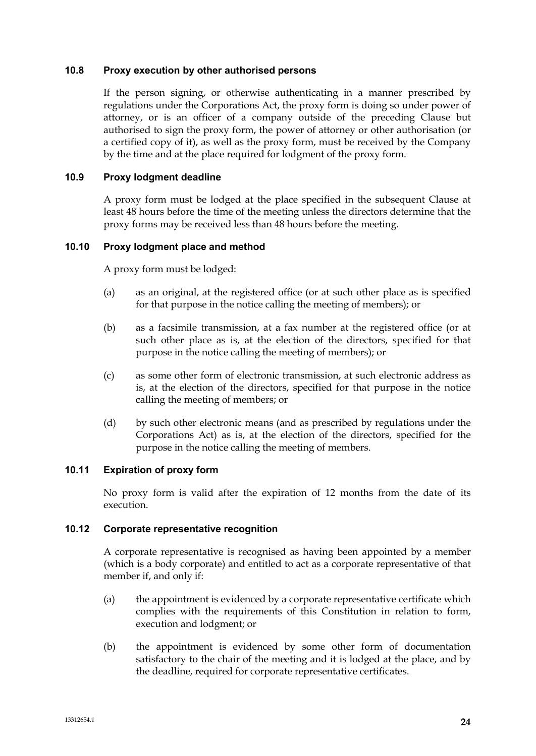### **10.8 Proxy execution by other authorised persons**

If the person signing, or otherwise authenticating in a manner prescribed by regulations under the Corporations Act, the proxy form is doing so under power of attorney, or is an officer of a company outside of the preceding Clause but authorised to sign the proxy form, the power of attorney or other authorisation (or a certified copy of it), as well as the proxy form, must be received by the Company by the time and at the place required for lodgment of the proxy form.

### **10.9 Proxy lodgment deadline**

A proxy form must be lodged at the place specified in the subsequent Clause at least 48 hours before the time of the meeting unless the directors determine that the proxy forms may be received less than 48 hours before the meeting.

### **10.10 Proxy lodgment place and method**

A proxy form must be lodged:

- (a) as an original, at the registered office (or at such other place as is specified for that purpose in the notice calling the meeting of members); or
- (b) as a facsimile transmission, at a fax number at the registered office (or at such other place as is, at the election of the directors, specified for that purpose in the notice calling the meeting of members); or
- (c) as some other form of electronic transmission, at such electronic address as is, at the election of the directors, specified for that purpose in the notice calling the meeting of members; or
- (d) by such other electronic means (and as prescribed by regulations under the Corporations Act) as is, at the election of the directors, specified for the purpose in the notice calling the meeting of members.

### **10.11 Expiration of proxy form**

No proxy form is valid after the expiration of 12 months from the date of its execution.

#### **10.12 Corporate representative recognition**

A corporate representative is recognised as having been appointed by a member (which is a body corporate) and entitled to act as a corporate representative of that member if, and only if:

- (a) the appointment is evidenced by a corporate representative certificate which complies with the requirements of this Constitution in relation to form, execution and lodgment; or
- (b) the appointment is evidenced by some other form of documentation satisfactory to the chair of the meeting and it is lodged at the place, and by the deadline, required for corporate representative certificates.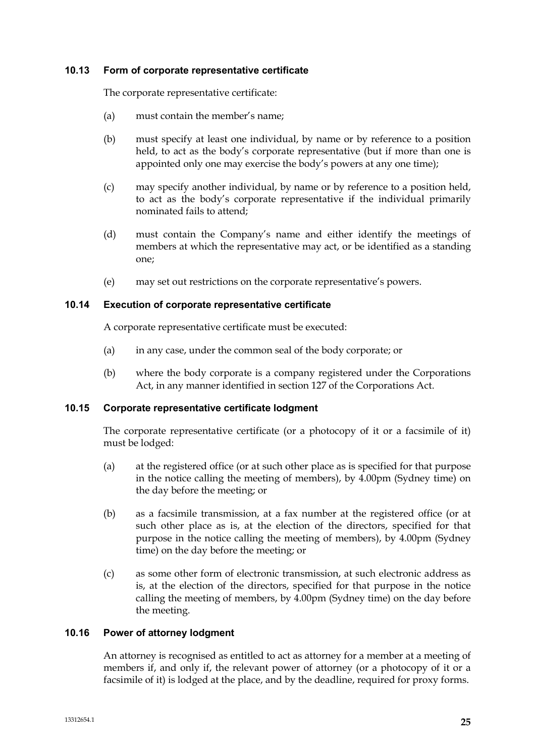#### **10.13 Form of corporate representative certificate**

The corporate representative certificate:

- (a) must contain the member's name;
- (b) must specify at least one individual, by name or by reference to a position held, to act as the body's corporate representative (but if more than one is appointed only one may exercise the body's powers at any one time);
- (c) may specify another individual, by name or by reference to a position held, to act as the body's corporate representative if the individual primarily nominated fails to attend;
- (d) must contain the Company's name and either identify the meetings of members at which the representative may act, or be identified as a standing one;
- (e) may set out restrictions on the corporate representative's powers.

### **10.14 Execution of corporate representative certificate**

A corporate representative certificate must be executed:

- (a) in any case, under the common seal of the body corporate; or
- (b) where the body corporate is a company registered under the Corporations Act, in any manner identified in section 127 of the Corporations Act.

# **10.15 Corporate representative certificate lodgment**

The corporate representative certificate (or a photocopy of it or a facsimile of it) must be lodged:

- (a) at the registered office (or at such other place as is specified for that purpose in the notice calling the meeting of members), by 4.00pm (Sydney time) on the day before the meeting; or
- (b) as a facsimile transmission, at a fax number at the registered office (or at such other place as is, at the election of the directors, specified for that purpose in the notice calling the meeting of members), by 4.00pm (Sydney time) on the day before the meeting; or
- (c) as some other form of electronic transmission, at such electronic address as is, at the election of the directors, specified for that purpose in the notice calling the meeting of members, by 4.00pm (Sydney time) on the day before the meeting.

# **10.16 Power of attorney lodgment**

An attorney is recognised as entitled to act as attorney for a member at a meeting of members if, and only if, the relevant power of attorney (or a photocopy of it or a facsimile of it) is lodged at the place, and by the deadline, required for proxy forms.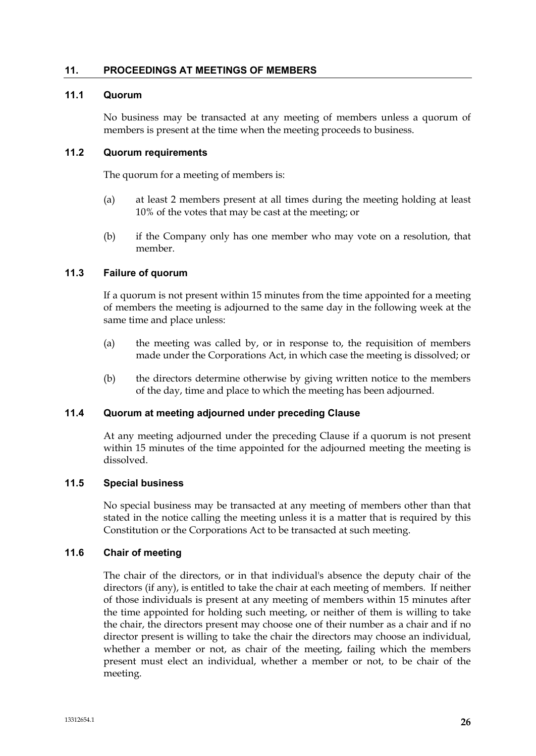### **11. PROCEEDINGS AT MEETINGS OF MEMBERS**

# **11.1 Quorum**

No business may be transacted at any meeting of members unless a quorum of members is present at the time when the meeting proceeds to business.

### **11.2 Quorum requirements**

The quorum for a meeting of members is:

- (a) at least 2 members present at all times during the meeting holding at least 10% of the votes that may be cast at the meeting; or
- (b) if the Company only has one member who may vote on a resolution, that member.

# **11.3 Failure of quorum**

If a quorum is not present within 15 minutes from the time appointed for a meeting of members the meeting is adjourned to the same day in the following week at the same time and place unless:

- (a) the meeting was called by, or in response to, the requisition of members made under the Corporations Act, in which case the meeting is dissolved; or
- (b) the directors determine otherwise by giving written notice to the members of the day, time and place to which the meeting has been adjourned.

#### **11.4 Quorum at meeting adjourned under preceding Clause**

At any meeting adjourned under the preceding Clause if a quorum is not present within 15 minutes of the time appointed for the adjourned meeting the meeting is dissolved.

### **11.5 Special business**

No special business may be transacted at any meeting of members other than that stated in the notice calling the meeting unless it is a matter that is required by this Constitution or the Corporations Act to be transacted at such meeting.

#### **11.6 Chair of meeting**

The chair of the directors, or in that individual's absence the deputy chair of the directors (if any), is entitled to take the chair at each meeting of members. If neither of those individuals is present at any meeting of members within 15 minutes after the time appointed for holding such meeting, or neither of them is willing to take the chair, the directors present may choose one of their number as a chair and if no director present is willing to take the chair the directors may choose an individual, whether a member or not, as chair of the meeting, failing which the members present must elect an individual, whether a member or not, to be chair of the meeting.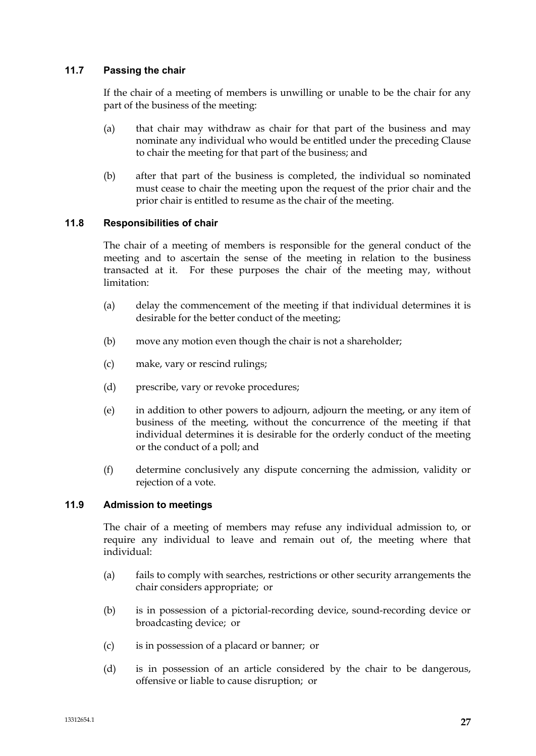# **11.7 Passing the chair**

If the chair of a meeting of members is unwilling or unable to be the chair for any part of the business of the meeting:

- (a) that chair may withdraw as chair for that part of the business and may nominate any individual who would be entitled under the preceding Clause to chair the meeting for that part of the business; and
- (b) after that part of the business is completed, the individual so nominated must cease to chair the meeting upon the request of the prior chair and the prior chair is entitled to resume as the chair of the meeting.

# **11.8 Responsibilities of chair**

The chair of a meeting of members is responsible for the general conduct of the meeting and to ascertain the sense of the meeting in relation to the business transacted at it. For these purposes the chair of the meeting may, without limitation:

- (a) delay the commencement of the meeting if that individual determines it is desirable for the better conduct of the meeting;
- (b) move any motion even though the chair is not a shareholder;
- (c) make, vary or rescind rulings;
- (d) prescribe, vary or revoke procedures;
- (e) in addition to other powers to adjourn, adjourn the meeting, or any item of business of the meeting, without the concurrence of the meeting if that individual determines it is desirable for the orderly conduct of the meeting or the conduct of a poll; and
- (f) determine conclusively any dispute concerning the admission, validity or rejection of a vote.

# **11.9 Admission to meetings**

The chair of a meeting of members may refuse any individual admission to, or require any individual to leave and remain out of, the meeting where that individual:

- (a) fails to comply with searches, restrictions or other security arrangements the chair considers appropriate; or
- (b) is in possession of a pictorial-recording device, sound-recording device or broadcasting device; or
- (c) is in possession of a placard or banner; or
- (d) is in possession of an article considered by the chair to be dangerous, offensive or liable to cause disruption; or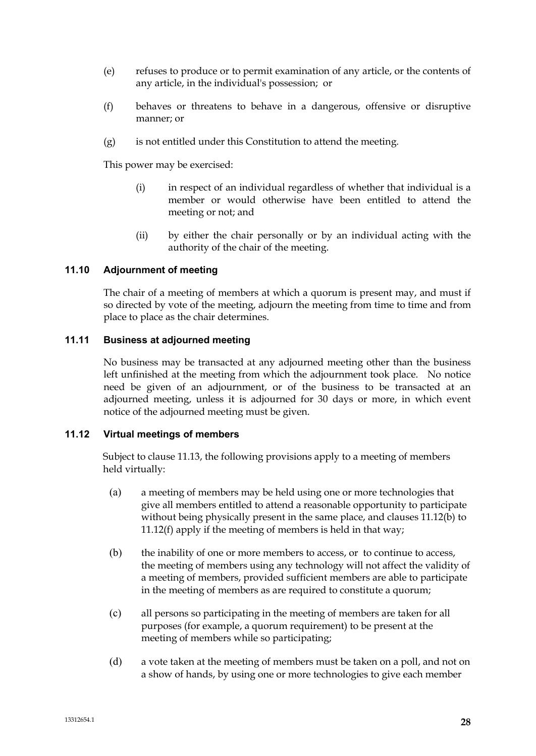- (e) refuses to produce or to permit examination of any article, or the contents of any article, in the individual's possession; or
- (f) behaves or threatens to behave in a dangerous, offensive or disruptive manner; or
- (g) is not entitled under this Constitution to attend the meeting.

This power may be exercised:

- (i) in respect of an individual regardless of whether that individual is a member or would otherwise have been entitled to attend the meeting or not; and
- (ii) by either the chair personally or by an individual acting with the authority of the chair of the meeting.

# **11.10 Adjournment of meeting**

The chair of a meeting of members at which a quorum is present may, and must if so directed by vote of the meeting, adjourn the meeting from time to time and from place to place as the chair determines.

# **11.11 Business at adjourned meeting**

No business may be transacted at any adjourned meeting other than the business left unfinished at the meeting from which the adjournment took place. No notice need be given of an adjournment, or of the business to be transacted at an adjourned meeting, unless it is adjourned for 30 days or more, in which event notice of the adjourned meeting must be given.

#### **11.12 Virtual meetings of members**

Subject to clause 11.13, the following provisions apply to a meeting of members held virtually:

- (a) a meeting of members may be held using one or more technologies that give all members entitled to attend a reasonable opportunity to participate without being physically present in the same place, and clauses 11.12(b) to 11.12(f) apply if the meeting of members is held in that way;
- (b) the inability of one or more members to access, or to continue to access, the meeting of members using any technology will not affect the validity of a meeting of members, provided sufficient members are able to participate in the meeting of members as are required to constitute a quorum;
- (c) all persons so participating in the meeting of members are taken for all purposes (for example, a quorum requirement) to be present at the meeting of members while so participating;
- (d) a vote taken at the meeting of members must be taken on a poll, and not on a show of hands, by using one or more technologies to give each member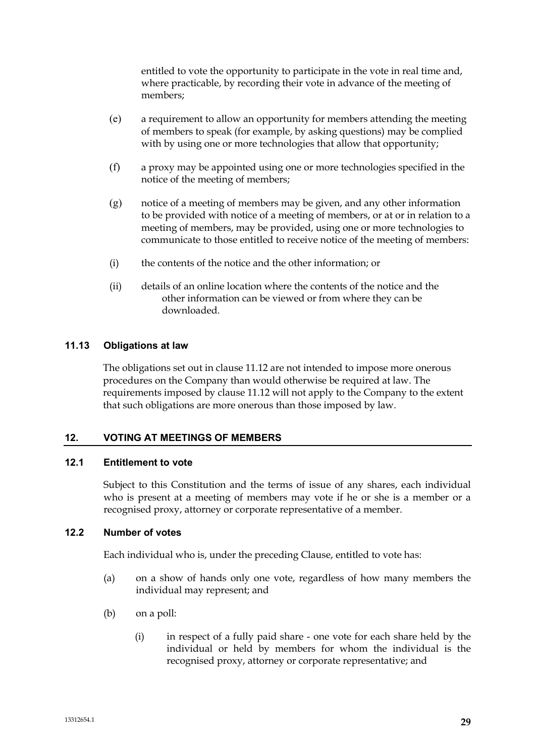entitled to vote the opportunity to participate in the vote in real time and, where practicable, by recording their vote in advance of the meeting of members;

- (e) a requirement to allow an opportunity for members attending the meeting of members to speak (for example, by asking questions) may be complied with by using one or more technologies that allow that opportunity;
- (f) a proxy may be appointed using one or more technologies specified in the notice of the meeting of members;
- (g) notice of a meeting of members may be given, and any other information to be provided with notice of a meeting of members, or at or in relation to a meeting of members, may be provided, using one or more technologies to communicate to those entitled to receive notice of the meeting of members:
- (i) the contents of the notice and the other information; or
- (ii) details of an online location where the contents of the notice and the other information can be viewed or from where they can be downloaded.

### **11.13 Obligations at law**

The obligations set out in clause 11.12 are not intended to impose more onerous procedures on the Company than would otherwise be required at law. The requirements imposed by clause 11.12 will not apply to the Company to the extent that such obligations are more onerous than those imposed by law.

# **12. VOTING AT MEETINGS OF MEMBERS**

### **12.1 Entitlement to vote**

Subject to this Constitution and the terms of issue of any shares, each individual who is present at a meeting of members may vote if he or she is a member or a recognised proxy, attorney or corporate representative of a member.

#### **12.2 Number of votes**

Each individual who is, under the preceding Clause, entitled to vote has:

- (a) on a show of hands only one vote, regardless of how many members the individual may represent; and
- (b) on a poll:
	- (i) in respect of a fully paid share one vote for each share held by the individual or held by members for whom the individual is the recognised proxy, attorney or corporate representative; and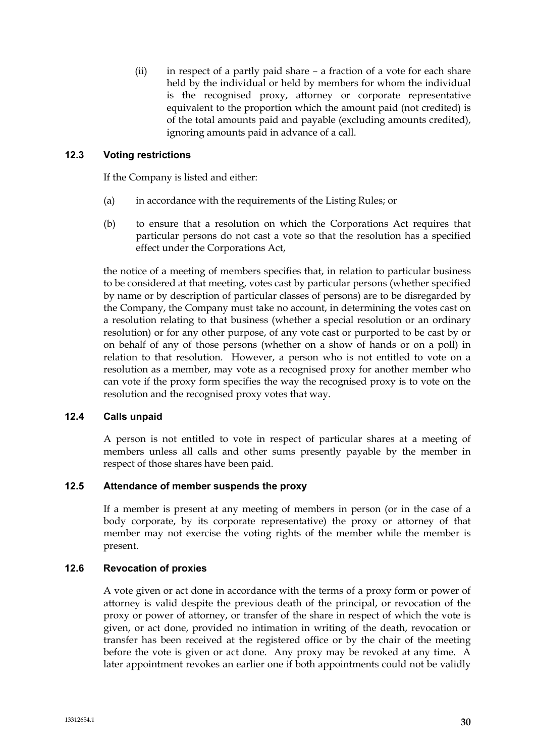(ii) in respect of a partly paid share – a fraction of a vote for each share held by the individual or held by members for whom the individual is the recognised proxy, attorney or corporate representative equivalent to the proportion which the amount paid (not credited) is of the total amounts paid and payable (excluding amounts credited), ignoring amounts paid in advance of a call.

# **12.3 Voting restrictions**

If the Company is listed and either:

- (a) in accordance with the requirements of the Listing Rules; or
- (b) to ensure that a resolution on which the Corporations Act requires that particular persons do not cast a vote so that the resolution has a specified effect under the Corporations Act,

the notice of a meeting of members specifies that, in relation to particular business to be considered at that meeting, votes cast by particular persons (whether specified by name or by description of particular classes of persons) are to be disregarded by the Company, the Company must take no account, in determining the votes cast on a resolution relating to that business (whether a special resolution or an ordinary resolution) or for any other purpose, of any vote cast or purported to be cast by or on behalf of any of those persons (whether on a show of hands or on a poll) in relation to that resolution. However, a person who is not entitled to vote on a resolution as a member, may vote as a recognised proxy for another member who can vote if the proxy form specifies the way the recognised proxy is to vote on the resolution and the recognised proxy votes that way.

# **12.4 Calls unpaid**

A person is not entitled to vote in respect of particular shares at a meeting of members unless all calls and other sums presently payable by the member in respect of those shares have been paid.

# **12.5 Attendance of member suspends the proxy**

If a member is present at any meeting of members in person (or in the case of a body corporate, by its corporate representative) the proxy or attorney of that member may not exercise the voting rights of the member while the member is present.

# **12.6 Revocation of proxies**

A vote given or act done in accordance with the terms of a proxy form or power of attorney is valid despite the previous death of the principal, or revocation of the proxy or power of attorney, or transfer of the share in respect of which the vote is given, or act done, provided no intimation in writing of the death, revocation or transfer has been received at the registered office or by the chair of the meeting before the vote is given or act done. Any proxy may be revoked at any time. A later appointment revokes an earlier one if both appointments could not be validly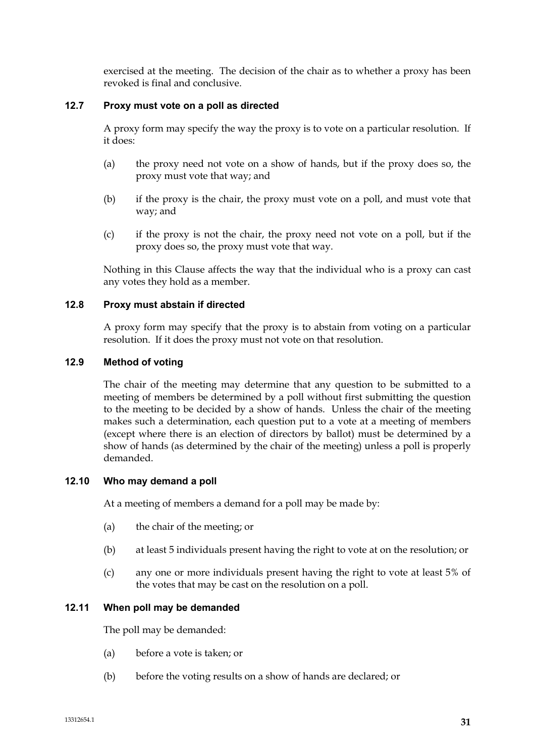exercised at the meeting. The decision of the chair as to whether a proxy has been revoked is final and conclusive.

# **12.7 Proxy must vote on a poll as directed**

A proxy form may specify the way the proxy is to vote on a particular resolution. If it does:

- (a) the proxy need not vote on a show of hands, but if the proxy does so, the proxy must vote that way; and
- (b) if the proxy is the chair, the proxy must vote on a poll, and must vote that way; and
- (c) if the proxy is not the chair, the proxy need not vote on a poll, but if the proxy does so, the proxy must vote that way.

Nothing in this Clause affects the way that the individual who is a proxy can cast any votes they hold as a member.

# **12.8 Proxy must abstain if directed**

A proxy form may specify that the proxy is to abstain from voting on a particular resolution. If it does the proxy must not vote on that resolution.

# **12.9 Method of voting**

The chair of the meeting may determine that any question to be submitted to a meeting of members be determined by a poll without first submitting the question to the meeting to be decided by a show of hands. Unless the chair of the meeting makes such a determination, each question put to a vote at a meeting of members (except where there is an election of directors by ballot) must be determined by a show of hands (as determined by the chair of the meeting) unless a poll is properly demanded.

# **12.10 Who may demand a poll**

At a meeting of members a demand for a poll may be made by:

- (a) the chair of the meeting; or
- (b) at least 5 individuals present having the right to vote at on the resolution; or
- (c) any one or more individuals present having the right to vote at least 5% of the votes that may be cast on the resolution on a poll.

# **12.11 When poll may be demanded**

The poll may be demanded:

- (a) before a vote is taken; or
- (b) before the voting results on a show of hands are declared; or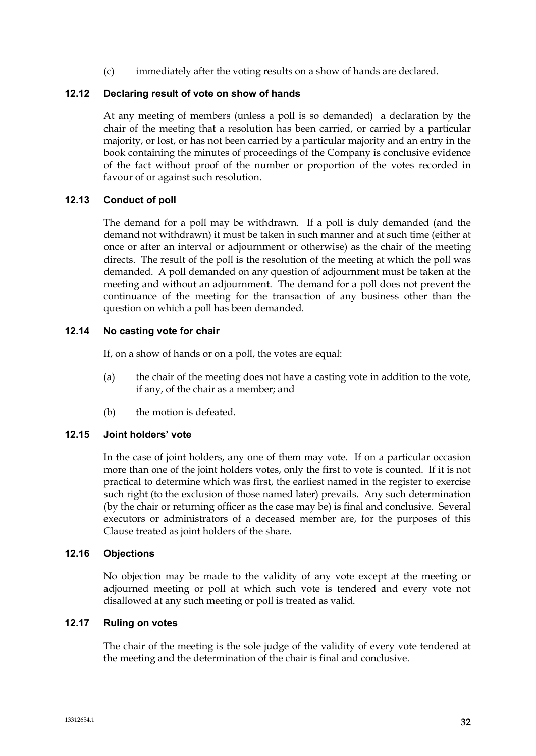(c) immediately after the voting results on a show of hands are declared.

### **12.12 Declaring result of vote on show of hands**

At any meeting of members (unless a poll is so demanded) a declaration by the chair of the meeting that a resolution has been carried, or carried by a particular majority, or lost, or has not been carried by a particular majority and an entry in the book containing the minutes of proceedings of the Company is conclusive evidence of the fact without proof of the number or proportion of the votes recorded in favour of or against such resolution.

### **12.13 Conduct of poll**

The demand for a poll may be withdrawn. If a poll is duly demanded (and the demand not withdrawn) it must be taken in such manner and at such time (either at once or after an interval or adjournment or otherwise) as the chair of the meeting directs. The result of the poll is the resolution of the meeting at which the poll was demanded. A poll demanded on any question of adjournment must be taken at the meeting and without an adjournment. The demand for a poll does not prevent the continuance of the meeting for the transaction of any business other than the question on which a poll has been demanded.

# **12.14 No casting vote for chair**

If, on a show of hands or on a poll, the votes are equal:

- (a) the chair of the meeting does not have a casting vote in addition to the vote, if any, of the chair as a member; and
- (b) the motion is defeated.

#### **12.15 Joint holders' vote**

In the case of joint holders, any one of them may vote. If on a particular occasion more than one of the joint holders votes, only the first to vote is counted. If it is not practical to determine which was first, the earliest named in the register to exercise such right (to the exclusion of those named later) prevails. Any such determination (by the chair or returning officer as the case may be) is final and conclusive. Several executors or administrators of a deceased member are, for the purposes of this Clause treated as joint holders of the share.

#### **12.16 Objections**

No objection may be made to the validity of any vote except at the meeting or adjourned meeting or poll at which such vote is tendered and every vote not disallowed at any such meeting or poll is treated as valid.

### **12.17 Ruling on votes**

The chair of the meeting is the sole judge of the validity of every vote tendered at the meeting and the determination of the chair is final and conclusive.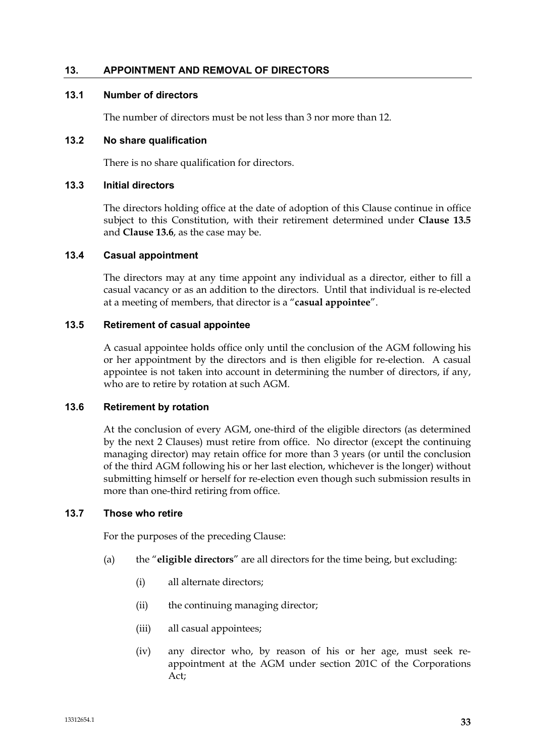### **13. APPOINTMENT AND REMOVAL OF DIRECTORS**

### **13.1 Number of directors**

The number of directors must be not less than 3 nor more than 12.

#### **13.2 No share qualification**

There is no share qualification for directors.

### **13.3 Initial directors**

The directors holding office at the date of adoption of this Clause continue in office subject to this Constitution, with their retirement determined under **Clause 13.5** and **Clause 13.6**, as the case may be.

#### **13.4 Casual appointment**

The directors may at any time appoint any individual as a director, either to fill a casual vacancy or as an addition to the directors. Until that individual is re-elected at a meeting of members, that director is a "**casual appointee**".

#### **13.5 Retirement of casual appointee**

A casual appointee holds office only until the conclusion of the AGM following his or her appointment by the directors and is then eligible for re-election. A casual appointee is not taken into account in determining the number of directors, if any, who are to retire by rotation at such AGM.

#### **13.6 Retirement by rotation**

At the conclusion of every AGM, one-third of the eligible directors (as determined by the next 2 Clauses) must retire from office. No director (except the continuing managing director) may retain office for more than 3 years (or until the conclusion of the third AGM following his or her last election, whichever is the longer) without submitting himself or herself for re-election even though such submission results in more than one-third retiring from office.

#### **13.7 Those who retire**

For the purposes of the preceding Clause:

- (a) the "**eligible directors**" are all directors for the time being, but excluding:
	- (i) all alternate directors;
	- (ii) the continuing managing director;
	- (iii) all casual appointees;
	- (iv) any director who, by reason of his or her age, must seek reappointment at the AGM under section 201C of the Corporations Act;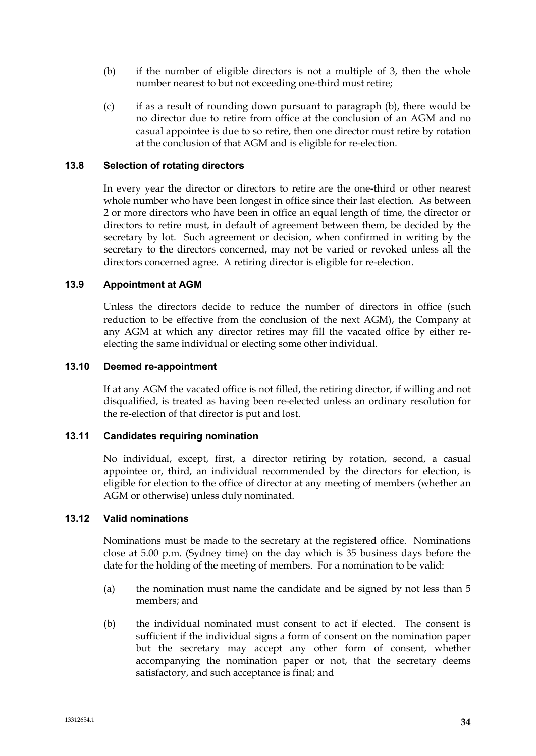- (b) if the number of eligible directors is not a multiple of 3, then the whole number nearest to but not exceeding one-third must retire;
- (c) if as a result of rounding down pursuant to paragraph (b), there would be no director due to retire from office at the conclusion of an AGM and no casual appointee is due to so retire, then one director must retire by rotation at the conclusion of that AGM and is eligible for re-election.

### **13.8 Selection of rotating directors**

In every year the director or directors to retire are the one-third or other nearest whole number who have been longest in office since their last election. As between 2 or more directors who have been in office an equal length of time, the director or directors to retire must, in default of agreement between them, be decided by the secretary by lot. Such agreement or decision, when confirmed in writing by the secretary to the directors concerned, may not be varied or revoked unless all the directors concerned agree. A retiring director is eligible for re-election.

### **13.9 Appointment at AGM**

Unless the directors decide to reduce the number of directors in office (such reduction to be effective from the conclusion of the next AGM), the Company at any AGM at which any director retires may fill the vacated office by either reelecting the same individual or electing some other individual.

#### **13.10 Deemed re-appointment**

If at any AGM the vacated office is not filled, the retiring director, if willing and not disqualified, is treated as having been re-elected unless an ordinary resolution for the re-election of that director is put and lost.

#### **13.11 Candidates requiring nomination**

No individual, except, first, a director retiring by rotation, second, a casual appointee or, third, an individual recommended by the directors for election, is eligible for election to the office of director at any meeting of members (whether an AGM or otherwise) unless duly nominated.

#### **13.12 Valid nominations**

Nominations must be made to the secretary at the registered office. Nominations close at 5.00 p.m. (Sydney time) on the day which is 35 business days before the date for the holding of the meeting of members. For a nomination to be valid:

- (a) the nomination must name the candidate and be signed by not less than 5 members; and
- (b) the individual nominated must consent to act if elected. The consent is sufficient if the individual signs a form of consent on the nomination paper but the secretary may accept any other form of consent, whether accompanying the nomination paper or not, that the secretary deems satisfactory, and such acceptance is final; and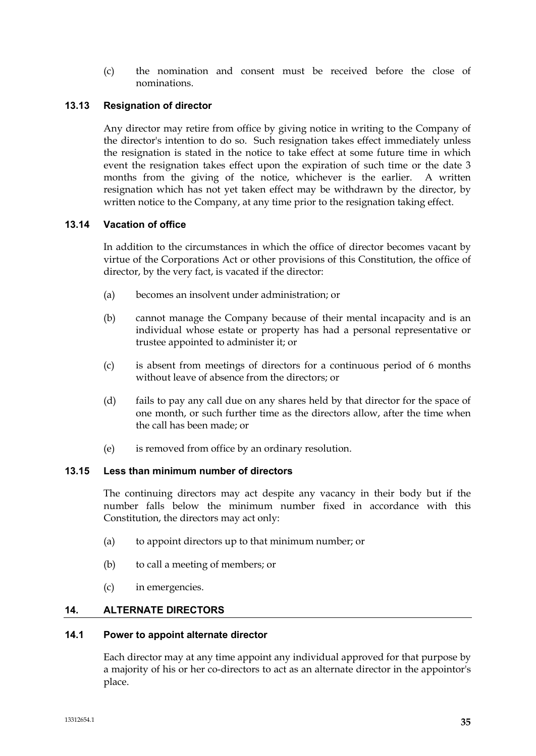(c) the nomination and consent must be received before the close of nominations.

# **13.13 Resignation of director**

Any director may retire from office by giving notice in writing to the Company of the director's intention to do so. Such resignation takes effect immediately unless the resignation is stated in the notice to take effect at some future time in which event the resignation takes effect upon the expiration of such time or the date 3 months from the giving of the notice, whichever is the earlier. A written resignation which has not yet taken effect may be withdrawn by the director, by written notice to the Company, at any time prior to the resignation taking effect.

# **13.14 Vacation of office**

In addition to the circumstances in which the office of director becomes vacant by virtue of the Corporations Act or other provisions of this Constitution, the office of director, by the very fact, is vacated if the director:

- (a) becomes an insolvent under administration; or
- (b) cannot manage the Company because of their mental incapacity and is an individual whose estate or property has had a personal representative or trustee appointed to administer it; or
- (c) is absent from meetings of directors for a continuous period of 6 months without leave of absence from the directors; or
- (d) fails to pay any call due on any shares held by that director for the space of one month, or such further time as the directors allow, after the time when the call has been made; or
- (e) is removed from office by an ordinary resolution.

# **13.15 Less than minimum number of directors**

The continuing directors may act despite any vacancy in their body but if the number falls below the minimum number fixed in accordance with this Constitution, the directors may act only:

- (a) to appoint directors up to that minimum number; or
- (b) to call a meeting of members; or
- (c) in emergencies.

# **14. ALTERNATE DIRECTORS**

#### **14.1 Power to appoint alternate director**

Each director may at any time appoint any individual approved for that purpose by a majority of his or her co-directors to act as an alternate director in the appointor's place.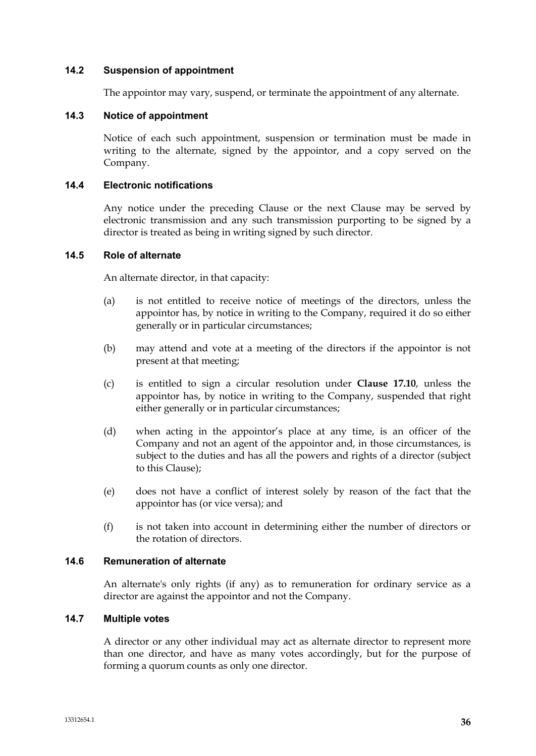### **14.2 Suspension of appointment**

The appointor may vary, suspend, or terminate the appointment of any alternate.

### **14.3 Notice of appointment**

Notice of each such appointment, suspension or termination must be made in writing to the alternate, signed by the appointor, and a copy served on the Company.

### **14.4 Electronic notifications**

Any notice under the preceding Clause or the next Clause may be served by electronic transmission and any such transmission purporting to be signed by a director is treated as being in writing signed by such director.

### **14.5 Role of alternate**

An alternate director, in that capacity:

- (a) is not entitled to receive notice of meetings of the directors, unless the appointor has, by notice in writing to the Company, required it do so either generally or in particular circumstances;
- (b) may attend and vote at a meeting of the directors if the appointor is not present at that meeting;
- (c) is entitled to sign a circular resolution under **Clause 17.10**, unless the appointor has, by notice in writing to the Company, suspended that right either generally or in particular circumstances;
- (d) when acting in the appointor's place at any time, is an officer of the Company and not an agent of the appointor and, in those circumstances, is subject to the duties and has all the powers and rights of a director (subject to this Clause);
- (e) does not have a conflict of interest solely by reason of the fact that the appointor has (or vice versa); and
- (f) is not taken into account in determining either the number of directors or the rotation of directors.

### **14.6 Remuneration of alternate**

An alternate's only rights (if any) as to remuneration for ordinary service as a director are against the appointor and not the Company.

### **14.7 Multiple votes**

A director or any other individual may act as alternate director to represent more than one director, and have as many votes accordingly, but for the purpose of forming a quorum counts as only one director.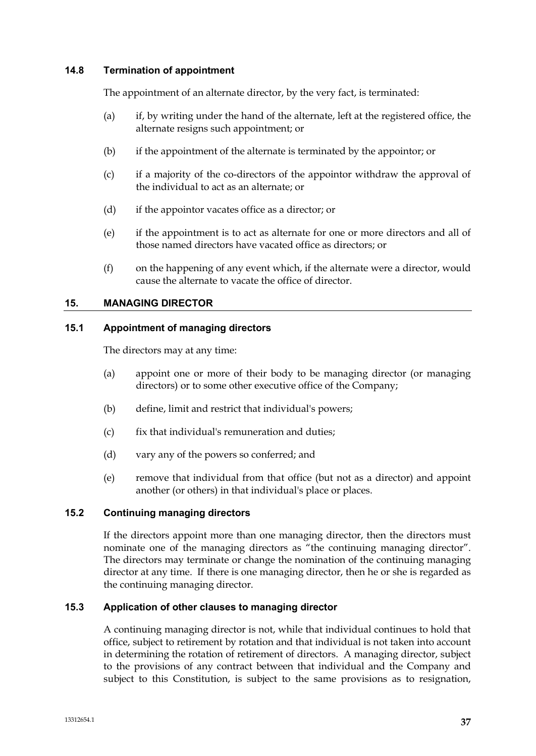### **14.8 Termination of appointment**

The appointment of an alternate director, by the very fact, is terminated:

- (a) if, by writing under the hand of the alternate, left at the registered office, the alternate resigns such appointment; or
- (b) if the appointment of the alternate is terminated by the appointor; or
- (c) if a majority of the co-directors of the appointor withdraw the approval of the individual to act as an alternate; or
- (d) if the appointor vacates office as a director; or
- (e) if the appointment is to act as alternate for one or more directors and all of those named directors have vacated office as directors; or
- (f) on the happening of any event which, if the alternate were a director, would cause the alternate to vacate the office of director.

### **15. MANAGING DIRECTOR**

### **15.1 Appointment of managing directors**

The directors may at any time:

- (a) appoint one or more of their body to be managing director (or managing directors) or to some other executive office of the Company;
- (b) define, limit and restrict that individual's powers;
- (c) fix that individual's remuneration and duties;
- (d) vary any of the powers so conferred; and
- (e) remove that individual from that office (but not as a director) and appoint another (or others) in that individual's place or places.

# **15.2 Continuing managing directors**

If the directors appoint more than one managing director, then the directors must nominate one of the managing directors as "the continuing managing director". The directors may terminate or change the nomination of the continuing managing director at any time. If there is one managing director, then he or she is regarded as the continuing managing director.

#### **15.3 Application of other clauses to managing director**

A continuing managing director is not, while that individual continues to hold that office, subject to retirement by rotation and that individual is not taken into account in determining the rotation of retirement of directors. A managing director, subject to the provisions of any contract between that individual and the Company and subject to this Constitution, is subject to the same provisions as to resignation,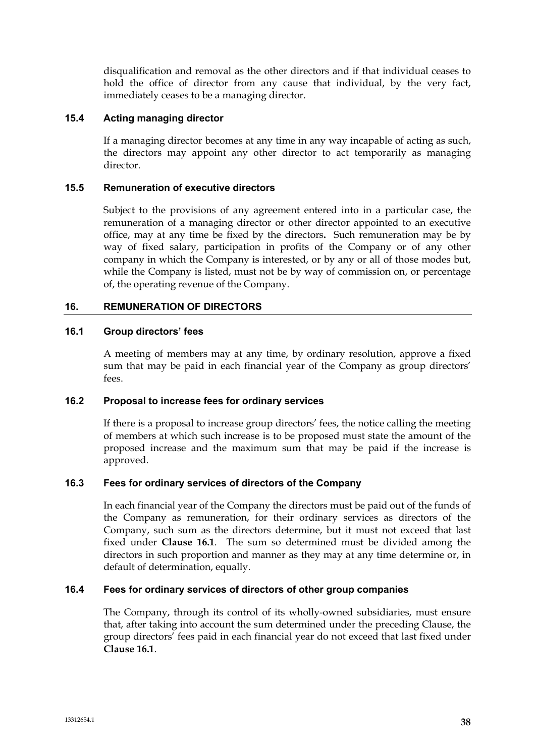disqualification and removal as the other directors and if that individual ceases to hold the office of director from any cause that individual, by the very fact, immediately ceases to be a managing director.

# **15.4 Acting managing director**

If a managing director becomes at any time in any way incapable of acting as such, the directors may appoint any other director to act temporarily as managing director.

### **15.5 Remuneration of executive directors**

Subject to the provisions of any agreement entered into in a particular case, the remuneration of a managing director or other director appointed to an executive office, may at any time be fixed by the directors**.** Such remuneration may be by way of fixed salary, participation in profits of the Company or of any other company in which the Company is interested, or by any or all of those modes but, while the Company is listed, must not be by way of commission on, or percentage of, the operating revenue of the Company.

# **16. REMUNERATION OF DIRECTORS**

### **16.1 Group directors' fees**

A meeting of members may at any time, by ordinary resolution, approve a fixed sum that may be paid in each financial year of the Company as group directors' fees.

# **16.2 Proposal to increase fees for ordinary services**

If there is a proposal to increase group directors' fees, the notice calling the meeting of members at which such increase is to be proposed must state the amount of the proposed increase and the maximum sum that may be paid if the increase is approved.

# **16.3 Fees for ordinary services of directors of the Company**

In each financial year of the Company the directors must be paid out of the funds of the Company as remuneration, for their ordinary services as directors of the Company, such sum as the directors determine, but it must not exceed that last fixed under **Clause 16.1**. The sum so determined must be divided among the directors in such proportion and manner as they may at any time determine or, in default of determination, equally.

# **16.4 Fees for ordinary services of directors of other group companies**

The Company, through its control of its wholly-owned subsidiaries, must ensure that, after taking into account the sum determined under the preceding Clause, the group directors' fees paid in each financial year do not exceed that last fixed under **Clause 16.1**.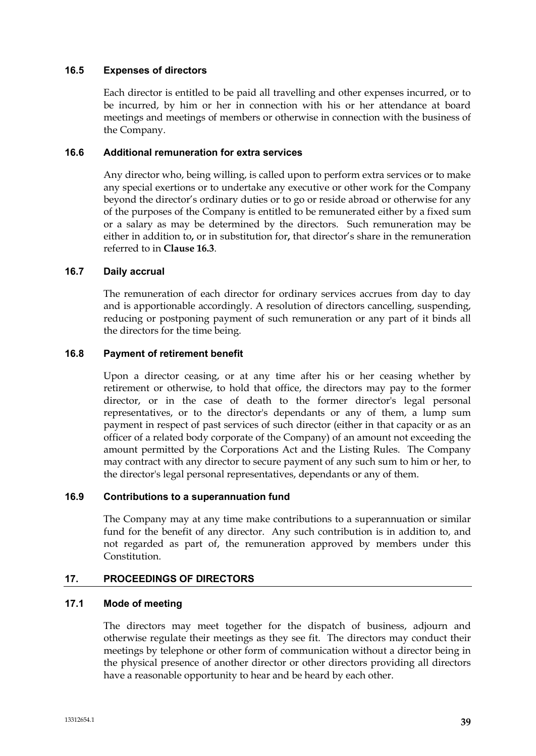### **16.5 Expenses of directors**

Each director is entitled to be paid all travelling and other expenses incurred, or to be incurred, by him or her in connection with his or her attendance at board meetings and meetings of members or otherwise in connection with the business of the Company.

# **16.6 Additional remuneration for extra services**

Any director who, being willing, is called upon to perform extra services or to make any special exertions or to undertake any executive or other work for the Company beyond the director's ordinary duties or to go or reside abroad or otherwise for any of the purposes of the Company is entitled to be remunerated either by a fixed sum or a salary as may be determined by the directors. Such remuneration may be either in addition to**,** or in substitution for**,** that director's share in the remuneration referred to in **Clause 16.3**.

### **16.7 Daily accrual**

The remuneration of each director for ordinary services accrues from day to day and is apportionable accordingly. A resolution of directors cancelling, suspending, reducing or postponing payment of such remuneration or any part of it binds all the directors for the time being.

### **16.8 Payment of retirement benefit**

Upon a director ceasing, or at any time after his or her ceasing whether by retirement or otherwise, to hold that office, the directors may pay to the former director, or in the case of death to the former director's legal personal representatives, or to the director's dependants or any of them, a lump sum payment in respect of past services of such director (either in that capacity or as an officer of a related body corporate of the Company) of an amount not exceeding the amount permitted by the Corporations Act and the Listing Rules. The Company may contract with any director to secure payment of any such sum to him or her, to the director's legal personal representatives, dependants or any of them.

# **16.9 Contributions to a superannuation fund**

The Company may at any time make contributions to a superannuation or similar fund for the benefit of any director. Any such contribution is in addition to, and not regarded as part of, the remuneration approved by members under this Constitution.

# **17. PROCEEDINGS OF DIRECTORS**

### **17.1 Mode of meeting**

The directors may meet together for the dispatch of business, adjourn and otherwise regulate their meetings as they see fit. The directors may conduct their meetings by telephone or other form of communication without a director being in the physical presence of another director or other directors providing all directors have a reasonable opportunity to hear and be heard by each other.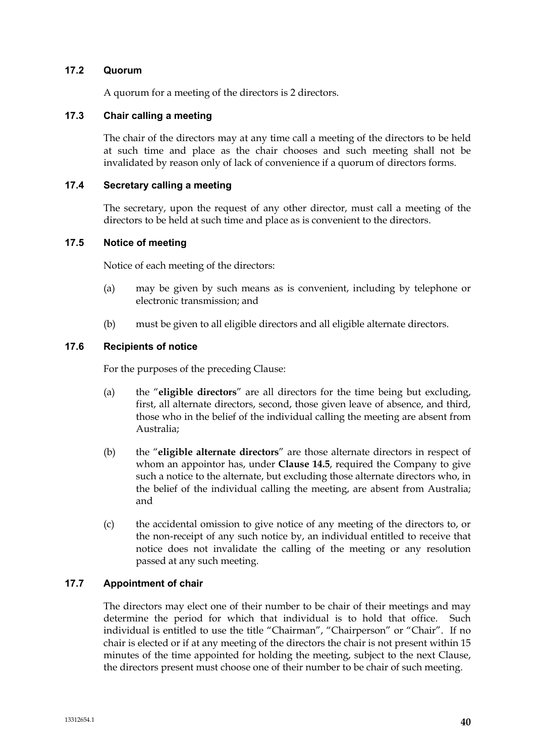### **17.2 Quorum**

A quorum for a meeting of the directors is 2 directors.

# **17.3 Chair calling a meeting**

The chair of the directors may at any time call a meeting of the directors to be held at such time and place as the chair chooses and such meeting shall not be invalidated by reason only of lack of convenience if a quorum of directors forms.

# **17.4 Secretary calling a meeting**

The secretary, upon the request of any other director, must call a meeting of the directors to be held at such time and place as is convenient to the directors.

### **17.5 Notice of meeting**

Notice of each meeting of the directors:

- (a) may be given by such means as is convenient, including by telephone or electronic transmission; and
- (b) must be given to all eligible directors and all eligible alternate directors.

### **17.6 Recipients of notice**

For the purposes of the preceding Clause:

- (a) the "**eligible directors**" are all directors for the time being but excluding, first, all alternate directors, second, those given leave of absence, and third, those who in the belief of the individual calling the meeting are absent from Australia;
- (b) the "**eligible alternate directors**" are those alternate directors in respect of whom an appointor has, under **Clause 14.5**, required the Company to give such a notice to the alternate, but excluding those alternate directors who, in the belief of the individual calling the meeting, are absent from Australia; and
- (c) the accidental omission to give notice of any meeting of the directors to, or the non-receipt of any such notice by, an individual entitled to receive that notice does not invalidate the calling of the meeting or any resolution passed at any such meeting.

# **17.7 Appointment of chair**

The directors may elect one of their number to be chair of their meetings and may determine the period for which that individual is to hold that office. Such individual is entitled to use the title "Chairman", "Chairperson" or "Chair". If no chair is elected or if at any meeting of the directors the chair is not present within 15 minutes of the time appointed for holding the meeting, subject to the next Clause, the directors present must choose one of their number to be chair of such meeting.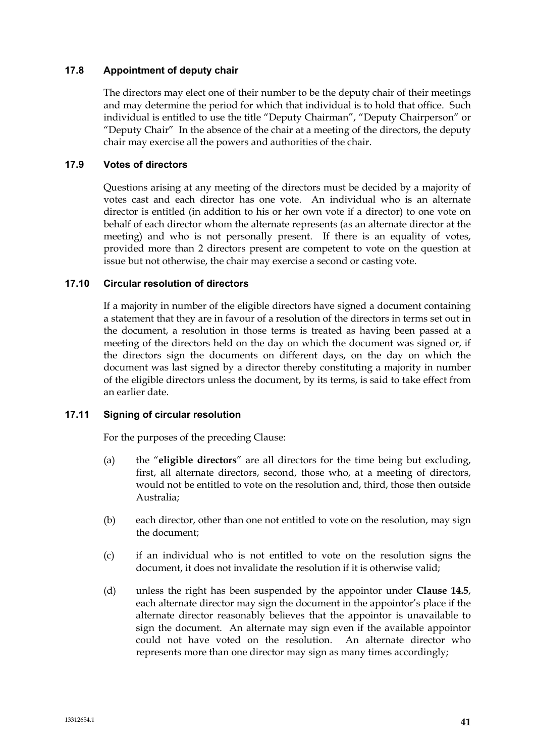### **17.8 Appointment of deputy chair**

The directors may elect one of their number to be the deputy chair of their meetings and may determine the period for which that individual is to hold that office. Such individual is entitled to use the title "Deputy Chairman", "Deputy Chairperson" or "Deputy Chair" In the absence of the chair at a meeting of the directors, the deputy chair may exercise all the powers and authorities of the chair.

### **17.9 Votes of directors**

Questions arising at any meeting of the directors must be decided by a majority of votes cast and each director has one vote. An individual who is an alternate director is entitled (in addition to his or her own vote if a director) to one vote on behalf of each director whom the alternate represents (as an alternate director at the meeting) and who is not personally present. If there is an equality of votes, provided more than 2 directors present are competent to vote on the question at issue but not otherwise, the chair may exercise a second or casting vote.

### **17.10 Circular resolution of directors**

If a majority in number of the eligible directors have signed a document containing a statement that they are in favour of a resolution of the directors in terms set out in the document, a resolution in those terms is treated as having been passed at a meeting of the directors held on the day on which the document was signed or, if the directors sign the documents on different days, on the day on which the document was last signed by a director thereby constituting a majority in number of the eligible directors unless the document, by its terms, is said to take effect from an earlier date.

# **17.11 Signing of circular resolution**

For the purposes of the preceding Clause:

- (a) the "**eligible directors**" are all directors for the time being but excluding, first, all alternate directors, second, those who, at a meeting of directors, would not be entitled to vote on the resolution and, third, those then outside Australia;
- (b) each director, other than one not entitled to vote on the resolution, may sign the document;
- (c) if an individual who is not entitled to vote on the resolution signs the document, it does not invalidate the resolution if it is otherwise valid;
- (d) unless the right has been suspended by the appointor under **Clause 14.5**, each alternate director may sign the document in the appointor's place if the alternate director reasonably believes that the appointor is unavailable to sign the document. An alternate may sign even if the available appointor could not have voted on the resolution. An alternate director who represents more than one director may sign as many times accordingly;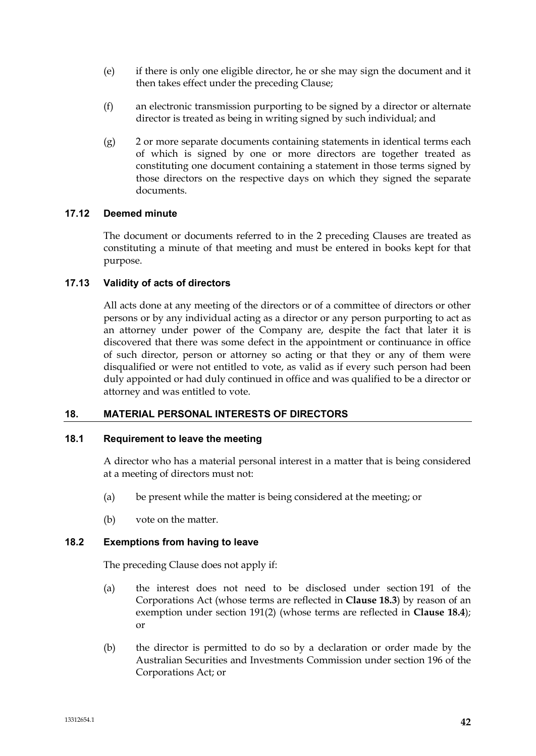- (e) if there is only one eligible director, he or she may sign the document and it then takes effect under the preceding Clause;
- (f) an electronic transmission purporting to be signed by a director or alternate director is treated as being in writing signed by such individual; and
- (g) 2 or more separate documents containing statements in identical terms each of which is signed by one or more directors are together treated as constituting one document containing a statement in those terms signed by those directors on the respective days on which they signed the separate documents.

# **17.12 Deemed minute**

The document or documents referred to in the 2 preceding Clauses are treated as constituting a minute of that meeting and must be entered in books kept for that purpose.

# **17.13 Validity of acts of directors**

All acts done at any meeting of the directors or of a committee of directors or other persons or by any individual acting as a director or any person purporting to act as an attorney under power of the Company are, despite the fact that later it is discovered that there was some defect in the appointment or continuance in office of such director, person or attorney so acting or that they or any of them were disqualified or were not entitled to vote, as valid as if every such person had been duly appointed or had duly continued in office and was qualified to be a director or attorney and was entitled to vote.

# **18. MATERIAL PERSONAL INTERESTS OF DIRECTORS**

# **18.1 Requirement to leave the meeting**

A director who has a material personal interest in a matter that is being considered at a meeting of directors must not:

- (a) be present while the matter is being considered at the meeting; or
- (b) vote on the matter.

# **18.2 Exemptions from having to leave**

The preceding Clause does not apply if:

- (a) the interest does not need to be disclosed under section 191 of the Corporations Act (whose terms are reflected in **Clause 18.3**) by reason of an exemption under section 191(2) (whose terms are reflected in **Clause 18.4**); or
- (b) the director is permitted to do so by a declaration or order made by the Australian Securities and Investments Commission under section 196 of the Corporations Act; or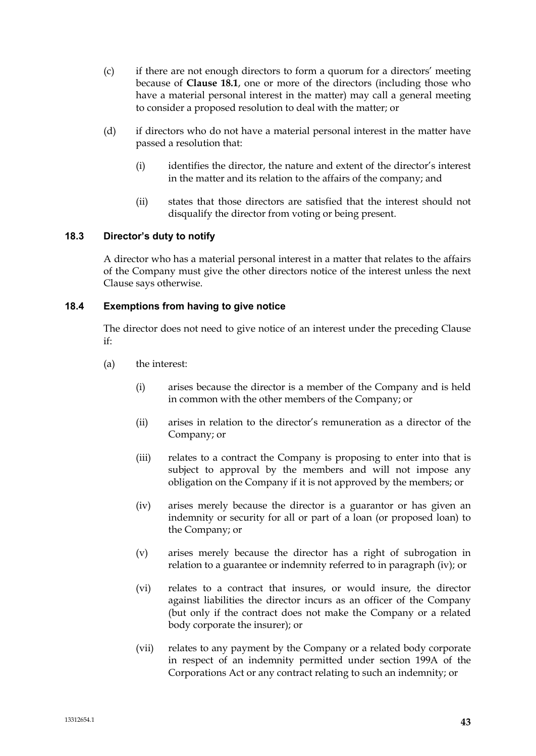- (c) if there are not enough directors to form a quorum for a directors' meeting because of **Clause 18.1**, one or more of the directors (including those who have a material personal interest in the matter) may call a general meeting to consider a proposed resolution to deal with the matter; or
- (d) if directors who do not have a material personal interest in the matter have passed a resolution that:
	- (i) identifies the director, the nature and extent of the director's interest in the matter and its relation to the affairs of the company; and
	- (ii) states that those directors are satisfied that the interest should not disqualify the director from voting or being present.

# **18.3 Director's duty to notify**

A director who has a material personal interest in a matter that relates to the affairs of the Company must give the other directors notice of the interest unless the next Clause says otherwise.

### **18.4 Exemptions from having to give notice**

The director does not need to give notice of an interest under the preceding Clause if:

- (a) the interest:
	- (i) arises because the director is a member of the Company and is held in common with the other members of the Company; or
	- (ii) arises in relation to the director's remuneration as a director of the Company; or
	- (iii) relates to a contract the Company is proposing to enter into that is subject to approval by the members and will not impose any obligation on the Company if it is not approved by the members; or
	- (iv) arises merely because the director is a guarantor or has given an indemnity or security for all or part of a loan (or proposed loan) to the Company; or
	- (v) arises merely because the director has a right of subrogation in relation to a guarantee or indemnity referred to in paragraph (iv); or
	- (vi) relates to a contract that insures, or would insure, the director against liabilities the director incurs as an officer of the Company (but only if the contract does not make the Company or a related body corporate the insurer); or
	- (vii) relates to any payment by the Company or a related body corporate in respect of an indemnity permitted under section 199A of the Corporations Act or any contract relating to such an indemnity; or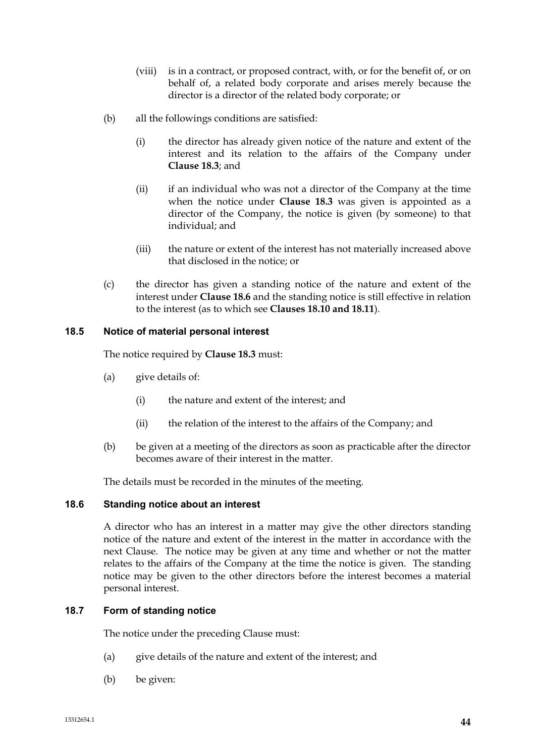- (viii) is in a contract, or proposed contract, with, or for the benefit of, or on behalf of, a related body corporate and arises merely because the director is a director of the related body corporate; or
- (b) all the followings conditions are satisfied:
	- (i) the director has already given notice of the nature and extent of the interest and its relation to the affairs of the Company under **Clause 18.3**; and
	- (ii) if an individual who was not a director of the Company at the time when the notice under **Clause 18.3** was given is appointed as a director of the Company, the notice is given (by someone) to that individual; and
	- (iii) the nature or extent of the interest has not materially increased above that disclosed in the notice; or
- (c) the director has given a standing notice of the nature and extent of the interest under **Clause 18.6** and the standing notice is still effective in relation to the interest (as to which see **Clauses 18.10 and 18.11**).

# **18.5 Notice of material personal interest**

The notice required by **Clause 18.3** must:

- (a) give details of:
	- (i) the nature and extent of the interest; and
	- (ii) the relation of the interest to the affairs of the Company; and
- (b) be given at a meeting of the directors as soon as practicable after the director becomes aware of their interest in the matter.

The details must be recorded in the minutes of the meeting.

# **18.6 Standing notice about an interest**

A director who has an interest in a matter may give the other directors standing notice of the nature and extent of the interest in the matter in accordance with the next Clause. The notice may be given at any time and whether or not the matter relates to the affairs of the Company at the time the notice is given. The standing notice may be given to the other directors before the interest becomes a material personal interest.

# **18.7 Form of standing notice**

The notice under the preceding Clause must:

- (a) give details of the nature and extent of the interest; and
- (b) be given: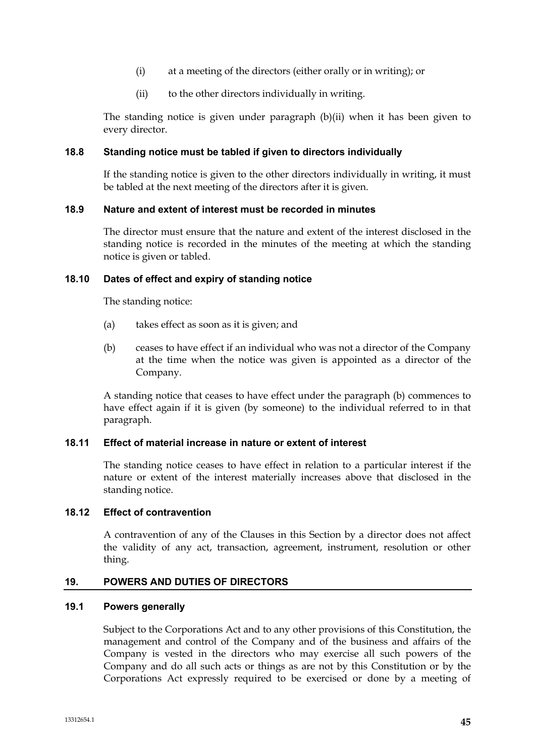- (i) at a meeting of the directors (either orally or in writing); or
- (ii) to the other directors individually in writing.

The standing notice is given under paragraph (b)(ii) when it has been given to every director.

### **18.8 Standing notice must be tabled if given to directors individually**

If the standing notice is given to the other directors individually in writing, it must be tabled at the next meeting of the directors after it is given.

### **18.9 Nature and extent of interest must be recorded in minutes**

The director must ensure that the nature and extent of the interest disclosed in the standing notice is recorded in the minutes of the meeting at which the standing notice is given or tabled.

### **18.10 Dates of effect and expiry of standing notice**

The standing notice:

- (a) takes effect as soon as it is given; and
- (b) ceases to have effect if an individual who was not a director of the Company at the time when the notice was given is appointed as a director of the Company.

A standing notice that ceases to have effect under the paragraph (b) commences to have effect again if it is given (by someone) to the individual referred to in that paragraph.

#### **18.11 Effect of material increase in nature or extent of interest**

The standing notice ceases to have effect in relation to a particular interest if the nature or extent of the interest materially increases above that disclosed in the standing notice.

# **18.12 Effect of contravention**

A contravention of any of the Clauses in this Section by a director does not affect the validity of any act, transaction, agreement, instrument, resolution or other thing.

#### **19. POWERS AND DUTIES OF DIRECTORS**

### **19.1 Powers generally**

Subject to the Corporations Act and to any other provisions of this Constitution, the management and control of the Company and of the business and affairs of the Company is vested in the directors who may exercise all such powers of the Company and do all such acts or things as are not by this Constitution or by the Corporations Act expressly required to be exercised or done by a meeting of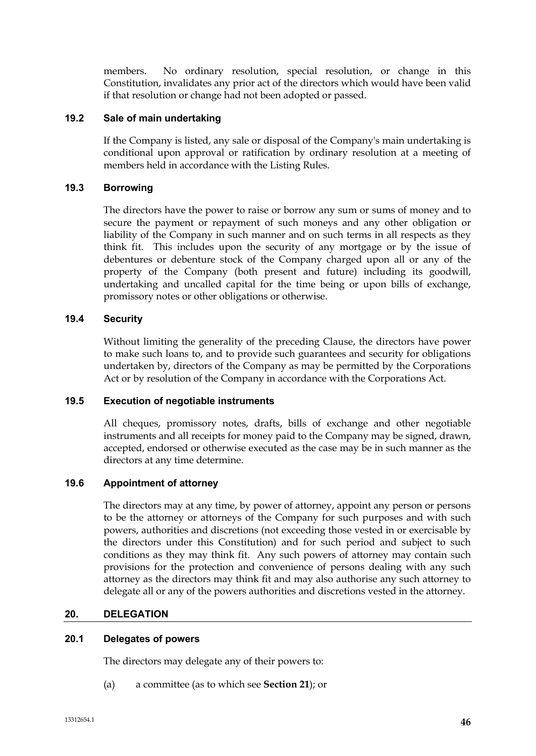members. No ordinary resolution, special resolution, or change in this Constitution, invalidates any prior act of the directors which would have been valid if that resolution or change had not been adopted or passed.

# **19.2 Sale of main undertaking**

If the Company is listed, any sale or disposal of the Company's main undertaking is conditional upon approval or ratification by ordinary resolution at a meeting of members held in accordance with the Listing Rules.

# **19.3 Borrowing**

The directors have the power to raise or borrow any sum or sums of money and to secure the payment or repayment of such moneys and any other obligation or liability of the Company in such manner and on such terms in all respects as they think fit. This includes upon the security of any mortgage or by the issue of debentures or debenture stock of the Company charged upon all or any of the property of the Company (both present and future) including its goodwill, undertaking and uncalled capital for the time being or upon bills of exchange, promissory notes or other obligations or otherwise.

# **19.4 Security**

Without limiting the generality of the preceding Clause, the directors have power to make such loans to, and to provide such guarantees and security for obligations undertaken by, directors of the Company as may be permitted by the Corporations Act or by resolution of the Company in accordance with the Corporations Act.

# **19.5 Execution of negotiable instruments**

All cheques, promissory notes, drafts, bills of exchange and other negotiable instruments and all receipts for money paid to the Company may be signed, drawn, accepted, endorsed or otherwise executed as the case may be in such manner as the directors at any time determine.

# **19.6 Appointment of attorney**

The directors may at any time, by power of attorney, appoint any person or persons to be the attorney or attorneys of the Company for such purposes and with such powers, authorities and discretions (not exceeding those vested in or exercisable by the directors under this Constitution) and for such period and subject to such conditions as they may think fit. Any such powers of attorney may contain such provisions for the protection and convenience of persons dealing with any such attorney as the directors may think fit and may also authorise any such attorney to delegate all or any of the powers authorities and discretions vested in the attorney.

# **20. DELEGATION**

# **20.1 Delegates of powers**

The directors may delegate any of their powers to:

(a) a committee (as to which see **Section 21**); or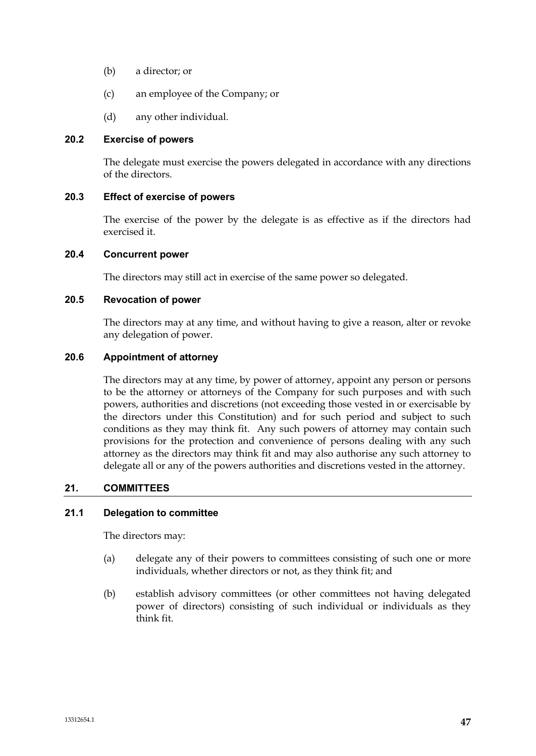- (b) a director; or
- (c) an employee of the Company; or
- (d) any other individual.

### **20.2 Exercise of powers**

The delegate must exercise the powers delegated in accordance with any directions of the directors.

# **20.3 Effect of exercise of powers**

The exercise of the power by the delegate is as effective as if the directors had exercised it.

### **20.4 Concurrent power**

The directors may still act in exercise of the same power so delegated.

### **20.5 Revocation of power**

The directors may at any time, and without having to give a reason, alter or revoke any delegation of power.

# **20.6 Appointment of attorney**

The directors may at any time, by power of attorney, appoint any person or persons to be the attorney or attorneys of the Company for such purposes and with such powers, authorities and discretions (not exceeding those vested in or exercisable by the directors under this Constitution) and for such period and subject to such conditions as they may think fit. Any such powers of attorney may contain such provisions for the protection and convenience of persons dealing with any such attorney as the directors may think fit and may also authorise any such attorney to delegate all or any of the powers authorities and discretions vested in the attorney.

# **21. COMMITTEES**

# **21.1 Delegation to committee**

The directors may:

- (a) delegate any of their powers to committees consisting of such one or more individuals, whether directors or not, as they think fit; and
- (b) establish advisory committees (or other committees not having delegated power of directors) consisting of such individual or individuals as they think fit.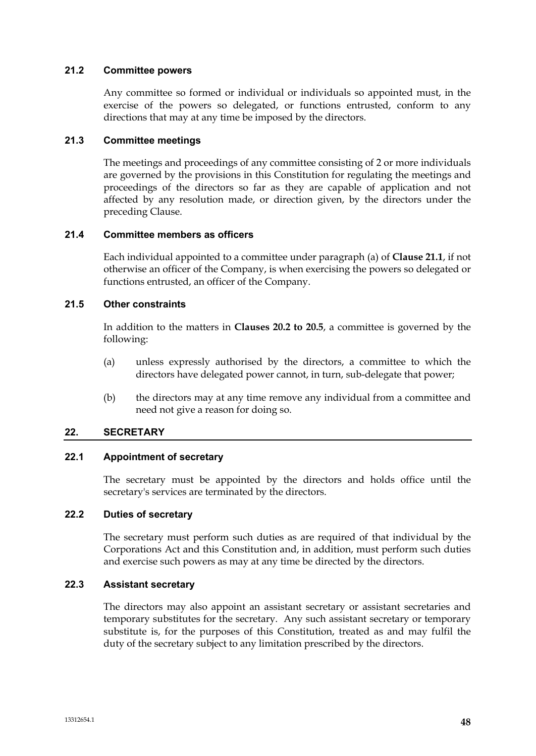### **21.2 Committee powers**

Any committee so formed or individual or individuals so appointed must, in the exercise of the powers so delegated, or functions entrusted, conform to any directions that may at any time be imposed by the directors.

# **21.3 Committee meetings**

The meetings and proceedings of any committee consisting of 2 or more individuals are governed by the provisions in this Constitution for regulating the meetings and proceedings of the directors so far as they are capable of application and not affected by any resolution made, or direction given, by the directors under the preceding Clause.

### **21.4 Committee members as officers**

Each individual appointed to a committee under paragraph (a) of **Clause 21.1**, if not otherwise an officer of the Company, is when exercising the powers so delegated or functions entrusted, an officer of the Company.

### **21.5 Other constraints**

In addition to the matters in **Clauses 20.2 to 20.5**, a committee is governed by the following:

- (a) unless expressly authorised by the directors, a committee to which the directors have delegated power cannot, in turn, sub-delegate that power;
- (b) the directors may at any time remove any individual from a committee and need not give a reason for doing so.

# **22. SECRETARY**

# **22.1 Appointment of secretary**

The secretary must be appointed by the directors and holds office until the secretary's services are terminated by the directors.

#### **22.2 Duties of secretary**

The secretary must perform such duties as are required of that individual by the Corporations Act and this Constitution and, in addition, must perform such duties and exercise such powers as may at any time be directed by the directors.

# **22.3 Assistant secretary**

The directors may also appoint an assistant secretary or assistant secretaries and temporary substitutes for the secretary. Any such assistant secretary or temporary substitute is, for the purposes of this Constitution, treated as and may fulfil the duty of the secretary subject to any limitation prescribed by the directors.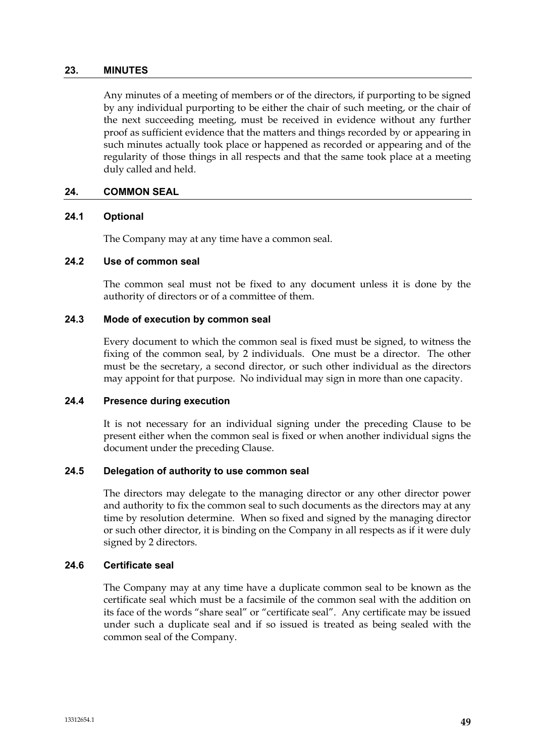#### **23. MINUTES**

Any minutes of a meeting of members or of the directors, if purporting to be signed by any individual purporting to be either the chair of such meeting, or the chair of the next succeeding meeting, must be received in evidence without any further proof as sufficient evidence that the matters and things recorded by or appearing in such minutes actually took place or happened as recorded or appearing and of the regularity of those things in all respects and that the same took place at a meeting duly called and held.

### **24. COMMON SEAL**

#### **24.1 Optional**

The Company may at any time have a common seal.

### **24.2 Use of common seal**

The common seal must not be fixed to any document unless it is done by the authority of directors or of a committee of them.

### **24.3 Mode of execution by common seal**

Every document to which the common seal is fixed must be signed, to witness the fixing of the common seal, by 2 individuals. One must be a director. The other must be the secretary, a second director, or such other individual as the directors may appoint for that purpose. No individual may sign in more than one capacity.

# **24.4 Presence during execution**

It is not necessary for an individual signing under the preceding Clause to be present either when the common seal is fixed or when another individual signs the document under the preceding Clause.

#### **24.5 Delegation of authority to use common seal**

The directors may delegate to the managing director or any other director power and authority to fix the common seal to such documents as the directors may at any time by resolution determine. When so fixed and signed by the managing director or such other director, it is binding on the Company in all respects as if it were duly signed by 2 directors.

# **24.6 Certificate seal**

The Company may at any time have a duplicate common seal to be known as the certificate seal which must be a facsimile of the common seal with the addition on its face of the words "share seal" or "certificate seal". Any certificate may be issued under such a duplicate seal and if so issued is treated as being sealed with the common seal of the Company.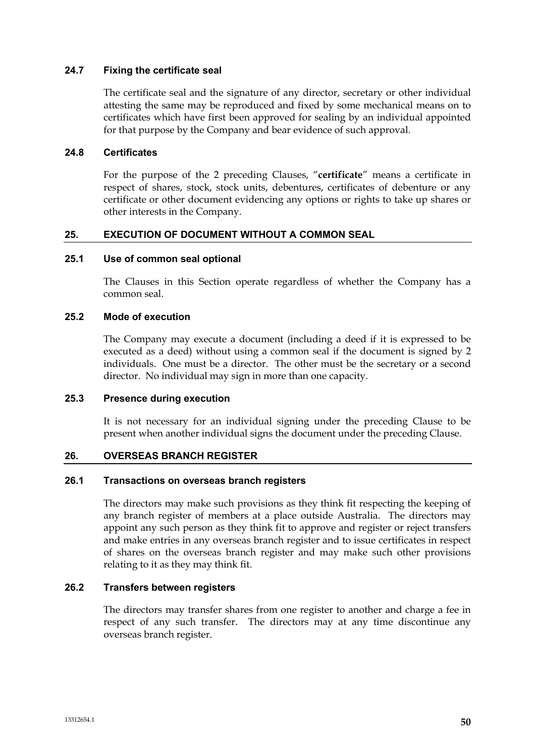### **24.7 Fixing the certificate seal**

The certificate seal and the signature of any director, secretary or other individual attesting the same may be reproduced and fixed by some mechanical means on to certificates which have first been approved for sealing by an individual appointed for that purpose by the Company and bear evidence of such approval.

### **24.8 Certificates**

For the purpose of the 2 preceding Clauses, "**certificate**" means a certificate in respect of shares, stock, stock units, debentures, certificates of debenture or any certificate or other document evidencing any options or rights to take up shares or other interests in the Company.

### **25. EXECUTION OF DOCUMENT WITHOUT A COMMON SEAL**

### **25.1 Use of common seal optional**

The Clauses in this Section operate regardless of whether the Company has a common seal.

### **25.2 Mode of execution**

The Company may execute a document (including a deed if it is expressed to be executed as a deed) without using a common seal if the document is signed by 2 individuals. One must be a director. The other must be the secretary or a second director. No individual may sign in more than one capacity.

#### **25.3 Presence during execution**

It is not necessary for an individual signing under the preceding Clause to be present when another individual signs the document under the preceding Clause.

#### **26. OVERSEAS BRANCH REGISTER**

#### **26.1 Transactions on overseas branch registers**

The directors may make such provisions as they think fit respecting the keeping of any branch register of members at a place outside Australia. The directors may appoint any such person as they think fit to approve and register or reject transfers and make entries in any overseas branch register and to issue certificates in respect of shares on the overseas branch register and may make such other provisions relating to it as they may think fit.

### **26.2 Transfers between registers**

The directors may transfer shares from one register to another and charge a fee in respect of any such transfer. The directors may at any time discontinue any overseas branch register.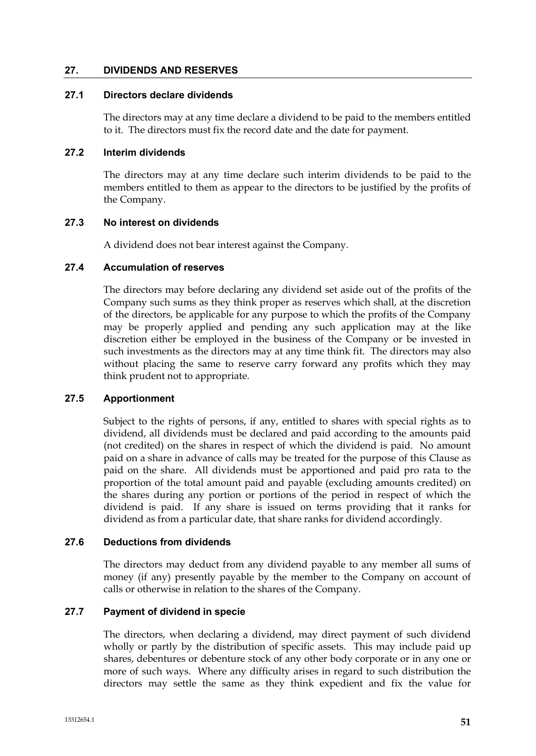### **27. DIVIDENDS AND RESERVES**

### **27.1 Directors declare dividends**

The directors may at any time declare a dividend to be paid to the members entitled to it. The directors must fix the record date and the date for payment.

### **27.2 Interim dividends**

The directors may at any time declare such interim dividends to be paid to the members entitled to them as appear to the directors to be justified by the profits of the Company.

### **27.3 No interest on dividends**

A dividend does not bear interest against the Company.

### **27.4 Accumulation of reserves**

The directors may before declaring any dividend set aside out of the profits of the Company such sums as they think proper as reserves which shall, at the discretion of the directors, be applicable for any purpose to which the profits of the Company may be properly applied and pending any such application may at the like discretion either be employed in the business of the Company or be invested in such investments as the directors may at any time think fit. The directors may also without placing the same to reserve carry forward any profits which they may think prudent not to appropriate.

# **27.5 Apportionment**

Subject to the rights of persons, if any, entitled to shares with special rights as to dividend, all dividends must be declared and paid according to the amounts paid (not credited) on the shares in respect of which the dividend is paid. No amount paid on a share in advance of calls may be treated for the purpose of this Clause as paid on the share. All dividends must be apportioned and paid pro rata to the proportion of the total amount paid and payable (excluding amounts credited) on the shares during any portion or portions of the period in respect of which the dividend is paid. If any share is issued on terms providing that it ranks for dividend as from a particular date, that share ranks for dividend accordingly.

#### **27.6 Deductions from dividends**

The directors may deduct from any dividend payable to any member all sums of money (if any) presently payable by the member to the Company on account of calls or otherwise in relation to the shares of the Company.

# **27.7 Payment of dividend in specie**

The directors, when declaring a dividend, may direct payment of such dividend wholly or partly by the distribution of specific assets. This may include paid up shares, debentures or debenture stock of any other body corporate or in any one or more of such ways. Where any difficulty arises in regard to such distribution the directors may settle the same as they think expedient and fix the value for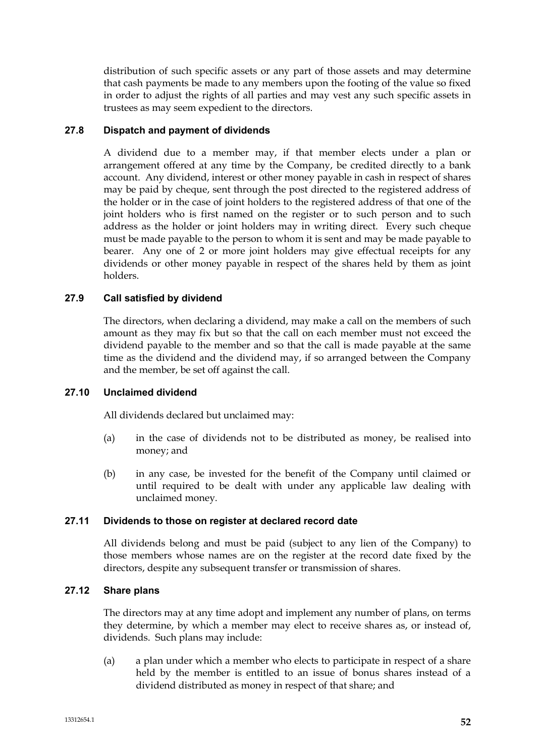distribution of such specific assets or any part of those assets and may determine that cash payments be made to any members upon the footing of the value so fixed in order to adjust the rights of all parties and may vest any such specific assets in trustees as may seem expedient to the directors.

# **27.8 Dispatch and payment of dividends**

A dividend due to a member may, if that member elects under a plan or arrangement offered at any time by the Company, be credited directly to a bank account. Any dividend, interest or other money payable in cash in respect of shares may be paid by cheque, sent through the post directed to the registered address of the holder or in the case of joint holders to the registered address of that one of the joint holders who is first named on the register or to such person and to such address as the holder or joint holders may in writing direct. Every such cheque must be made payable to the person to whom it is sent and may be made payable to bearer. Any one of 2 or more joint holders may give effectual receipts for any dividends or other money payable in respect of the shares held by them as joint holders.

# **27.9 Call satisfied by dividend**

The directors, when declaring a dividend, may make a call on the members of such amount as they may fix but so that the call on each member must not exceed the dividend payable to the member and so that the call is made payable at the same time as the dividend and the dividend may, if so arranged between the Company and the member, be set off against the call.

# **27.10 Unclaimed dividend**

All dividends declared but unclaimed may:

- (a) in the case of dividends not to be distributed as money, be realised into money; and
- (b) in any case, be invested for the benefit of the Company until claimed or until required to be dealt with under any applicable law dealing with unclaimed money.

# **27.11 Dividends to those on register at declared record date**

All dividends belong and must be paid (subject to any lien of the Company) to those members whose names are on the register at the record date fixed by the directors, despite any subsequent transfer or transmission of shares.

# **27.12 Share plans**

The directors may at any time adopt and implement any number of plans, on terms they determine, by which a member may elect to receive shares as, or instead of, dividends. Such plans may include:

(a) a plan under which a member who elects to participate in respect of a share held by the member is entitled to an issue of bonus shares instead of a dividend distributed as money in respect of that share; and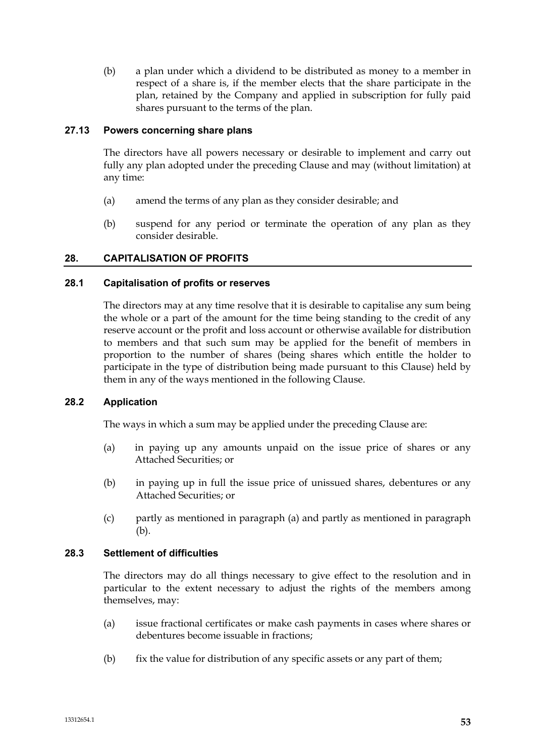(b) a plan under which a dividend to be distributed as money to a member in respect of a share is, if the member elects that the share participate in the plan, retained by the Company and applied in subscription for fully paid shares pursuant to the terms of the plan.

# **27.13 Powers concerning share plans**

The directors have all powers necessary or desirable to implement and carry out fully any plan adopted under the preceding Clause and may (without limitation) at any time:

- (a) amend the terms of any plan as they consider desirable; and
- (b) suspend for any period or terminate the operation of any plan as they consider desirable.

# **28. CAPITALISATION OF PROFITS**

# **28.1 Capitalisation of profits or reserves**

The directors may at any time resolve that it is desirable to capitalise any sum being the whole or a part of the amount for the time being standing to the credit of any reserve account or the profit and loss account or otherwise available for distribution to members and that such sum may be applied for the benefit of members in proportion to the number of shares (being shares which entitle the holder to participate in the type of distribution being made pursuant to this Clause) held by them in any of the ways mentioned in the following Clause.

# **28.2 Application**

The ways in which a sum may be applied under the preceding Clause are:

- (a) in paying up any amounts unpaid on the issue price of shares or any Attached Securities; or
- (b) in paying up in full the issue price of unissued shares, debentures or any Attached Securities; or
- (c) partly as mentioned in paragraph (a) and partly as mentioned in paragraph (b).

# **28.3 Settlement of difficulties**

The directors may do all things necessary to give effect to the resolution and in particular to the extent necessary to adjust the rights of the members among themselves, may:

- (a) issue fractional certificates or make cash payments in cases where shares or debentures become issuable in fractions;
- (b) fix the value for distribution of any specific assets or any part of them;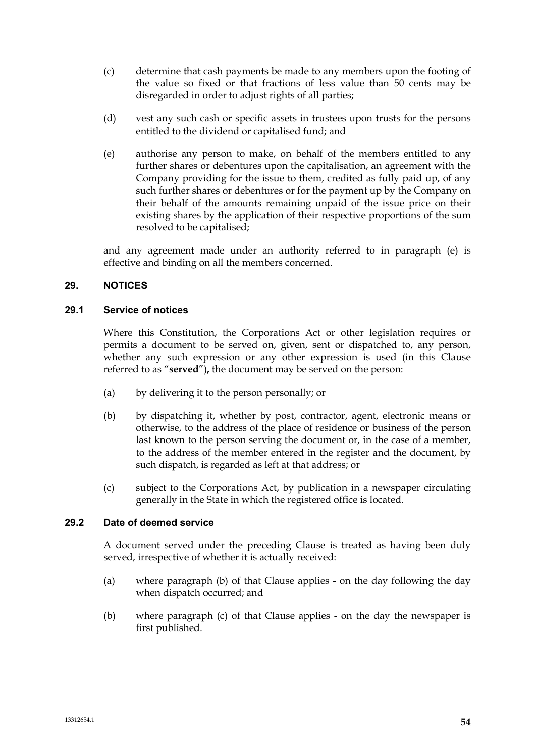- (c) determine that cash payments be made to any members upon the footing of the value so fixed or that fractions of less value than 50 cents may be disregarded in order to adjust rights of all parties;
- (d) vest any such cash or specific assets in trustees upon trusts for the persons entitled to the dividend or capitalised fund; and
- (e) authorise any person to make, on behalf of the members entitled to any further shares or debentures upon the capitalisation, an agreement with the Company providing for the issue to them, credited as fully paid up, of any such further shares or debentures or for the payment up by the Company on their behalf of the amounts remaining unpaid of the issue price on their existing shares by the application of their respective proportions of the sum resolved to be capitalised;

and any agreement made under an authority referred to in paragraph (e) is effective and binding on all the members concerned.

# **29. NOTICES**

#### **29.1 Service of notices**

Where this Constitution, the Corporations Act or other legislation requires or permits a document to be served on, given, sent or dispatched to, any person, whether any such expression or any other expression is used (in this Clause referred to as "**served**")**,** the document may be served on the person:

- (a) by delivering it to the person personally; or
- (b) by dispatching it, whether by post, contractor, agent, electronic means or otherwise, to the address of the place of residence or business of the person last known to the person serving the document or, in the case of a member, to the address of the member entered in the register and the document, by such dispatch, is regarded as left at that address; or
- (c) subject to the Corporations Act, by publication in a newspaper circulating generally in the State in which the registered office is located.

#### **29.2 Date of deemed service**

A document served under the preceding Clause is treated as having been duly served, irrespective of whether it is actually received:

- (a) where paragraph (b) of that Clause applies on the day following the day when dispatch occurred; and
- (b) where paragraph (c) of that Clause applies on the day the newspaper is first published.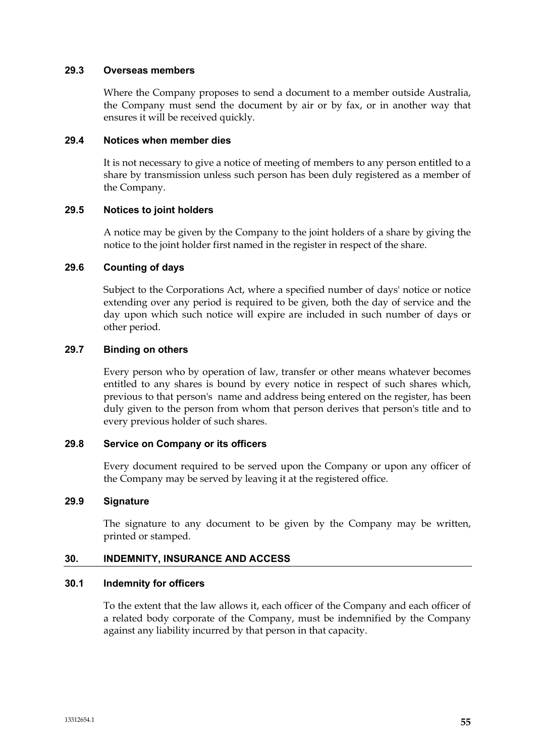#### **29.3 Overseas members**

Where the Company proposes to send a document to a member outside Australia, the Company must send the document by air or by fax, or in another way that ensures it will be received quickly.

### **29.4 Notices when member dies**

It is not necessary to give a notice of meeting of members to any person entitled to a share by transmission unless such person has been duly registered as a member of the Company.

# **29.5 Notices to joint holders**

A notice may be given by the Company to the joint holders of a share by giving the notice to the joint holder first named in the register in respect of the share.

### **29.6 Counting of days**

Subject to the Corporations Act, where a specified number of days' notice or notice extending over any period is required to be given, both the day of service and the day upon which such notice will expire are included in such number of days or other period.

### **29.7 Binding on others**

Every person who by operation of law, transfer or other means whatever becomes entitled to any shares is bound by every notice in respect of such shares which, previous to that person's name and address being entered on the register, has been duly given to the person from whom that person derives that person's title and to every previous holder of such shares.

### **29.8 Service on Company or its officers**

Every document required to be served upon the Company or upon any officer of the Company may be served by leaving it at the registered office.

# **29.9 Signature**

The signature to any document to be given by the Company may be written, printed or stamped.

# **30. INDEMNITY, INSURANCE AND ACCESS**

#### **30.1 Indemnity for officers**

To the extent that the law allows it, each officer of the Company and each officer of a related body corporate of the Company, must be indemnified by the Company against any liability incurred by that person in that capacity.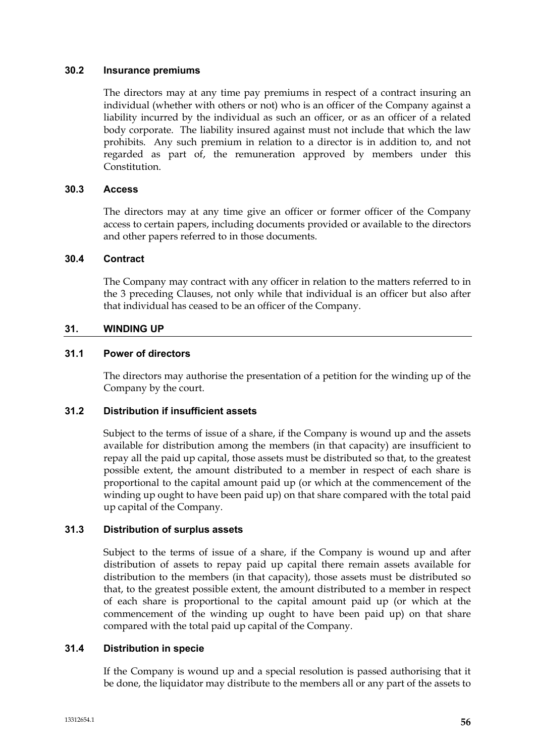### **30.2 Insurance premiums**

The directors may at any time pay premiums in respect of a contract insuring an individual (whether with others or not) who is an officer of the Company against a liability incurred by the individual as such an officer, or as an officer of a related body corporate. The liability insured against must not include that which the law prohibits. Any such premium in relation to a director is in addition to, and not regarded as part of, the remuneration approved by members under this Constitution.

# **30.3 Access**

The directors may at any time give an officer or former officer of the Company access to certain papers, including documents provided or available to the directors and other papers referred to in those documents.

### **30.4 Contract**

The Company may contract with any officer in relation to the matters referred to in the 3 preceding Clauses, not only while that individual is an officer but also after that individual has ceased to be an officer of the Company.

# **31. WINDING UP**

### **31.1 Power of directors**

The directors may authorise the presentation of a petition for the winding up of the Company by the court.

### **31.2 Distribution if insufficient assets**

Subject to the terms of issue of a share, if the Company is wound up and the assets available for distribution among the members (in that capacity) are insufficient to repay all the paid up capital, those assets must be distributed so that, to the greatest possible extent, the amount distributed to a member in respect of each share is proportional to the capital amount paid up (or which at the commencement of the winding up ought to have been paid up) on that share compared with the total paid up capital of the Company.

# **31.3 Distribution of surplus assets**

Subject to the terms of issue of a share, if the Company is wound up and after distribution of assets to repay paid up capital there remain assets available for distribution to the members (in that capacity), those assets must be distributed so that, to the greatest possible extent, the amount distributed to a member in respect of each share is proportional to the capital amount paid up (or which at the commencement of the winding up ought to have been paid up) on that share compared with the total paid up capital of the Company.

# **31.4 Distribution in specie**

If the Company is wound up and a special resolution is passed authorising that it be done, the liquidator may distribute to the members all or any part of the assets to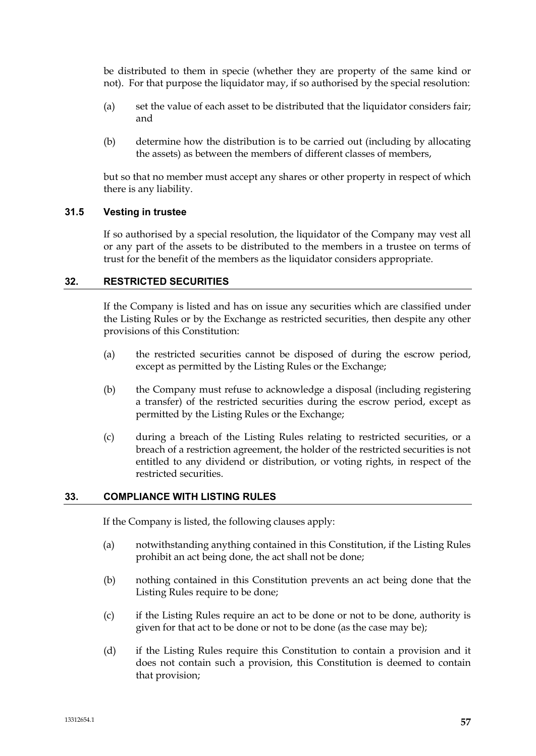be distributed to them in specie (whether they are property of the same kind or not). For that purpose the liquidator may, if so authorised by the special resolution:

- (a) set the value of each asset to be distributed that the liquidator considers fair; and
- (b) determine how the distribution is to be carried out (including by allocating the assets) as between the members of different classes of members,

but so that no member must accept any shares or other property in respect of which there is any liability.

# **31.5 Vesting in trustee**

If so authorised by a special resolution, the liquidator of the Company may vest all or any part of the assets to be distributed to the members in a trustee on terms of trust for the benefit of the members as the liquidator considers appropriate.

### **32. RESTRICTED SECURITIES**

If the Company is listed and has on issue any securities which are classified under the Listing Rules or by the Exchange as restricted securities, then despite any other provisions of this Constitution:

- (a) the restricted securities cannot be disposed of during the escrow period, except as permitted by the Listing Rules or the Exchange;
- (b) the Company must refuse to acknowledge a disposal (including registering a transfer) of the restricted securities during the escrow period, except as permitted by the Listing Rules or the Exchange;
- (c) during a breach of the Listing Rules relating to restricted securities, or a breach of a restriction agreement, the holder of the restricted securities is not entitled to any dividend or distribution, or voting rights, in respect of the restricted securities.

#### **33. COMPLIANCE WITH LISTING RULES**

If the Company is listed, the following clauses apply:

- (a) notwithstanding anything contained in this Constitution, if the Listing Rules prohibit an act being done, the act shall not be done;
- (b) nothing contained in this Constitution prevents an act being done that the Listing Rules require to be done;
- (c) if the Listing Rules require an act to be done or not to be done, authority is given for that act to be done or not to be done (as the case may be);
- (d) if the Listing Rules require this Constitution to contain a provision and it does not contain such a provision, this Constitution is deemed to contain that provision;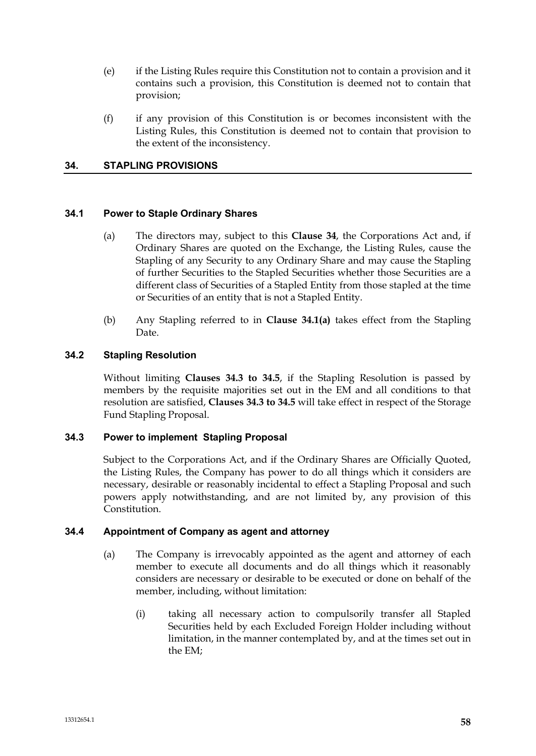- (e) if the Listing Rules require this Constitution not to contain a provision and it contains such a provision, this Constitution is deemed not to contain that provision;
- (f) if any provision of this Constitution is or becomes inconsistent with the Listing Rules, this Constitution is deemed not to contain that provision to the extent of the inconsistency.

# **34. STAPLING PROVISIONS**

# **34.1 Power to Staple Ordinary Shares**

- (a) The directors may, subject to this **Clause 34**, the Corporations Act and, if Ordinary Shares are quoted on the Exchange, the Listing Rules, cause the Stapling of any Security to any Ordinary Share and may cause the Stapling of further Securities to the Stapled Securities whether those Securities are a different class of Securities of a Stapled Entity from those stapled at the time or Securities of an entity that is not a Stapled Entity.
- (b) Any Stapling referred to in **Clause 34.1(a)** takes effect from the Stapling Date.

### **34.2 Stapling Resolution**

Without limiting **Clauses 34.3 to 34.5**, if the Stapling Resolution is passed by members by the requisite majorities set out in the EM and all conditions to that resolution are satisfied, **Clauses 34.3 to 34.5** will take effect in respect of the Storage Fund Stapling Proposal.

# **34.3 Power to implement Stapling Proposal**

Subject to the Corporations Act, and if the Ordinary Shares are Officially Quoted, the Listing Rules, the Company has power to do all things which it considers are necessary, desirable or reasonably incidental to effect a Stapling Proposal and such powers apply notwithstanding, and are not limited by, any provision of this Constitution.

# **34.4 Appointment of Company as agent and attorney**

- (a) The Company is irrevocably appointed as the agent and attorney of each member to execute all documents and do all things which it reasonably considers are necessary or desirable to be executed or done on behalf of the member, including, without limitation:
	- (i) taking all necessary action to compulsorily transfer all Stapled Securities held by each Excluded Foreign Holder including without limitation, in the manner contemplated by, and at the times set out in the EM;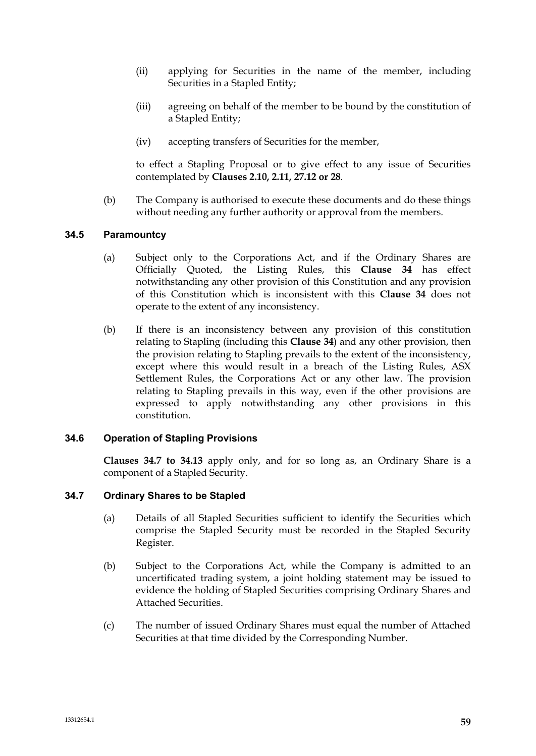- (ii) applying for Securities in the name of the member, including Securities in a Stapled Entity;
- (iii) agreeing on behalf of the member to be bound by the constitution of a Stapled Entity;
- (iv) accepting transfers of Securities for the member,

to effect a Stapling Proposal or to give effect to any issue of Securities contemplated by **Clauses 2.10, 2.11, 27.12 or 28**.

(b) The Company is authorised to execute these documents and do these things without needing any further authority or approval from the members.

### **34.5 Paramountcy**

- (a) Subject only to the Corporations Act, and if the Ordinary Shares are Officially Quoted, the Listing Rules, this **Clause 34** has effect notwithstanding any other provision of this Constitution and any provision of this Constitution which is inconsistent with this **Clause 34** does not operate to the extent of any inconsistency.
- (b) If there is an inconsistency between any provision of this constitution relating to Stapling (including this **Clause 34**) and any other provision, then the provision relating to Stapling prevails to the extent of the inconsistency, except where this would result in a breach of the Listing Rules, ASX Settlement Rules, the Corporations Act or any other law. The provision relating to Stapling prevails in this way, even if the other provisions are expressed to apply notwithstanding any other provisions in this constitution.

#### **34.6 Operation of Stapling Provisions**

**Clauses 34.7 to 34.13** apply only, and for so long as, an Ordinary Share is a component of a Stapled Security.

#### **34.7 Ordinary Shares to be Stapled**

- (a) Details of all Stapled Securities sufficient to identify the Securities which comprise the Stapled Security must be recorded in the Stapled Security Register.
- (b) Subject to the Corporations Act, while the Company is admitted to an uncertificated trading system, a joint holding statement may be issued to evidence the holding of Stapled Securities comprising Ordinary Shares and Attached Securities.
- (c) The number of issued Ordinary Shares must equal the number of Attached Securities at that time divided by the Corresponding Number.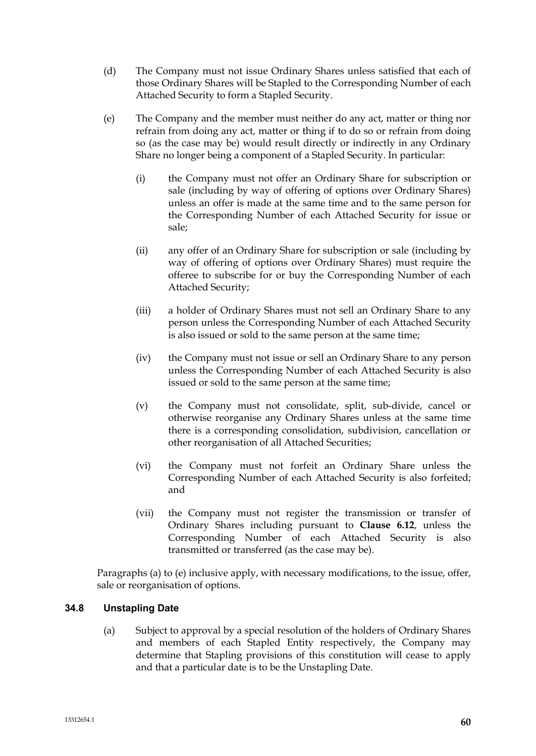- (d) The Company must not issue Ordinary Shares unless satisfied that each of those Ordinary Shares will be Stapled to the Corresponding Number of each Attached Security to form a Stapled Security.
- (e) The Company and the member must neither do any act, matter or thing nor refrain from doing any act, matter or thing if to do so or refrain from doing so (as the case may be) would result directly or indirectly in any Ordinary Share no longer being a component of a Stapled Security. In particular:
	- (i) the Company must not offer an Ordinary Share for subscription or sale (including by way of offering of options over Ordinary Shares) unless an offer is made at the same time and to the same person for the Corresponding Number of each Attached Security for issue or sale;
	- (ii) any offer of an Ordinary Share for subscription or sale (including by way of offering of options over Ordinary Shares) must require the offeree to subscribe for or buy the Corresponding Number of each Attached Security;
	- (iii) a holder of Ordinary Shares must not sell an Ordinary Share to any person unless the Corresponding Number of each Attached Security is also issued or sold to the same person at the same time;
	- (iv) the Company must not issue or sell an Ordinary Share to any person unless the Corresponding Number of each Attached Security is also issued or sold to the same person at the same time;
	- (v) the Company must not consolidate, split, sub-divide, cancel or otherwise reorganise any Ordinary Shares unless at the same time there is a corresponding consolidation, subdivision, cancellation or other reorganisation of all Attached Securities;
	- (vi) the Company must not forfeit an Ordinary Share unless the Corresponding Number of each Attached Security is also forfeited; and
	- (vii) the Company must not register the transmission or transfer of Ordinary Shares including pursuant to **Clause 6.12**, unless the Corresponding Number of each Attached Security is also transmitted or transferred (as the case may be).

Paragraphs (a) to (e) inclusive apply, with necessary modifications, to the issue, offer, sale or reorganisation of options.

# **34.8 Unstapling Date**

(a) Subject to approval by a special resolution of the holders of Ordinary Shares and members of each Stapled Entity respectively, the Company may determine that Stapling provisions of this constitution will cease to apply and that a particular date is to be the Unstapling Date.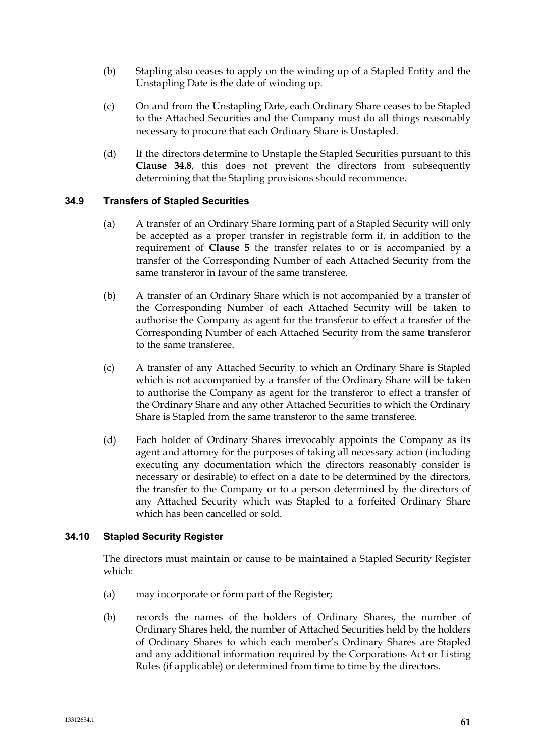- (b) Stapling also ceases to apply on the winding up of a Stapled Entity and the Unstapling Date is the date of winding up.
- (c) On and from the Unstapling Date, each Ordinary Share ceases to be Stapled to the Attached Securities and the Company must do all things reasonably necessary to procure that each Ordinary Share is Unstapled.
- (d) If the directors determine to Unstaple the Stapled Securities pursuant to this **Clause 34.8**, this does not prevent the directors from subsequently determining that the Stapling provisions should recommence.

# **34.9 Transfers of Stapled Securities**

- (a) A transfer of an Ordinary Share forming part of a Stapled Security will only be accepted as a proper transfer in registrable form if, in addition to the requirement of **Clause 5** the transfer relates to or is accompanied by a transfer of the Corresponding Number of each Attached Security from the same transferor in favour of the same transferee.
- (b) A transfer of an Ordinary Share which is not accompanied by a transfer of the Corresponding Number of each Attached Security will be taken to authorise the Company as agent for the transferor to effect a transfer of the Corresponding Number of each Attached Security from the same transferor to the same transferee.
- (c) A transfer of any Attached Security to which an Ordinary Share is Stapled which is not accompanied by a transfer of the Ordinary Share will be taken to authorise the Company as agent for the transferor to effect a transfer of the Ordinary Share and any other Attached Securities to which the Ordinary Share is Stapled from the same transferor to the same transferee.
- (d) Each holder of Ordinary Shares irrevocably appoints the Company as its agent and attorney for the purposes of taking all necessary action (including executing any documentation which the directors reasonably consider is necessary or desirable) to effect on a date to be determined by the directors, the transfer to the Company or to a person determined by the directors of any Attached Security which was Stapled to a forfeited Ordinary Share which has been cancelled or sold.

# **34.10 Stapled Security Register**

The directors must maintain or cause to be maintained a Stapled Security Register which:

- (a) may incorporate or form part of the Register;
- (b) records the names of the holders of Ordinary Shares, the number of Ordinary Shares held, the number of Attached Securities held by the holders of Ordinary Shares to which each member's Ordinary Shares are Stapled and any additional information required by the Corporations Act or Listing Rules (if applicable) or determined from time to time by the directors.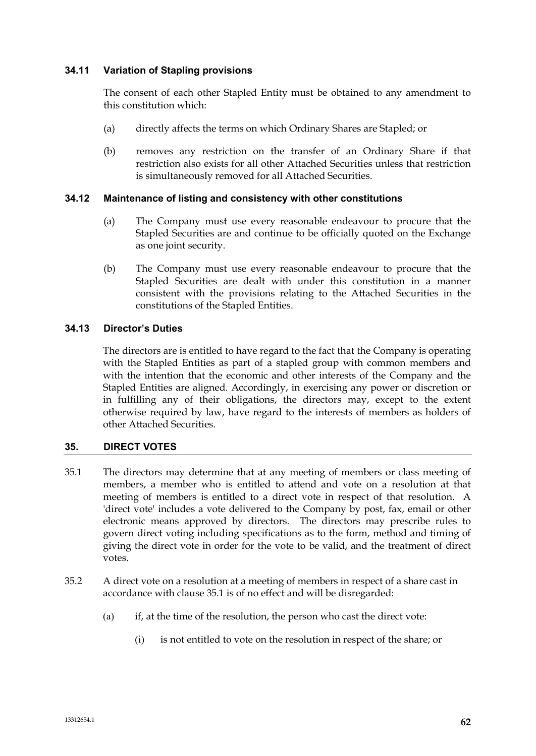# **34.11 Variation of Stapling provisions**

The consent of each other Stapled Entity must be obtained to any amendment to this constitution which:

- (a) directly affects the terms on which Ordinary Shares are Stapled; or
- (b) removes any restriction on the transfer of an Ordinary Share if that restriction also exists for all other Attached Securities unless that restriction is simultaneously removed for all Attached Securities.

### **34.12 Maintenance of listing and consistency with other constitutions**

- (a) The Company must use every reasonable endeavour to procure that the Stapled Securities are and continue to be officially quoted on the Exchange as one joint security.
- (b) The Company must use every reasonable endeavour to procure that the Stapled Securities are dealt with under this constitution in a manner consistent with the provisions relating to the Attached Securities in the constitutions of the Stapled Entities.

### **34.13 Director's Duties**

The directors are is entitled to have regard to the fact that the Company is operating with the Stapled Entities as part of a stapled group with common members and with the intention that the economic and other interests of the Company and the Stapled Entities are aligned. Accordingly, in exercising any power or discretion or in fulfilling any of their obligations, the directors may, except to the extent otherwise required by law, have regard to the interests of members as holders of other Attached Securities.

# **35. DIRECT VOTES**

- 35.1 The directors may determine that at any meeting of members or class meeting of members, a member who is entitled to attend and vote on a resolution at that meeting of members is entitled to a direct vote in respect of that resolution. A 'direct vote' includes a vote delivered to the Company by post, fax, email or other electronic means approved by directors. The directors may prescribe rules to govern direct voting including specifications as to the form, method and timing of giving the direct vote in order for the vote to be valid, and the treatment of direct votes.
- 35.2 A direct vote on a resolution at a meeting of members in respect of a share cast in accordance with clause 35.1 is of no effect and will be disregarded:
	- (a) if, at the time of the resolution, the person who cast the direct vote:
		- (i) is not entitled to vote on the resolution in respect of the share; or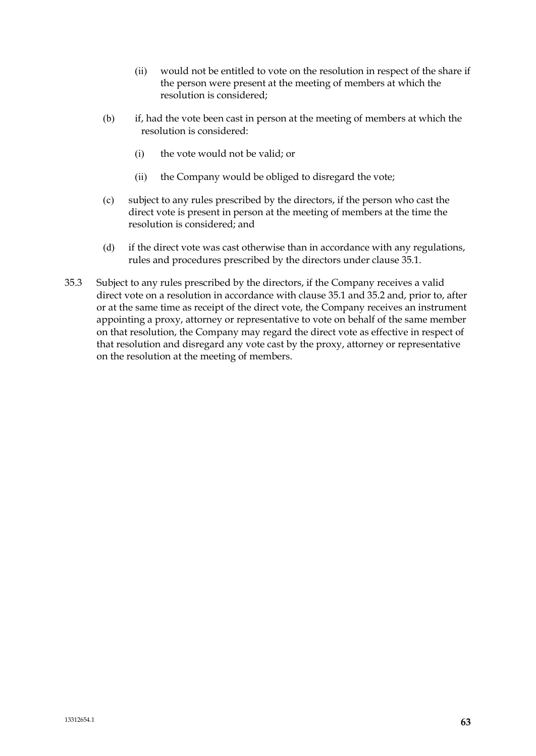- (ii) would not be entitled to vote on the resolution in respect of the share if the person were present at the meeting of members at which the resolution is considered;
- (b) if, had the vote been cast in person at the meeting of members at which the resolution is considered:
	- (i) the vote would not be valid; or
	- (ii) the Company would be obliged to disregard the vote;
- (c) subject to any rules prescribed by the directors, if the person who cast the direct vote is present in person at the meeting of members at the time the resolution is considered; and
- (d) if the direct vote was cast otherwise than in accordance with any regulations, rules and procedures prescribed by the directors under clause 35.1.
- 35.3 Subject to any rules prescribed by the directors, if the Company receives a valid direct vote on a resolution in accordance with clause 35.1 and 35.2 and, prior to, after or at the same time as receipt of the direct vote, the Company receives an instrument appointing a proxy, attorney or representative to vote on behalf of the same member on that resolution, the Company may regard the direct vote as effective in respect of that resolution and disregard any vote cast by the proxy, attorney or representative on the resolution at the meeting of members.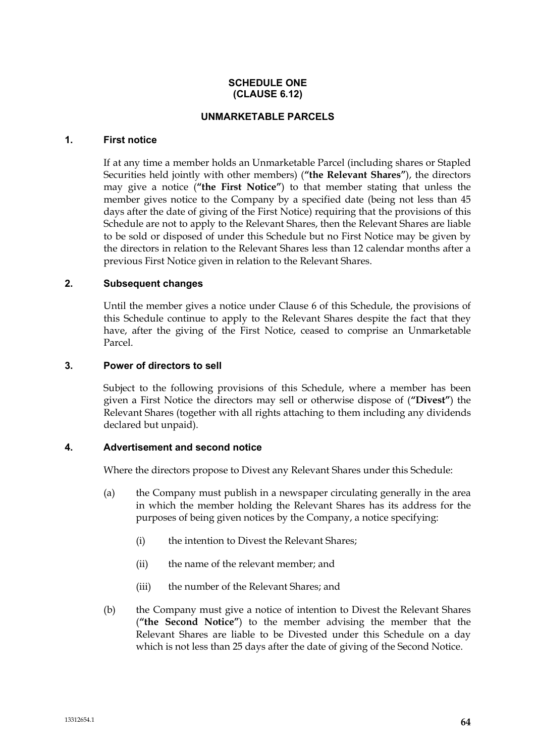### **SCHEDULE ONE (CLAUSE 6.12)**

### **UNMARKETABLE PARCELS**

### **1. First notice**

If at any time a member holds an Unmarketable Parcel (including shares or Stapled Securities held jointly with other members) (**"the Relevant Shares"**), the directors may give a notice (**"the First Notice"**) to that member stating that unless the member gives notice to the Company by a specified date (being not less than 45 days after the date of giving of the First Notice) requiring that the provisions of this Schedule are not to apply to the Relevant Shares, then the Relevant Shares are liable to be sold or disposed of under this Schedule but no First Notice may be given by the directors in relation to the Relevant Shares less than 12 calendar months after a previous First Notice given in relation to the Relevant Shares.

### **2. Subsequent changes**

Until the member gives a notice under Clause 6 of this Schedule, the provisions of this Schedule continue to apply to the Relevant Shares despite the fact that they have, after the giving of the First Notice, ceased to comprise an Unmarketable Parcel.

### **3. Power of directors to sell**

Subject to the following provisions of this Schedule, where a member has been given a First Notice the directors may sell or otherwise dispose of (**"Divest"**) the Relevant Shares (together with all rights attaching to them including any dividends declared but unpaid).

# **4. Advertisement and second notice**

Where the directors propose to Divest any Relevant Shares under this Schedule:

- (a) the Company must publish in a newspaper circulating generally in the area in which the member holding the Relevant Shares has its address for the purposes of being given notices by the Company, a notice specifying:
	- (i) the intention to Divest the Relevant Shares;
	- (ii) the name of the relevant member; and
	- (iii) the number of the Relevant Shares; and
- (b) the Company must give a notice of intention to Divest the Relevant Shares (**"the Second Notice"**) to the member advising the member that the Relevant Shares are liable to be Divested under this Schedule on a day which is not less than 25 days after the date of giving of the Second Notice.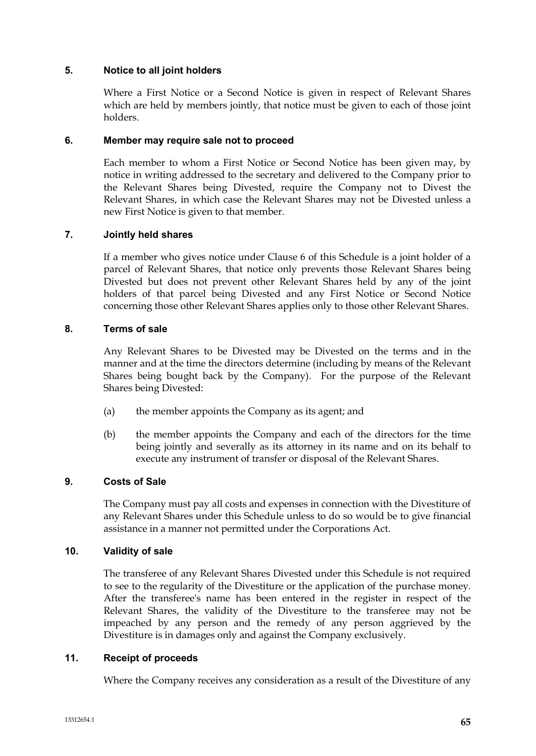### **5. Notice to all joint holders**

Where a First Notice or a Second Notice is given in respect of Relevant Shares which are held by members jointly, that notice must be given to each of those joint holders.

# **6. Member may require sale not to proceed**

Each member to whom a First Notice or Second Notice has been given may, by notice in writing addressed to the secretary and delivered to the Company prior to the Relevant Shares being Divested, require the Company not to Divest the Relevant Shares, in which case the Relevant Shares may not be Divested unless a new First Notice is given to that member.

# **7. Jointly held shares**

If a member who gives notice under Clause 6 of this Schedule is a joint holder of a parcel of Relevant Shares, that notice only prevents those Relevant Shares being Divested but does not prevent other Relevant Shares held by any of the joint holders of that parcel being Divested and any First Notice or Second Notice concerning those other Relevant Shares applies only to those other Relevant Shares.

### **8. Terms of sale**

Any Relevant Shares to be Divested may be Divested on the terms and in the manner and at the time the directors determine (including by means of the Relevant Shares being bought back by the Company). For the purpose of the Relevant Shares being Divested:

- (a) the member appoints the Company as its agent; and
- (b) the member appoints the Company and each of the directors for the time being jointly and severally as its attorney in its name and on its behalf to execute any instrument of transfer or disposal of the Relevant Shares.

# **9. Costs of Sale**

The Company must pay all costs and expenses in connection with the Divestiture of any Relevant Shares under this Schedule unless to do so would be to give financial assistance in a manner not permitted under the Corporations Act.

#### **10. Validity of sale**

The transferee of any Relevant Shares Divested under this Schedule is not required to see to the regularity of the Divestiture or the application of the purchase money. After the transferee's name has been entered in the register in respect of the Relevant Shares, the validity of the Divestiture to the transferee may not be impeached by any person and the remedy of any person aggrieved by the Divestiture is in damages only and against the Company exclusively.

#### **11. Receipt of proceeds**

Where the Company receives any consideration as a result of the Divestiture of any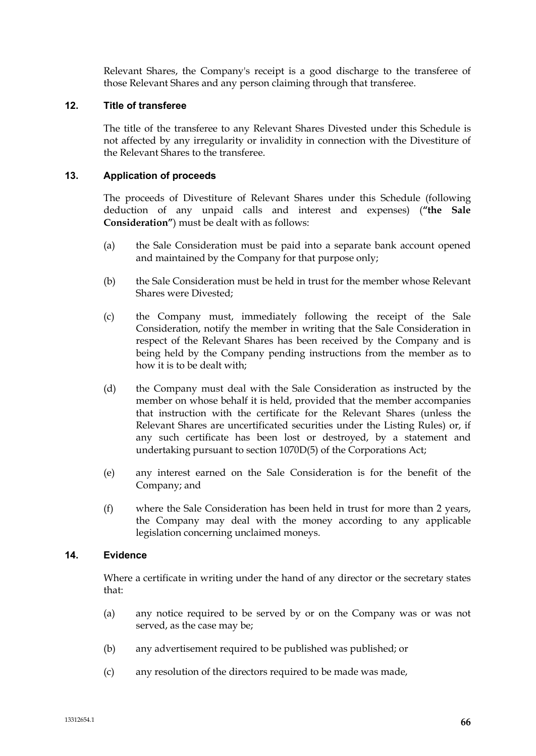Relevant Shares, the Company's receipt is a good discharge to the transferee of those Relevant Shares and any person claiming through that transferee.

# **12. Title of transferee**

The title of the transferee to any Relevant Shares Divested under this Schedule is not affected by any irregularity or invalidity in connection with the Divestiture of the Relevant Shares to the transferee.

### **13. Application of proceeds**

The proceeds of Divestiture of Relevant Shares under this Schedule (following deduction of any unpaid calls and interest and expenses) (**"the Sale Consideration"**) must be dealt with as follows:

- (a) the Sale Consideration must be paid into a separate bank account opened and maintained by the Company for that purpose only;
- (b) the Sale Consideration must be held in trust for the member whose Relevant Shares were Divested;
- (c) the Company must, immediately following the receipt of the Sale Consideration, notify the member in writing that the Sale Consideration in respect of the Relevant Shares has been received by the Company and is being held by the Company pending instructions from the member as to how it is to be dealt with;
- (d) the Company must deal with the Sale Consideration as instructed by the member on whose behalf it is held, provided that the member accompanies that instruction with the certificate for the Relevant Shares (unless the Relevant Shares are uncertificated securities under the Listing Rules) or, if any such certificate has been lost or destroyed, by a statement and undertaking pursuant to section 1070D(5) of the Corporations Act;
- (e) any interest earned on the Sale Consideration is for the benefit of the Company; and
- (f) where the Sale Consideration has been held in trust for more than 2 years, the Company may deal with the money according to any applicable legislation concerning unclaimed moneys.

#### **14. Evidence**

Where a certificate in writing under the hand of any director or the secretary states that:

- (a) any notice required to be served by or on the Company was or was not served, as the case may be;
- (b) any advertisement required to be published was published; or
- (c) any resolution of the directors required to be made was made,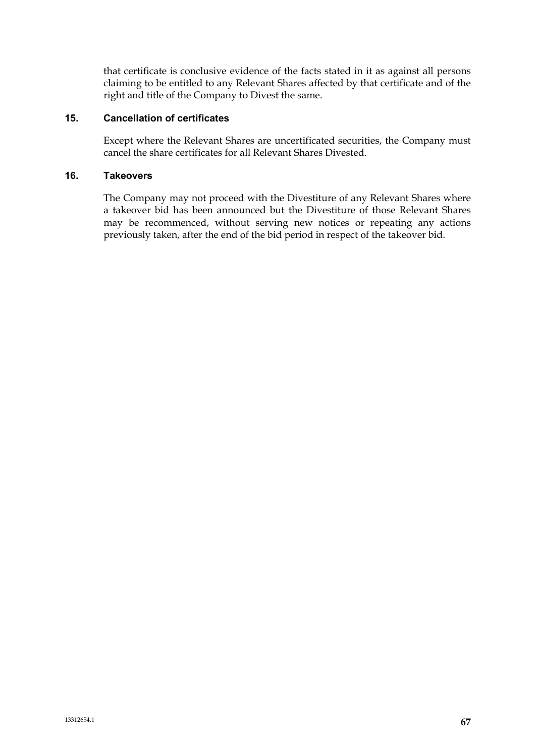that certificate is conclusive evidence of the facts stated in it as against all persons claiming to be entitled to any Relevant Shares affected by that certificate and of the right and title of the Company to Divest the same.

# **15. Cancellation of certificates**

Except where the Relevant Shares are uncertificated securities, the Company must cancel the share certificates for all Relevant Shares Divested.

### **16. Takeovers**

The Company may not proceed with the Divestiture of any Relevant Shares where a takeover bid has been announced but the Divestiture of those Relevant Shares may be recommenced, without serving new notices or repeating any actions previously taken, after the end of the bid period in respect of the takeover bid.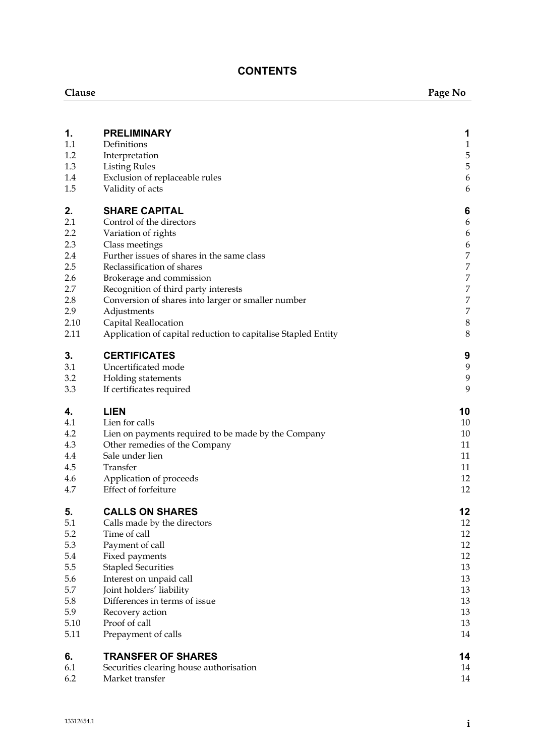# **CONTENTS**

| Clause      |                                                               | Page No                              |  |
|-------------|---------------------------------------------------------------|--------------------------------------|--|
|             |                                                               |                                      |  |
| 1.          | <b>PRELIMINARY</b>                                            | 1                                    |  |
| 1.1         | Definitions                                                   | $\mathbf{1}$                         |  |
| 1.2         | Interpretation                                                | 5<br>5                               |  |
| 1.3<br>1.4  | <b>Listing Rules</b><br>Exclusion of replaceable rules        | $\boldsymbol{6}$                     |  |
| 1.5         | Validity of acts                                              | 6                                    |  |
| 2.          | <b>SHARE CAPITAL</b>                                          | 6                                    |  |
| 2.1         | Control of the directors                                      | 6                                    |  |
| 2.2         | Variation of rights                                           | 6                                    |  |
| 2.3         | Class meetings                                                | 6                                    |  |
| 2.4         | Further issues of shares in the same class                    | $\boldsymbol{7}$                     |  |
| 2.5         | Reclassification of shares                                    | $\boldsymbol{7}$                     |  |
| 2.6         | Brokerage and commission                                      | $\boldsymbol{7}$                     |  |
| 2.7         | Recognition of third party interests                          | $\boldsymbol{7}$                     |  |
| 2.8         | Conversion of shares into larger or smaller number            | $\boldsymbol{7}$<br>$\boldsymbol{7}$ |  |
| 2.9<br>2.10 | Adjustments<br>Capital Reallocation                           | $\,8\,$                              |  |
| 2.11        | Application of capital reduction to capitalise Stapled Entity | 8                                    |  |
| 3.          | <b>CERTIFICATES</b>                                           | 9                                    |  |
| 3.1         | Uncertificated mode                                           | 9                                    |  |
| 3.2         | Holding statements                                            | 9                                    |  |
| 3.3         | If certificates required                                      | 9                                    |  |
| 4.          | <b>LIEN</b>                                                   | 10                                   |  |
| 4.1         | Lien for calls                                                | 10                                   |  |
| 4.2<br>4.3  | Lien on payments required to be made by the Company           | 10<br>11                             |  |
| 4.4         | Other remedies of the Company<br>Sale under lien              | 11                                   |  |
| 4.5         | Transfer                                                      | 11                                   |  |
| 4.6         | Application of proceeds                                       | 12                                   |  |
| 4.7         | Effect of forfeiture                                          | 12                                   |  |
| 5.          | <b>CALLS ON SHARES</b>                                        | 12                                   |  |
| 5.1         | Calls made by the directors                                   | 12                                   |  |
| 5.2         | Time of call                                                  | 12                                   |  |
| 5.3         | Payment of call                                               | 12                                   |  |
| 5.4         | Fixed payments                                                | 12                                   |  |
| 5.5         | <b>Stapled Securities</b>                                     | 13                                   |  |
| 5.6<br>5.7  | Interest on unpaid call<br>Joint holders' liability           | 13<br>13                             |  |
| 5.8         | Differences in terms of issue                                 | 13                                   |  |
| 5.9         | Recovery action                                               | 13                                   |  |
| 5.10        | Proof of call                                                 | 13                                   |  |
| 5.11        | Prepayment of calls                                           | 14                                   |  |
| 6.          | <b>TRANSFER OF SHARES</b>                                     | 14                                   |  |
| 6.1         | Securities clearing house authorisation                       | 14                                   |  |
| 6.2         | Market transfer                                               | 14                                   |  |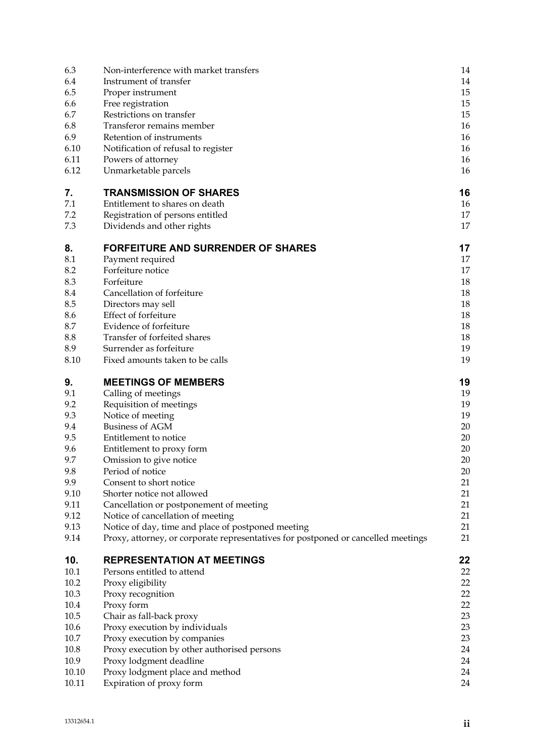| 6.4<br>Instrument of transfer<br>6.5<br>Proper instrument<br>6.6<br>Free registration<br>6.7<br>Restrictions on transfer<br>6.8<br>Transferor remains member<br>6.9<br>Retention of instruments<br>6.10<br>Notification of refusal to register<br>6.11<br>Powers of attorney<br>6.12<br>Unmarketable parcels<br><b>TRANSMISSION OF SHARES</b><br>7.<br>7.1<br>Entitlement to shares on death<br>7.2<br>Registration of persons entitled<br>7.3<br>Dividends and other rights<br><b>FORFEITURE AND SURRENDER OF SHARES</b><br>8.<br>8.1<br>Payment required<br>8.2<br>Forfeiture notice<br>8.3<br>Forfeiture<br>Cancellation of forfeiture<br>8.4<br>8.5<br>Directors may sell<br>Effect of forfeiture<br>8.6<br>Evidence of forfeiture<br>8.7<br>Transfer of forfeited shares<br>8.8<br>Surrender as forfeiture<br>8.9<br>8.10<br>Fixed amounts taken to be calls<br>9.<br><b>MEETINGS OF MEMBERS</b><br>9.1<br>Calling of meetings<br>9.2<br>Requisition of meetings<br>9.3<br>Notice of meeting<br><b>Business of AGM</b><br>9.4<br>9.5<br>Entitlement to notice<br>9.6<br>Entitlement to proxy form<br>9.7<br>Omission to give notice<br>9.8<br>Period of notice<br>9.9<br>Consent to short notice<br>9.10<br>Shorter notice not allowed<br>9.11<br>Cancellation or postponement of meeting<br>9.12<br>Notice of cancellation of meeting<br>Notice of day, time and place of postponed meeting<br>9.13<br>9.14<br>Proxy, attorney, or corporate representatives for postponed or cancelled meetings<br>10.<br><b>REPRESENTATION AT MEETINGS</b><br>10.1<br>Persons entitled to attend<br>10.2<br>Proxy eligibility<br>10.3<br>Proxy recognition<br>10.4<br>Proxy form<br>10.5<br>Chair as fall-back proxy<br>10.6<br>Proxy execution by individuals<br>10.7<br>Proxy execution by companies<br>10.8<br>Proxy execution by other authorised persons<br>10.9<br>Proxy lodgment deadline<br>10.10<br>Proxy lodgment place and method | 6.3   | Non-interference with market transfers | 14 |
|--------------------------------------------------------------------------------------------------------------------------------------------------------------------------------------------------------------------------------------------------------------------------------------------------------------------------------------------------------------------------------------------------------------------------------------------------------------------------------------------------------------------------------------------------------------------------------------------------------------------------------------------------------------------------------------------------------------------------------------------------------------------------------------------------------------------------------------------------------------------------------------------------------------------------------------------------------------------------------------------------------------------------------------------------------------------------------------------------------------------------------------------------------------------------------------------------------------------------------------------------------------------------------------------------------------------------------------------------------------------------------------------------------------------------------------------------------------------------------------------------------------------------------------------------------------------------------------------------------------------------------------------------------------------------------------------------------------------------------------------------------------------------------------------------------------------------------------------------------------------------------------------------------------------------------------|-------|----------------------------------------|----|
|                                                                                                                                                                                                                                                                                                                                                                                                                                                                                                                                                                                                                                                                                                                                                                                                                                                                                                                                                                                                                                                                                                                                                                                                                                                                                                                                                                                                                                                                                                                                                                                                                                                                                                                                                                                                                                                                                                                                      |       |                                        | 14 |
|                                                                                                                                                                                                                                                                                                                                                                                                                                                                                                                                                                                                                                                                                                                                                                                                                                                                                                                                                                                                                                                                                                                                                                                                                                                                                                                                                                                                                                                                                                                                                                                                                                                                                                                                                                                                                                                                                                                                      |       |                                        | 15 |
|                                                                                                                                                                                                                                                                                                                                                                                                                                                                                                                                                                                                                                                                                                                                                                                                                                                                                                                                                                                                                                                                                                                                                                                                                                                                                                                                                                                                                                                                                                                                                                                                                                                                                                                                                                                                                                                                                                                                      |       |                                        | 15 |
|                                                                                                                                                                                                                                                                                                                                                                                                                                                                                                                                                                                                                                                                                                                                                                                                                                                                                                                                                                                                                                                                                                                                                                                                                                                                                                                                                                                                                                                                                                                                                                                                                                                                                                                                                                                                                                                                                                                                      |       |                                        | 15 |
|                                                                                                                                                                                                                                                                                                                                                                                                                                                                                                                                                                                                                                                                                                                                                                                                                                                                                                                                                                                                                                                                                                                                                                                                                                                                                                                                                                                                                                                                                                                                                                                                                                                                                                                                                                                                                                                                                                                                      |       |                                        | 16 |
|                                                                                                                                                                                                                                                                                                                                                                                                                                                                                                                                                                                                                                                                                                                                                                                                                                                                                                                                                                                                                                                                                                                                                                                                                                                                                                                                                                                                                                                                                                                                                                                                                                                                                                                                                                                                                                                                                                                                      |       |                                        | 16 |
|                                                                                                                                                                                                                                                                                                                                                                                                                                                                                                                                                                                                                                                                                                                                                                                                                                                                                                                                                                                                                                                                                                                                                                                                                                                                                                                                                                                                                                                                                                                                                                                                                                                                                                                                                                                                                                                                                                                                      |       |                                        | 16 |
|                                                                                                                                                                                                                                                                                                                                                                                                                                                                                                                                                                                                                                                                                                                                                                                                                                                                                                                                                                                                                                                                                                                                                                                                                                                                                                                                                                                                                                                                                                                                                                                                                                                                                                                                                                                                                                                                                                                                      |       |                                        | 16 |
|                                                                                                                                                                                                                                                                                                                                                                                                                                                                                                                                                                                                                                                                                                                                                                                                                                                                                                                                                                                                                                                                                                                                                                                                                                                                                                                                                                                                                                                                                                                                                                                                                                                                                                                                                                                                                                                                                                                                      |       |                                        | 16 |
|                                                                                                                                                                                                                                                                                                                                                                                                                                                                                                                                                                                                                                                                                                                                                                                                                                                                                                                                                                                                                                                                                                                                                                                                                                                                                                                                                                                                                                                                                                                                                                                                                                                                                                                                                                                                                                                                                                                                      |       |                                        | 16 |
|                                                                                                                                                                                                                                                                                                                                                                                                                                                                                                                                                                                                                                                                                                                                                                                                                                                                                                                                                                                                                                                                                                                                                                                                                                                                                                                                                                                                                                                                                                                                                                                                                                                                                                                                                                                                                                                                                                                                      |       |                                        | 16 |
|                                                                                                                                                                                                                                                                                                                                                                                                                                                                                                                                                                                                                                                                                                                                                                                                                                                                                                                                                                                                                                                                                                                                                                                                                                                                                                                                                                                                                                                                                                                                                                                                                                                                                                                                                                                                                                                                                                                                      |       |                                        | 17 |
|                                                                                                                                                                                                                                                                                                                                                                                                                                                                                                                                                                                                                                                                                                                                                                                                                                                                                                                                                                                                                                                                                                                                                                                                                                                                                                                                                                                                                                                                                                                                                                                                                                                                                                                                                                                                                                                                                                                                      |       |                                        | 17 |
|                                                                                                                                                                                                                                                                                                                                                                                                                                                                                                                                                                                                                                                                                                                                                                                                                                                                                                                                                                                                                                                                                                                                                                                                                                                                                                                                                                                                                                                                                                                                                                                                                                                                                                                                                                                                                                                                                                                                      |       |                                        | 17 |
|                                                                                                                                                                                                                                                                                                                                                                                                                                                                                                                                                                                                                                                                                                                                                                                                                                                                                                                                                                                                                                                                                                                                                                                                                                                                                                                                                                                                                                                                                                                                                                                                                                                                                                                                                                                                                                                                                                                                      |       |                                        | 17 |
|                                                                                                                                                                                                                                                                                                                                                                                                                                                                                                                                                                                                                                                                                                                                                                                                                                                                                                                                                                                                                                                                                                                                                                                                                                                                                                                                                                                                                                                                                                                                                                                                                                                                                                                                                                                                                                                                                                                                      |       |                                        | 17 |
|                                                                                                                                                                                                                                                                                                                                                                                                                                                                                                                                                                                                                                                                                                                                                                                                                                                                                                                                                                                                                                                                                                                                                                                                                                                                                                                                                                                                                                                                                                                                                                                                                                                                                                                                                                                                                                                                                                                                      |       |                                        | 18 |
|                                                                                                                                                                                                                                                                                                                                                                                                                                                                                                                                                                                                                                                                                                                                                                                                                                                                                                                                                                                                                                                                                                                                                                                                                                                                                                                                                                                                                                                                                                                                                                                                                                                                                                                                                                                                                                                                                                                                      |       |                                        | 18 |
|                                                                                                                                                                                                                                                                                                                                                                                                                                                                                                                                                                                                                                                                                                                                                                                                                                                                                                                                                                                                                                                                                                                                                                                                                                                                                                                                                                                                                                                                                                                                                                                                                                                                                                                                                                                                                                                                                                                                      |       |                                        | 18 |
|                                                                                                                                                                                                                                                                                                                                                                                                                                                                                                                                                                                                                                                                                                                                                                                                                                                                                                                                                                                                                                                                                                                                                                                                                                                                                                                                                                                                                                                                                                                                                                                                                                                                                                                                                                                                                                                                                                                                      |       |                                        | 18 |
|                                                                                                                                                                                                                                                                                                                                                                                                                                                                                                                                                                                                                                                                                                                                                                                                                                                                                                                                                                                                                                                                                                                                                                                                                                                                                                                                                                                                                                                                                                                                                                                                                                                                                                                                                                                                                                                                                                                                      |       |                                        | 18 |
|                                                                                                                                                                                                                                                                                                                                                                                                                                                                                                                                                                                                                                                                                                                                                                                                                                                                                                                                                                                                                                                                                                                                                                                                                                                                                                                                                                                                                                                                                                                                                                                                                                                                                                                                                                                                                                                                                                                                      |       |                                        | 18 |
|                                                                                                                                                                                                                                                                                                                                                                                                                                                                                                                                                                                                                                                                                                                                                                                                                                                                                                                                                                                                                                                                                                                                                                                                                                                                                                                                                                                                                                                                                                                                                                                                                                                                                                                                                                                                                                                                                                                                      |       |                                        | 19 |
|                                                                                                                                                                                                                                                                                                                                                                                                                                                                                                                                                                                                                                                                                                                                                                                                                                                                                                                                                                                                                                                                                                                                                                                                                                                                                                                                                                                                                                                                                                                                                                                                                                                                                                                                                                                                                                                                                                                                      |       |                                        | 19 |
|                                                                                                                                                                                                                                                                                                                                                                                                                                                                                                                                                                                                                                                                                                                                                                                                                                                                                                                                                                                                                                                                                                                                                                                                                                                                                                                                                                                                                                                                                                                                                                                                                                                                                                                                                                                                                                                                                                                                      |       |                                        | 19 |
|                                                                                                                                                                                                                                                                                                                                                                                                                                                                                                                                                                                                                                                                                                                                                                                                                                                                                                                                                                                                                                                                                                                                                                                                                                                                                                                                                                                                                                                                                                                                                                                                                                                                                                                                                                                                                                                                                                                                      |       |                                        | 19 |
|                                                                                                                                                                                                                                                                                                                                                                                                                                                                                                                                                                                                                                                                                                                                                                                                                                                                                                                                                                                                                                                                                                                                                                                                                                                                                                                                                                                                                                                                                                                                                                                                                                                                                                                                                                                                                                                                                                                                      |       |                                        | 19 |
|                                                                                                                                                                                                                                                                                                                                                                                                                                                                                                                                                                                                                                                                                                                                                                                                                                                                                                                                                                                                                                                                                                                                                                                                                                                                                                                                                                                                                                                                                                                                                                                                                                                                                                                                                                                                                                                                                                                                      |       |                                        | 19 |
|                                                                                                                                                                                                                                                                                                                                                                                                                                                                                                                                                                                                                                                                                                                                                                                                                                                                                                                                                                                                                                                                                                                                                                                                                                                                                                                                                                                                                                                                                                                                                                                                                                                                                                                                                                                                                                                                                                                                      |       |                                        | 20 |
|                                                                                                                                                                                                                                                                                                                                                                                                                                                                                                                                                                                                                                                                                                                                                                                                                                                                                                                                                                                                                                                                                                                                                                                                                                                                                                                                                                                                                                                                                                                                                                                                                                                                                                                                                                                                                                                                                                                                      |       |                                        | 20 |
|                                                                                                                                                                                                                                                                                                                                                                                                                                                                                                                                                                                                                                                                                                                                                                                                                                                                                                                                                                                                                                                                                                                                                                                                                                                                                                                                                                                                                                                                                                                                                                                                                                                                                                                                                                                                                                                                                                                                      |       |                                        | 20 |
|                                                                                                                                                                                                                                                                                                                                                                                                                                                                                                                                                                                                                                                                                                                                                                                                                                                                                                                                                                                                                                                                                                                                                                                                                                                                                                                                                                                                                                                                                                                                                                                                                                                                                                                                                                                                                                                                                                                                      |       |                                        | 20 |
|                                                                                                                                                                                                                                                                                                                                                                                                                                                                                                                                                                                                                                                                                                                                                                                                                                                                                                                                                                                                                                                                                                                                                                                                                                                                                                                                                                                                                                                                                                                                                                                                                                                                                                                                                                                                                                                                                                                                      |       |                                        | 20 |
|                                                                                                                                                                                                                                                                                                                                                                                                                                                                                                                                                                                                                                                                                                                                                                                                                                                                                                                                                                                                                                                                                                                                                                                                                                                                                                                                                                                                                                                                                                                                                                                                                                                                                                                                                                                                                                                                                                                                      |       |                                        | 21 |
|                                                                                                                                                                                                                                                                                                                                                                                                                                                                                                                                                                                                                                                                                                                                                                                                                                                                                                                                                                                                                                                                                                                                                                                                                                                                                                                                                                                                                                                                                                                                                                                                                                                                                                                                                                                                                                                                                                                                      |       |                                        | 21 |
|                                                                                                                                                                                                                                                                                                                                                                                                                                                                                                                                                                                                                                                                                                                                                                                                                                                                                                                                                                                                                                                                                                                                                                                                                                                                                                                                                                                                                                                                                                                                                                                                                                                                                                                                                                                                                                                                                                                                      |       |                                        | 21 |
|                                                                                                                                                                                                                                                                                                                                                                                                                                                                                                                                                                                                                                                                                                                                                                                                                                                                                                                                                                                                                                                                                                                                                                                                                                                                                                                                                                                                                                                                                                                                                                                                                                                                                                                                                                                                                                                                                                                                      |       |                                        | 21 |
|                                                                                                                                                                                                                                                                                                                                                                                                                                                                                                                                                                                                                                                                                                                                                                                                                                                                                                                                                                                                                                                                                                                                                                                                                                                                                                                                                                                                                                                                                                                                                                                                                                                                                                                                                                                                                                                                                                                                      |       |                                        | 21 |
|                                                                                                                                                                                                                                                                                                                                                                                                                                                                                                                                                                                                                                                                                                                                                                                                                                                                                                                                                                                                                                                                                                                                                                                                                                                                                                                                                                                                                                                                                                                                                                                                                                                                                                                                                                                                                                                                                                                                      |       |                                        | 21 |
|                                                                                                                                                                                                                                                                                                                                                                                                                                                                                                                                                                                                                                                                                                                                                                                                                                                                                                                                                                                                                                                                                                                                                                                                                                                                                                                                                                                                                                                                                                                                                                                                                                                                                                                                                                                                                                                                                                                                      |       |                                        | 22 |
|                                                                                                                                                                                                                                                                                                                                                                                                                                                                                                                                                                                                                                                                                                                                                                                                                                                                                                                                                                                                                                                                                                                                                                                                                                                                                                                                                                                                                                                                                                                                                                                                                                                                                                                                                                                                                                                                                                                                      |       |                                        | 22 |
|                                                                                                                                                                                                                                                                                                                                                                                                                                                                                                                                                                                                                                                                                                                                                                                                                                                                                                                                                                                                                                                                                                                                                                                                                                                                                                                                                                                                                                                                                                                                                                                                                                                                                                                                                                                                                                                                                                                                      |       |                                        | 22 |
|                                                                                                                                                                                                                                                                                                                                                                                                                                                                                                                                                                                                                                                                                                                                                                                                                                                                                                                                                                                                                                                                                                                                                                                                                                                                                                                                                                                                                                                                                                                                                                                                                                                                                                                                                                                                                                                                                                                                      |       |                                        | 22 |
|                                                                                                                                                                                                                                                                                                                                                                                                                                                                                                                                                                                                                                                                                                                                                                                                                                                                                                                                                                                                                                                                                                                                                                                                                                                                                                                                                                                                                                                                                                                                                                                                                                                                                                                                                                                                                                                                                                                                      |       |                                        | 22 |
|                                                                                                                                                                                                                                                                                                                                                                                                                                                                                                                                                                                                                                                                                                                                                                                                                                                                                                                                                                                                                                                                                                                                                                                                                                                                                                                                                                                                                                                                                                                                                                                                                                                                                                                                                                                                                                                                                                                                      |       |                                        | 23 |
|                                                                                                                                                                                                                                                                                                                                                                                                                                                                                                                                                                                                                                                                                                                                                                                                                                                                                                                                                                                                                                                                                                                                                                                                                                                                                                                                                                                                                                                                                                                                                                                                                                                                                                                                                                                                                                                                                                                                      |       |                                        | 23 |
|                                                                                                                                                                                                                                                                                                                                                                                                                                                                                                                                                                                                                                                                                                                                                                                                                                                                                                                                                                                                                                                                                                                                                                                                                                                                                                                                                                                                                                                                                                                                                                                                                                                                                                                                                                                                                                                                                                                                      |       |                                        | 23 |
|                                                                                                                                                                                                                                                                                                                                                                                                                                                                                                                                                                                                                                                                                                                                                                                                                                                                                                                                                                                                                                                                                                                                                                                                                                                                                                                                                                                                                                                                                                                                                                                                                                                                                                                                                                                                                                                                                                                                      |       |                                        | 24 |
|                                                                                                                                                                                                                                                                                                                                                                                                                                                                                                                                                                                                                                                                                                                                                                                                                                                                                                                                                                                                                                                                                                                                                                                                                                                                                                                                                                                                                                                                                                                                                                                                                                                                                                                                                                                                                                                                                                                                      |       |                                        | 24 |
|                                                                                                                                                                                                                                                                                                                                                                                                                                                                                                                                                                                                                                                                                                                                                                                                                                                                                                                                                                                                                                                                                                                                                                                                                                                                                                                                                                                                                                                                                                                                                                                                                                                                                                                                                                                                                                                                                                                                      |       |                                        | 24 |
|                                                                                                                                                                                                                                                                                                                                                                                                                                                                                                                                                                                                                                                                                                                                                                                                                                                                                                                                                                                                                                                                                                                                                                                                                                                                                                                                                                                                                                                                                                                                                                                                                                                                                                                                                                                                                                                                                                                                      | 10.11 | Expiration of proxy form               | 24 |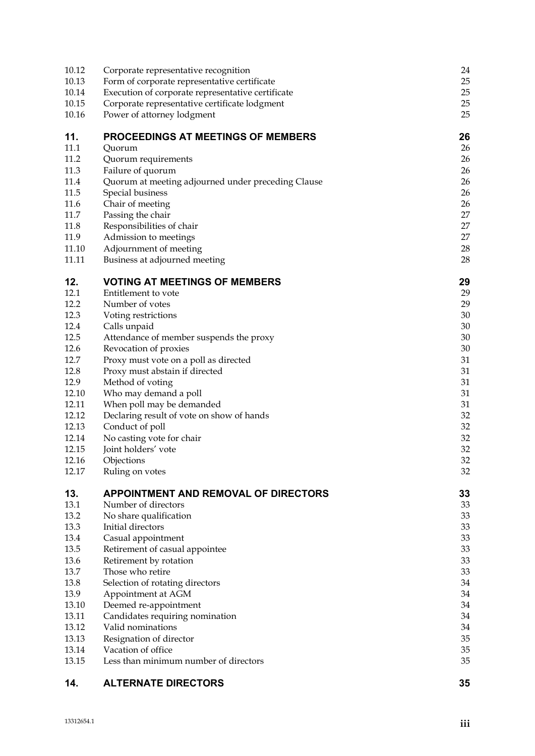| 10.12          | Corporate representative recognition                 | 24       |
|----------------|------------------------------------------------------|----------|
| 10.13          | Form of corporate representative certificate         | 25       |
| 10.14          | Execution of corporate representative certificate    | 25       |
| 10.15          | Corporate representative certificate lodgment        | 25       |
| 10.16          | Power of attorney lodgment                           | 25       |
| 11.            | PROCEEDINGS AT MEETINGS OF MEMBERS                   | 26       |
| 11.1           | Quorum                                               | 26       |
| 11.2           | Quorum requirements                                  | 26       |
| 11.3           | Failure of quorum                                    | 26       |
| 11.4           | Quorum at meeting adjourned under preceding Clause   | 26       |
| 11.5           | Special business                                     | 26       |
| 11.6           | Chair of meeting                                     | 26       |
| 11.7           | Passing the chair                                    | 27       |
| 11.8           | Responsibilities of chair                            | 27       |
| 11.9           | Admission to meetings                                | 27       |
| 11.10          | Adjournment of meeting                               | 28       |
| 11.11          | Business at adjourned meeting                        | 28       |
| 12.            | <b>VOTING AT MEETINGS OF MEMBERS</b>                 | 29       |
| 12.1           | Entitlement to vote                                  | 29       |
| 12.2           | Number of votes                                      | 29       |
| 12.3           | Voting restrictions                                  | 30       |
| 12.4           | Calls unpaid                                         | 30       |
| 12.5           | Attendance of member suspends the proxy              | 30       |
| 12.6           | Revocation of proxies                                | 30       |
| 12.7           | Proxy must vote on a poll as directed                | 31       |
| 12.8           | Proxy must abstain if directed                       | 31       |
| 12.9           | Method of voting                                     | 31       |
| 12.10          | Who may demand a poll                                | 31       |
| 12.11          | When poll may be demanded                            | 31       |
| 12.12          | Declaring result of vote on show of hands            | 32       |
| 12.13          | Conduct of poll                                      | 32       |
| 12.14          | No casting vote for chair                            | 32       |
| 12.15          | Joint holders' vote                                  | 32       |
| 12.16          | Objections                                           | 32       |
| 12.17          | Ruling on votes                                      | 32       |
| 13.            | <b>APPOINTMENT AND REMOVAL OF DIRECTORS</b>          | 33       |
| 13.1           | Number of directors                                  | 33       |
| 13.2           | No share qualification                               | 33       |
| 13.3           | Initial directors                                    | 33       |
| 13.4           | Casual appointment                                   | 33       |
| 13.5           | Retirement of casual appointee                       | 33       |
| 13.6           | Retirement by rotation                               | 33       |
| 13.7           | Those who retire                                     | 33       |
| 13.8           | Selection of rotating directors                      | 34       |
| 13.9           | Appointment at AGM                                   | 34       |
| 13.10          | Deemed re-appointment                                | 34       |
| 13.11<br>13.12 | Candidates requiring nomination<br>Valid nominations | 34<br>34 |
| 13.13          |                                                      | 35       |
| 13.14          | Resignation of director<br>Vacation of office        | 35       |
| 13.15          | Less than minimum number of directors                | 35       |
|                |                                                      |          |

# **14. ALTERNATE DIRECTORS 35**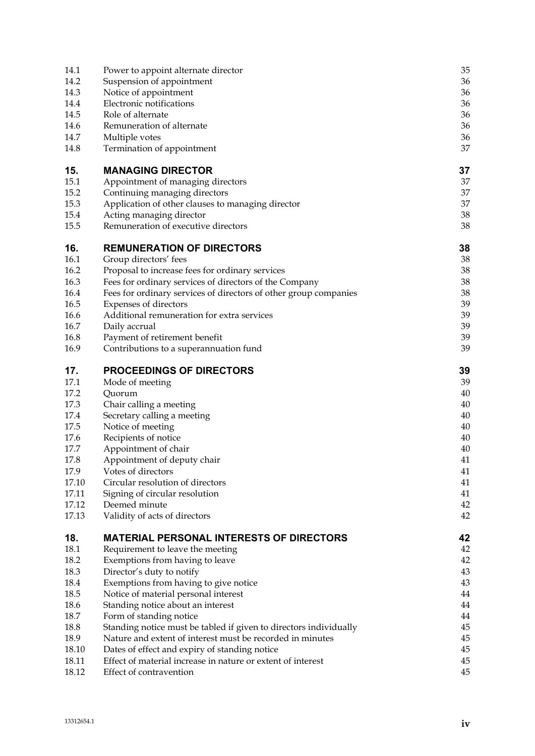| Power to appoint alternate director                               | 35                                                                                                                                                                                                                                                                                                                                                                                                                                                                                                                                                                                                                                                                                                                                                                                                                                                                                                                                                               |
|-------------------------------------------------------------------|------------------------------------------------------------------------------------------------------------------------------------------------------------------------------------------------------------------------------------------------------------------------------------------------------------------------------------------------------------------------------------------------------------------------------------------------------------------------------------------------------------------------------------------------------------------------------------------------------------------------------------------------------------------------------------------------------------------------------------------------------------------------------------------------------------------------------------------------------------------------------------------------------------------------------------------------------------------|
| Suspension of appointment                                         | 36                                                                                                                                                                                                                                                                                                                                                                                                                                                                                                                                                                                                                                                                                                                                                                                                                                                                                                                                                               |
| Notice of appointment                                             | 36                                                                                                                                                                                                                                                                                                                                                                                                                                                                                                                                                                                                                                                                                                                                                                                                                                                                                                                                                               |
| Electronic notifications                                          | 36                                                                                                                                                                                                                                                                                                                                                                                                                                                                                                                                                                                                                                                                                                                                                                                                                                                                                                                                                               |
|                                                                   | 36                                                                                                                                                                                                                                                                                                                                                                                                                                                                                                                                                                                                                                                                                                                                                                                                                                                                                                                                                               |
|                                                                   | 36                                                                                                                                                                                                                                                                                                                                                                                                                                                                                                                                                                                                                                                                                                                                                                                                                                                                                                                                                               |
|                                                                   | 36                                                                                                                                                                                                                                                                                                                                                                                                                                                                                                                                                                                                                                                                                                                                                                                                                                                                                                                                                               |
|                                                                   | 37                                                                                                                                                                                                                                                                                                                                                                                                                                                                                                                                                                                                                                                                                                                                                                                                                                                                                                                                                               |
| <b>MANAGING DIRECTOR</b>                                          | 37                                                                                                                                                                                                                                                                                                                                                                                                                                                                                                                                                                                                                                                                                                                                                                                                                                                                                                                                                               |
| Appointment of managing directors                                 | 37                                                                                                                                                                                                                                                                                                                                                                                                                                                                                                                                                                                                                                                                                                                                                                                                                                                                                                                                                               |
| Continuing managing directors                                     | 37                                                                                                                                                                                                                                                                                                                                                                                                                                                                                                                                                                                                                                                                                                                                                                                                                                                                                                                                                               |
| Application of other clauses to managing director                 | 37                                                                                                                                                                                                                                                                                                                                                                                                                                                                                                                                                                                                                                                                                                                                                                                                                                                                                                                                                               |
|                                                                   | 38                                                                                                                                                                                                                                                                                                                                                                                                                                                                                                                                                                                                                                                                                                                                                                                                                                                                                                                                                               |
|                                                                   | 38                                                                                                                                                                                                                                                                                                                                                                                                                                                                                                                                                                                                                                                                                                                                                                                                                                                                                                                                                               |
| <b>REMUNERATION OF DIRECTORS</b>                                  | 38                                                                                                                                                                                                                                                                                                                                                                                                                                                                                                                                                                                                                                                                                                                                                                                                                                                                                                                                                               |
| Group directors' fees                                             | 38                                                                                                                                                                                                                                                                                                                                                                                                                                                                                                                                                                                                                                                                                                                                                                                                                                                                                                                                                               |
| Proposal to increase fees for ordinary services                   | 38                                                                                                                                                                                                                                                                                                                                                                                                                                                                                                                                                                                                                                                                                                                                                                                                                                                                                                                                                               |
| Fees for ordinary services of directors of the Company            | 38                                                                                                                                                                                                                                                                                                                                                                                                                                                                                                                                                                                                                                                                                                                                                                                                                                                                                                                                                               |
|                                                                   | 38                                                                                                                                                                                                                                                                                                                                                                                                                                                                                                                                                                                                                                                                                                                                                                                                                                                                                                                                                               |
|                                                                   | 39                                                                                                                                                                                                                                                                                                                                                                                                                                                                                                                                                                                                                                                                                                                                                                                                                                                                                                                                                               |
|                                                                   | 39                                                                                                                                                                                                                                                                                                                                                                                                                                                                                                                                                                                                                                                                                                                                                                                                                                                                                                                                                               |
|                                                                   | 39                                                                                                                                                                                                                                                                                                                                                                                                                                                                                                                                                                                                                                                                                                                                                                                                                                                                                                                                                               |
|                                                                   | 39                                                                                                                                                                                                                                                                                                                                                                                                                                                                                                                                                                                                                                                                                                                                                                                                                                                                                                                                                               |
|                                                                   | 39                                                                                                                                                                                                                                                                                                                                                                                                                                                                                                                                                                                                                                                                                                                                                                                                                                                                                                                                                               |
| <b>PROCEEDINGS OF DIRECTORS</b>                                   | 39                                                                                                                                                                                                                                                                                                                                                                                                                                                                                                                                                                                                                                                                                                                                                                                                                                                                                                                                                               |
| Mode of meeting                                                   | 39                                                                                                                                                                                                                                                                                                                                                                                                                                                                                                                                                                                                                                                                                                                                                                                                                                                                                                                                                               |
| Quorum                                                            | 40                                                                                                                                                                                                                                                                                                                                                                                                                                                                                                                                                                                                                                                                                                                                                                                                                                                                                                                                                               |
|                                                                   | 40                                                                                                                                                                                                                                                                                                                                                                                                                                                                                                                                                                                                                                                                                                                                                                                                                                                                                                                                                               |
|                                                                   | 40                                                                                                                                                                                                                                                                                                                                                                                                                                                                                                                                                                                                                                                                                                                                                                                                                                                                                                                                                               |
|                                                                   | 40                                                                                                                                                                                                                                                                                                                                                                                                                                                                                                                                                                                                                                                                                                                                                                                                                                                                                                                                                               |
|                                                                   | 40                                                                                                                                                                                                                                                                                                                                                                                                                                                                                                                                                                                                                                                                                                                                                                                                                                                                                                                                                               |
|                                                                   | 40                                                                                                                                                                                                                                                                                                                                                                                                                                                                                                                                                                                                                                                                                                                                                                                                                                                                                                                                                               |
|                                                                   | 41                                                                                                                                                                                                                                                                                                                                                                                                                                                                                                                                                                                                                                                                                                                                                                                                                                                                                                                                                               |
|                                                                   | 41<br>41                                                                                                                                                                                                                                                                                                                                                                                                                                                                                                                                                                                                                                                                                                                                                                                                                                                                                                                                                         |
|                                                                   | 41                                                                                                                                                                                                                                                                                                                                                                                                                                                                                                                                                                                                                                                                                                                                                                                                                                                                                                                                                               |
|                                                                   | 42                                                                                                                                                                                                                                                                                                                                                                                                                                                                                                                                                                                                                                                                                                                                                                                                                                                                                                                                                               |
| Validity of acts of directors                                     | 42                                                                                                                                                                                                                                                                                                                                                                                                                                                                                                                                                                                                                                                                                                                                                                                                                                                                                                                                                               |
|                                                                   | 42                                                                                                                                                                                                                                                                                                                                                                                                                                                                                                                                                                                                                                                                                                                                                                                                                                                                                                                                                               |
|                                                                   | 42                                                                                                                                                                                                                                                                                                                                                                                                                                                                                                                                                                                                                                                                                                                                                                                                                                                                                                                                                               |
|                                                                   | 42                                                                                                                                                                                                                                                                                                                                                                                                                                                                                                                                                                                                                                                                                                                                                                                                                                                                                                                                                               |
|                                                                   | 43                                                                                                                                                                                                                                                                                                                                                                                                                                                                                                                                                                                                                                                                                                                                                                                                                                                                                                                                                               |
|                                                                   | 43                                                                                                                                                                                                                                                                                                                                                                                                                                                                                                                                                                                                                                                                                                                                                                                                                                                                                                                                                               |
|                                                                   | 44                                                                                                                                                                                                                                                                                                                                                                                                                                                                                                                                                                                                                                                                                                                                                                                                                                                                                                                                                               |
|                                                                   | 44                                                                                                                                                                                                                                                                                                                                                                                                                                                                                                                                                                                                                                                                                                                                                                                                                                                                                                                                                               |
| Form of standing notice                                           | 44                                                                                                                                                                                                                                                                                                                                                                                                                                                                                                                                                                                                                                                                                                                                                                                                                                                                                                                                                               |
| Standing notice must be tabled if given to directors individually | 45                                                                                                                                                                                                                                                                                                                                                                                                                                                                                                                                                                                                                                                                                                                                                                                                                                                                                                                                                               |
| Nature and extent of interest must be recorded in minutes         | 45                                                                                                                                                                                                                                                                                                                                                                                                                                                                                                                                                                                                                                                                                                                                                                                                                                                                                                                                                               |
| Dates of effect and expiry of standing notice                     | 45                                                                                                                                                                                                                                                                                                                                                                                                                                                                                                                                                                                                                                                                                                                                                                                                                                                                                                                                                               |
| Effect of material increase in nature or extent of interest       | 45                                                                                                                                                                                                                                                                                                                                                                                                                                                                                                                                                                                                                                                                                                                                                                                                                                                                                                                                                               |
| Effect of contravention                                           | 45                                                                                                                                                                                                                                                                                                                                                                                                                                                                                                                                                                                                                                                                                                                                                                                                                                                                                                                                                               |
|                                                                   | Role of alternate<br>Remuneration of alternate<br>Multiple votes<br>Termination of appointment<br>Acting managing director<br>Remuneration of executive directors<br>Fees for ordinary services of directors of other group companies<br>Expenses of directors<br>Additional remuneration for extra services<br>Daily accrual<br>Payment of retirement benefit<br>Contributions to a superannuation fund<br>Chair calling a meeting<br>Secretary calling a meeting<br>Notice of meeting<br>Recipients of notice<br>Appointment of chair<br>Appointment of deputy chair<br>Votes of directors<br>Circular resolution of directors<br>Signing of circular resolution<br>Deemed minute<br><b>MATERIAL PERSONAL INTERESTS OF DIRECTORS</b><br>Requirement to leave the meeting<br>Exemptions from having to leave<br>Director's duty to notify<br>Exemptions from having to give notice<br>Notice of material personal interest<br>Standing notice about an interest |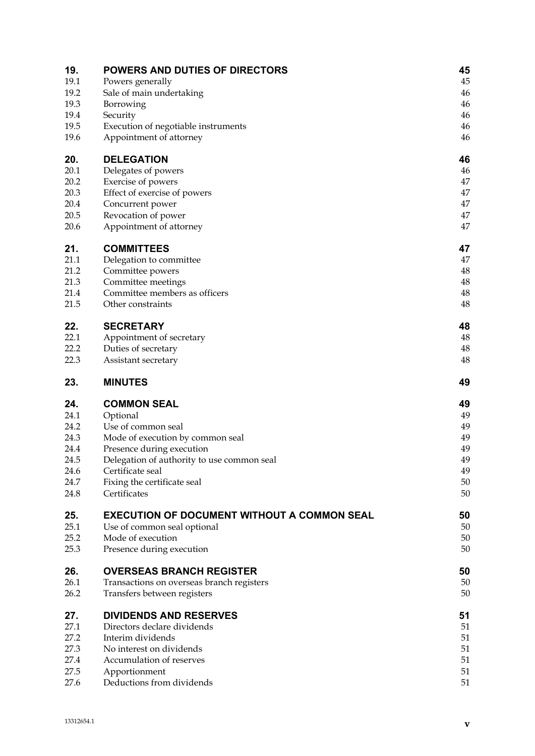| 19.          | <b>POWERS AND DUTIES OF DIRECTORS</b>              | 45       |
|--------------|----------------------------------------------------|----------|
| 19.1         | Powers generally                                   | 45       |
| 19.2<br>19.3 | Sale of main undertaking                           | 46<br>46 |
| 19.4         | Borrowing<br>Security                              | 46       |
| 19.5         | Execution of negotiable instruments                | 46       |
| 19.6         | Appointment of attorney                            | 46       |
| 20.          | <b>DELEGATION</b>                                  | 46       |
| 20.1         | Delegates of powers                                | 46       |
| 20.2         | Exercise of powers                                 | 47       |
| 20.3         | Effect of exercise of powers                       | 47       |
| 20.4         | Concurrent power                                   | 47       |
| 20.5         | Revocation of power                                | 47       |
| 20.6         | Appointment of attorney                            | 47       |
| 21.          | <b>COMMITTEES</b>                                  | 47       |
| 21.1         | Delegation to committee                            | 47       |
| 21.2         | Committee powers                                   | 48       |
| 21.3         | Committee meetings                                 | 48       |
| 21.4         | Committee members as officers                      | 48       |
| 21.5         | Other constraints                                  | 48       |
| 22.          | <b>SECRETARY</b>                                   | 48       |
| 22.1         | Appointment of secretary                           | 48       |
| 22.2         | Duties of secretary                                | 48       |
| 22.3         | Assistant secretary                                | 48       |
| 23.          | <b>MINUTES</b>                                     | 49       |
| 24.          | <b>COMMON SEAL</b>                                 | 49       |
| 24.1         | Optional                                           | 49       |
| 24.2         | Use of common seal                                 | 49       |
| 24.3         | Mode of execution by common seal                   | 49       |
| 24.4         | Presence during execution                          | 49       |
| 24.5         | Delegation of authority to use common seal         | 49       |
| 24.6         | Certificate seal                                   | 49       |
| 24.7         | Fixing the certificate seal                        | 50       |
| 24.8         | Certificates                                       | 50       |
| 25.          | <b>EXECUTION OF DOCUMENT WITHOUT A COMMON SEAL</b> | 50       |
| 25.1         | Use of common seal optional                        | 50       |
| 25.2<br>25.3 | Mode of execution<br>Presence during execution     | 50<br>50 |
|              |                                                    |          |
| 26.          | <b>OVERSEAS BRANCH REGISTER</b>                    | 50       |
| 26.1         | Transactions on overseas branch registers          | 50       |
| 26.2         | Transfers between registers                        | 50       |
| 27.          | <b>DIVIDENDS AND RESERVES</b>                      | 51       |
| 27.1         | Directors declare dividends                        | 51       |
| 27.2         | Interim dividends                                  | 51       |
| 27.3         | No interest on dividends                           | 51       |
| 27.4         | Accumulation of reserves                           | 51       |
| 27.5         | Apportionment                                      | 51       |
| 27.6         | Deductions from dividends                          | 51       |